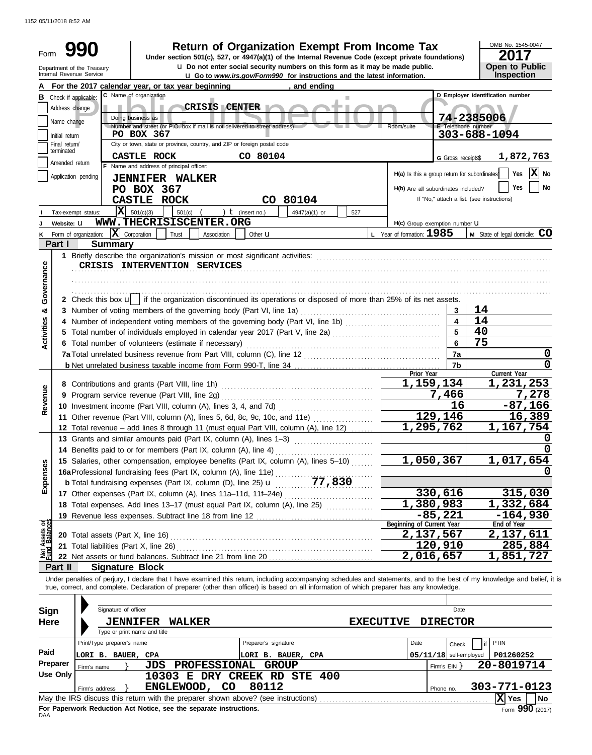1152 05/11/2018 8:52 AM

| Form<br>Under section 501(c), 527, or 4947(a)(1) of the Internal Revenue Code (except private foundations)<br>u Do not enter social security numbers on this form as it may be made public.<br>Open to Public<br>Department of the Treasury<br>Inspection<br>Internal Revenue Service<br><b>u</b> Go to www.irs.gov/Form990 for instructions and the latest information.<br>For the 2017 calendar year, or tax year beginning<br>and ending<br>C Name of organization<br>D Employer identification number<br><b>B</b> Check if applicable:<br>ш<br><b>CRISIS CENTER</b><br>Address change<br>74-2385006<br>Doing business as<br>Name change<br>Number and street (or P.O. box if mail is not delivered to street address)<br>E Telephone number<br>Room/suite<br>303-688-1094<br>PO BOX 367<br>Initial return<br>City or town, state or province, country, and ZIP or foreign postal code<br>Final return/<br>terminated<br>CASTLE ROCK<br>CO 80104<br>1,872,763<br>G Gross receipts\$<br>Amended return<br>F Name and address of principal officer:<br>$ \mathbf{X} $ No<br>Yes<br>H(a) Is this a group return for subordinates<br>Application pending<br><b>JENNIFER WALKER</b><br>Yes<br>No<br>PO BOX 367<br>H(b) Are all subordinates included?<br>If "No," attach a list. (see instructions)<br><b>CASTLE ROCK</b><br>CO 80104<br>$ \mathbf{X} $ 501(c)(3)<br>501(c)<br>) $t$ (insert no.)<br>4947(a)(1) or<br>527<br>Tax-exempt status:<br>WWW.THECRISISCENTER.ORG<br>Website: U<br>H(c) Group exemption number <b>U</b><br>$\mathbf{X}$ Corporation<br>L Year of formation: $1985$<br>M State of legal domicile: CO<br>Trust<br>Form of organization:<br>Association<br>Other $\mathbf u$<br>Part I<br><b>Summary</b><br>Governance<br>CRISIS INTERVENTION SERVICES<br>2 Check this box $\mathbf{u}$ if the organization discontinued its operations or disposed of more than 25% of its net assets.<br>14<br>3 Number of voting members of the governing body (Part VI, line 1a)<br>න්<br>3<br><b>Activities</b><br>14<br>$\overline{\mathbf{4}}$<br>4 Number of independent voting members of the governing body (Part VI, line 1b) [11] [11] Number of independent voting members of the governing body (Part VI, line 1b)<br>5<br>40<br>75<br>6<br>6 Total number of volunteers (estimate if necessary)<br>7a<br>0<br>$\mathbf 0$<br>7 <sub>b</sub><br>Current Year<br>Prior Year<br>1,159,134<br>1,231,253<br>Revenue<br>7,278<br>7,466<br>16<br>$-87,166$<br>129,146<br>16,389<br>11 Other revenue (Part VIII, column (A), lines 5, 6d, 8c, 9c, 10c, and 11e)<br>1,295,762<br>1,167,754<br>12 Total revenue - add lines 8 through 11 (must equal Part VIII, column (A), line 12)<br>n<br>13 Grants and similar amounts paid (Part IX, column (A), lines 1-3)<br>$\mathbf 0$<br>1,017,654<br>1,050,367<br>15 Salaries, other compensation, employee benefits (Part IX, column (A), lines 5-10)<br>Expenses<br>16a Professional fundraising fees (Part IX, column (A), line 11e)<br>b Total fundraising expenses (Part IX, column (D), line 25) <b>u</b> 77, 830<br>330,616<br>315,030<br>17 Other expenses (Part IX, column (A), lines 11a-11d, 11f-24e)<br>1,380,983<br>1,332,684<br>18 Total expenses. Add lines 13-17 (must equal Part IX, column (A), line 25)<br>$-85,221$<br>$-164,930$<br>Assets or<br>End of Year<br>Beginning of Current Year<br>2,137,567<br>2,137,611<br>20 Total assets (Part X, line 16)<br>120,910<br>285,884<br>21 Total liabilities (Part X, line 26)<br>2,016,657<br>1,851,727<br>Part II<br><b>Signature Block</b><br>Under penalties of perjury, I declare that I have examined this return, including accompanying schedules and statements, and to the best of my knowledge and belief, it is<br>true, correct, and complete. Declaration of preparer (other than officer) is based on all information of which preparer has any knowledge.<br>Signature of officer<br>Date<br><b>Sign</b><br><b>Here</b><br><b>DIRECTOR</b><br><b>WALKER</b><br><b>EXECUTIVE</b><br><b>JENNIFER</b><br>Type or print name and title<br>PTIN<br>Print/Type preparer's name<br>Preparer's signature<br>Date<br>Check<br>if<br>Paid<br>$05/11/18$ self-employed<br>P01260252<br>LORI B. BAUER, CPA<br>LORI B. BAUER, CPA<br>Preparer<br><b>PROFESSIONAL GROUP</b><br>20-8019714<br>JDS<br>Firm's $EIN$ }<br>Firm's name<br><b>Use Only</b><br>10303 E DRY CREEK RD STE 400<br>80112<br>ENGLEWOOD, CO<br>303-771-0123<br>Firm's address<br>Phone no.<br>May the IRS discuss this return with the preparer shown above? (see instructions) |  |  | Return of Organization Exempt From Income Tax |  |  | OMB No. 1545-0047 |  |  |  |  |  |  |
|-------------------------------------------------------------------------------------------------------------------------------------------------------------------------------------------------------------------------------------------------------------------------------------------------------------------------------------------------------------------------------------------------------------------------------------------------------------------------------------------------------------------------------------------------------------------------------------------------------------------------------------------------------------------------------------------------------------------------------------------------------------------------------------------------------------------------------------------------------------------------------------------------------------------------------------------------------------------------------------------------------------------------------------------------------------------------------------------------------------------------------------------------------------------------------------------------------------------------------------------------------------------------------------------------------------------------------------------------------------------------------------------------------------------------------------------------------------------------------------------------------------------------------------------------------------------------------------------------------------------------------------------------------------------------------------------------------------------------------------------------------------------------------------------------------------------------------------------------------------------------------------------------------------------------------------------------------------------------------------------------------------------------------------------------------------------------------------------------------------------------------------------------------------------------------------------------------------------------------------------------------------------------------------------------------------------------------------------------------------------------------------------------------------------------------------------------------------------------------------------------------------------------------------------------------------------------------------------------------------------------------------------------------------------------------------------------------------------------------------------------------------------------------------------------------------------------------------------------------------------------------------------------------------------------------------------------------------------------------------------------------------------------------------------------------------------------------------------------------------------------------------------------------------------------------------------------------------------------------------------------------------------------------------------------------------------------------------------------------------------------------------------------------------------------------------------------------------------------------------------------------------------------------------------------------------------------------------------------------------------------------------------------------------------------------------------------------------------------------------------------------------------------------------------------------------------------------------------------------------------------------------------------------------------------------------------------------------------------------------------------------------------------------------------------------------------------------------------------------------------------------------------------------------------------------------------------------------------------------------------------------------------------------------------------------------------------------------------------------------------------------------------------------------------------------------------------------------------------------------------------------------------------------------------------------------------------|--|--|-----------------------------------------------|--|--|-------------------|--|--|--|--|--|--|
|                                                                                                                                                                                                                                                                                                                                                                                                                                                                                                                                                                                                                                                                                                                                                                                                                                                                                                                                                                                                                                                                                                                                                                                                                                                                                                                                                                                                                                                                                                                                                                                                                                                                                                                                                                                                                                                                                                                                                                                                                                                                                                                                                                                                                                                                                                                                                                                                                                                                                                                                                                                                                                                                                                                                                                                                                                                                                                                                                                                                                                                                                                                                                                                                                                                                                                                                                                                                                                                                                                                                                                                                                                                                                                                                                                                                                                                                                                                                                                                                                                                                                                                                                                                                                                                                                                                                                                                                                                                                                                                                                                         |  |  |                                               |  |  | 17                |  |  |  |  |  |  |
|                                                                                                                                                                                                                                                                                                                                                                                                                                                                                                                                                                                                                                                                                                                                                                                                                                                                                                                                                                                                                                                                                                                                                                                                                                                                                                                                                                                                                                                                                                                                                                                                                                                                                                                                                                                                                                                                                                                                                                                                                                                                                                                                                                                                                                                                                                                                                                                                                                                                                                                                                                                                                                                                                                                                                                                                                                                                                                                                                                                                                                                                                                                                                                                                                                                                                                                                                                                                                                                                                                                                                                                                                                                                                                                                                                                                                                                                                                                                                                                                                                                                                                                                                                                                                                                                                                                                                                                                                                                                                                                                                                         |  |  |                                               |  |  |                   |  |  |  |  |  |  |
|                                                                                                                                                                                                                                                                                                                                                                                                                                                                                                                                                                                                                                                                                                                                                                                                                                                                                                                                                                                                                                                                                                                                                                                                                                                                                                                                                                                                                                                                                                                                                                                                                                                                                                                                                                                                                                                                                                                                                                                                                                                                                                                                                                                                                                                                                                                                                                                                                                                                                                                                                                                                                                                                                                                                                                                                                                                                                                                                                                                                                                                                                                                                                                                                                                                                                                                                                                                                                                                                                                                                                                                                                                                                                                                                                                                                                                                                                                                                                                                                                                                                                                                                                                                                                                                                                                                                                                                                                                                                                                                                                                         |  |  |                                               |  |  |                   |  |  |  |  |  |  |
|                                                                                                                                                                                                                                                                                                                                                                                                                                                                                                                                                                                                                                                                                                                                                                                                                                                                                                                                                                                                                                                                                                                                                                                                                                                                                                                                                                                                                                                                                                                                                                                                                                                                                                                                                                                                                                                                                                                                                                                                                                                                                                                                                                                                                                                                                                                                                                                                                                                                                                                                                                                                                                                                                                                                                                                                                                                                                                                                                                                                                                                                                                                                                                                                                                                                                                                                                                                                                                                                                                                                                                                                                                                                                                                                                                                                                                                                                                                                                                                                                                                                                                                                                                                                                                                                                                                                                                                                                                                                                                                                                                         |  |  |                                               |  |  |                   |  |  |  |  |  |  |
|                                                                                                                                                                                                                                                                                                                                                                                                                                                                                                                                                                                                                                                                                                                                                                                                                                                                                                                                                                                                                                                                                                                                                                                                                                                                                                                                                                                                                                                                                                                                                                                                                                                                                                                                                                                                                                                                                                                                                                                                                                                                                                                                                                                                                                                                                                                                                                                                                                                                                                                                                                                                                                                                                                                                                                                                                                                                                                                                                                                                                                                                                                                                                                                                                                                                                                                                                                                                                                                                                                                                                                                                                                                                                                                                                                                                                                                                                                                                                                                                                                                                                                                                                                                                                                                                                                                                                                                                                                                                                                                                                                         |  |  |                                               |  |  |                   |  |  |  |  |  |  |
|                                                                                                                                                                                                                                                                                                                                                                                                                                                                                                                                                                                                                                                                                                                                                                                                                                                                                                                                                                                                                                                                                                                                                                                                                                                                                                                                                                                                                                                                                                                                                                                                                                                                                                                                                                                                                                                                                                                                                                                                                                                                                                                                                                                                                                                                                                                                                                                                                                                                                                                                                                                                                                                                                                                                                                                                                                                                                                                                                                                                                                                                                                                                                                                                                                                                                                                                                                                                                                                                                                                                                                                                                                                                                                                                                                                                                                                                                                                                                                                                                                                                                                                                                                                                                                                                                                                                                                                                                                                                                                                                                                         |  |  |                                               |  |  |                   |  |  |  |  |  |  |
|                                                                                                                                                                                                                                                                                                                                                                                                                                                                                                                                                                                                                                                                                                                                                                                                                                                                                                                                                                                                                                                                                                                                                                                                                                                                                                                                                                                                                                                                                                                                                                                                                                                                                                                                                                                                                                                                                                                                                                                                                                                                                                                                                                                                                                                                                                                                                                                                                                                                                                                                                                                                                                                                                                                                                                                                                                                                                                                                                                                                                                                                                                                                                                                                                                                                                                                                                                                                                                                                                                                                                                                                                                                                                                                                                                                                                                                                                                                                                                                                                                                                                                                                                                                                                                                                                                                                                                                                                                                                                                                                                                         |  |  |                                               |  |  |                   |  |  |  |  |  |  |
|                                                                                                                                                                                                                                                                                                                                                                                                                                                                                                                                                                                                                                                                                                                                                                                                                                                                                                                                                                                                                                                                                                                                                                                                                                                                                                                                                                                                                                                                                                                                                                                                                                                                                                                                                                                                                                                                                                                                                                                                                                                                                                                                                                                                                                                                                                                                                                                                                                                                                                                                                                                                                                                                                                                                                                                                                                                                                                                                                                                                                                                                                                                                                                                                                                                                                                                                                                                                                                                                                                                                                                                                                                                                                                                                                                                                                                                                                                                                                                                                                                                                                                                                                                                                                                                                                                                                                                                                                                                                                                                                                                         |  |  |                                               |  |  |                   |  |  |  |  |  |  |
|                                                                                                                                                                                                                                                                                                                                                                                                                                                                                                                                                                                                                                                                                                                                                                                                                                                                                                                                                                                                                                                                                                                                                                                                                                                                                                                                                                                                                                                                                                                                                                                                                                                                                                                                                                                                                                                                                                                                                                                                                                                                                                                                                                                                                                                                                                                                                                                                                                                                                                                                                                                                                                                                                                                                                                                                                                                                                                                                                                                                                                                                                                                                                                                                                                                                                                                                                                                                                                                                                                                                                                                                                                                                                                                                                                                                                                                                                                                                                                                                                                                                                                                                                                                                                                                                                                                                                                                                                                                                                                                                                                         |  |  |                                               |  |  |                   |  |  |  |  |  |  |
|                                                                                                                                                                                                                                                                                                                                                                                                                                                                                                                                                                                                                                                                                                                                                                                                                                                                                                                                                                                                                                                                                                                                                                                                                                                                                                                                                                                                                                                                                                                                                                                                                                                                                                                                                                                                                                                                                                                                                                                                                                                                                                                                                                                                                                                                                                                                                                                                                                                                                                                                                                                                                                                                                                                                                                                                                                                                                                                                                                                                                                                                                                                                                                                                                                                                                                                                                                                                                                                                                                                                                                                                                                                                                                                                                                                                                                                                                                                                                                                                                                                                                                                                                                                                                                                                                                                                                                                                                                                                                                                                                                         |  |  |                                               |  |  |                   |  |  |  |  |  |  |
|                                                                                                                                                                                                                                                                                                                                                                                                                                                                                                                                                                                                                                                                                                                                                                                                                                                                                                                                                                                                                                                                                                                                                                                                                                                                                                                                                                                                                                                                                                                                                                                                                                                                                                                                                                                                                                                                                                                                                                                                                                                                                                                                                                                                                                                                                                                                                                                                                                                                                                                                                                                                                                                                                                                                                                                                                                                                                                                                                                                                                                                                                                                                                                                                                                                                                                                                                                                                                                                                                                                                                                                                                                                                                                                                                                                                                                                                                                                                                                                                                                                                                                                                                                                                                                                                                                                                                                                                                                                                                                                                                                         |  |  |                                               |  |  |                   |  |  |  |  |  |  |
|                                                                                                                                                                                                                                                                                                                                                                                                                                                                                                                                                                                                                                                                                                                                                                                                                                                                                                                                                                                                                                                                                                                                                                                                                                                                                                                                                                                                                                                                                                                                                                                                                                                                                                                                                                                                                                                                                                                                                                                                                                                                                                                                                                                                                                                                                                                                                                                                                                                                                                                                                                                                                                                                                                                                                                                                                                                                                                                                                                                                                                                                                                                                                                                                                                                                                                                                                                                                                                                                                                                                                                                                                                                                                                                                                                                                                                                                                                                                                                                                                                                                                                                                                                                                                                                                                                                                                                                                                                                                                                                                                                         |  |  |                                               |  |  |                   |  |  |  |  |  |  |
|                                                                                                                                                                                                                                                                                                                                                                                                                                                                                                                                                                                                                                                                                                                                                                                                                                                                                                                                                                                                                                                                                                                                                                                                                                                                                                                                                                                                                                                                                                                                                                                                                                                                                                                                                                                                                                                                                                                                                                                                                                                                                                                                                                                                                                                                                                                                                                                                                                                                                                                                                                                                                                                                                                                                                                                                                                                                                                                                                                                                                                                                                                                                                                                                                                                                                                                                                                                                                                                                                                                                                                                                                                                                                                                                                                                                                                                                                                                                                                                                                                                                                                                                                                                                                                                                                                                                                                                                                                                                                                                                                                         |  |  |                                               |  |  |                   |  |  |  |  |  |  |
|                                                                                                                                                                                                                                                                                                                                                                                                                                                                                                                                                                                                                                                                                                                                                                                                                                                                                                                                                                                                                                                                                                                                                                                                                                                                                                                                                                                                                                                                                                                                                                                                                                                                                                                                                                                                                                                                                                                                                                                                                                                                                                                                                                                                                                                                                                                                                                                                                                                                                                                                                                                                                                                                                                                                                                                                                                                                                                                                                                                                                                                                                                                                                                                                                                                                                                                                                                                                                                                                                                                                                                                                                                                                                                                                                                                                                                                                                                                                                                                                                                                                                                                                                                                                                                                                                                                                                                                                                                                                                                                                                                         |  |  |                                               |  |  |                   |  |  |  |  |  |  |
|                                                                                                                                                                                                                                                                                                                                                                                                                                                                                                                                                                                                                                                                                                                                                                                                                                                                                                                                                                                                                                                                                                                                                                                                                                                                                                                                                                                                                                                                                                                                                                                                                                                                                                                                                                                                                                                                                                                                                                                                                                                                                                                                                                                                                                                                                                                                                                                                                                                                                                                                                                                                                                                                                                                                                                                                                                                                                                                                                                                                                                                                                                                                                                                                                                                                                                                                                                                                                                                                                                                                                                                                                                                                                                                                                                                                                                                                                                                                                                                                                                                                                                                                                                                                                                                                                                                                                                                                                                                                                                                                                                         |  |  |                                               |  |  |                   |  |  |  |  |  |  |
|                                                                                                                                                                                                                                                                                                                                                                                                                                                                                                                                                                                                                                                                                                                                                                                                                                                                                                                                                                                                                                                                                                                                                                                                                                                                                                                                                                                                                                                                                                                                                                                                                                                                                                                                                                                                                                                                                                                                                                                                                                                                                                                                                                                                                                                                                                                                                                                                                                                                                                                                                                                                                                                                                                                                                                                                                                                                                                                                                                                                                                                                                                                                                                                                                                                                                                                                                                                                                                                                                                                                                                                                                                                                                                                                                                                                                                                                                                                                                                                                                                                                                                                                                                                                                                                                                                                                                                                                                                                                                                                                                                         |  |  |                                               |  |  |                   |  |  |  |  |  |  |
|                                                                                                                                                                                                                                                                                                                                                                                                                                                                                                                                                                                                                                                                                                                                                                                                                                                                                                                                                                                                                                                                                                                                                                                                                                                                                                                                                                                                                                                                                                                                                                                                                                                                                                                                                                                                                                                                                                                                                                                                                                                                                                                                                                                                                                                                                                                                                                                                                                                                                                                                                                                                                                                                                                                                                                                                                                                                                                                                                                                                                                                                                                                                                                                                                                                                                                                                                                                                                                                                                                                                                                                                                                                                                                                                                                                                                                                                                                                                                                                                                                                                                                                                                                                                                                                                                                                                                                                                                                                                                                                                                                         |  |  |                                               |  |  |                   |  |  |  |  |  |  |
|                                                                                                                                                                                                                                                                                                                                                                                                                                                                                                                                                                                                                                                                                                                                                                                                                                                                                                                                                                                                                                                                                                                                                                                                                                                                                                                                                                                                                                                                                                                                                                                                                                                                                                                                                                                                                                                                                                                                                                                                                                                                                                                                                                                                                                                                                                                                                                                                                                                                                                                                                                                                                                                                                                                                                                                                                                                                                                                                                                                                                                                                                                                                                                                                                                                                                                                                                                                                                                                                                                                                                                                                                                                                                                                                                                                                                                                                                                                                                                                                                                                                                                                                                                                                                                                                                                                                                                                                                                                                                                                                                                         |  |  |                                               |  |  |                   |  |  |  |  |  |  |
|                                                                                                                                                                                                                                                                                                                                                                                                                                                                                                                                                                                                                                                                                                                                                                                                                                                                                                                                                                                                                                                                                                                                                                                                                                                                                                                                                                                                                                                                                                                                                                                                                                                                                                                                                                                                                                                                                                                                                                                                                                                                                                                                                                                                                                                                                                                                                                                                                                                                                                                                                                                                                                                                                                                                                                                                                                                                                                                                                                                                                                                                                                                                                                                                                                                                                                                                                                                                                                                                                                                                                                                                                                                                                                                                                                                                                                                                                                                                                                                                                                                                                                                                                                                                                                                                                                                                                                                                                                                                                                                                                                         |  |  |                                               |  |  |                   |  |  |  |  |  |  |
|                                                                                                                                                                                                                                                                                                                                                                                                                                                                                                                                                                                                                                                                                                                                                                                                                                                                                                                                                                                                                                                                                                                                                                                                                                                                                                                                                                                                                                                                                                                                                                                                                                                                                                                                                                                                                                                                                                                                                                                                                                                                                                                                                                                                                                                                                                                                                                                                                                                                                                                                                                                                                                                                                                                                                                                                                                                                                                                                                                                                                                                                                                                                                                                                                                                                                                                                                                                                                                                                                                                                                                                                                                                                                                                                                                                                                                                                                                                                                                                                                                                                                                                                                                                                                                                                                                                                                                                                                                                                                                                                                                         |  |  |                                               |  |  |                   |  |  |  |  |  |  |
|                                                                                                                                                                                                                                                                                                                                                                                                                                                                                                                                                                                                                                                                                                                                                                                                                                                                                                                                                                                                                                                                                                                                                                                                                                                                                                                                                                                                                                                                                                                                                                                                                                                                                                                                                                                                                                                                                                                                                                                                                                                                                                                                                                                                                                                                                                                                                                                                                                                                                                                                                                                                                                                                                                                                                                                                                                                                                                                                                                                                                                                                                                                                                                                                                                                                                                                                                                                                                                                                                                                                                                                                                                                                                                                                                                                                                                                                                                                                                                                                                                                                                                                                                                                                                                                                                                                                                                                                                                                                                                                                                                         |  |  |                                               |  |  |                   |  |  |  |  |  |  |
|                                                                                                                                                                                                                                                                                                                                                                                                                                                                                                                                                                                                                                                                                                                                                                                                                                                                                                                                                                                                                                                                                                                                                                                                                                                                                                                                                                                                                                                                                                                                                                                                                                                                                                                                                                                                                                                                                                                                                                                                                                                                                                                                                                                                                                                                                                                                                                                                                                                                                                                                                                                                                                                                                                                                                                                                                                                                                                                                                                                                                                                                                                                                                                                                                                                                                                                                                                                                                                                                                                                                                                                                                                                                                                                                                                                                                                                                                                                                                                                                                                                                                                                                                                                                                                                                                                                                                                                                                                                                                                                                                                         |  |  |                                               |  |  |                   |  |  |  |  |  |  |
|                                                                                                                                                                                                                                                                                                                                                                                                                                                                                                                                                                                                                                                                                                                                                                                                                                                                                                                                                                                                                                                                                                                                                                                                                                                                                                                                                                                                                                                                                                                                                                                                                                                                                                                                                                                                                                                                                                                                                                                                                                                                                                                                                                                                                                                                                                                                                                                                                                                                                                                                                                                                                                                                                                                                                                                                                                                                                                                                                                                                                                                                                                                                                                                                                                                                                                                                                                                                                                                                                                                                                                                                                                                                                                                                                                                                                                                                                                                                                                                                                                                                                                                                                                                                                                                                                                                                                                                                                                                                                                                                                                         |  |  |                                               |  |  |                   |  |  |  |  |  |  |
|                                                                                                                                                                                                                                                                                                                                                                                                                                                                                                                                                                                                                                                                                                                                                                                                                                                                                                                                                                                                                                                                                                                                                                                                                                                                                                                                                                                                                                                                                                                                                                                                                                                                                                                                                                                                                                                                                                                                                                                                                                                                                                                                                                                                                                                                                                                                                                                                                                                                                                                                                                                                                                                                                                                                                                                                                                                                                                                                                                                                                                                                                                                                                                                                                                                                                                                                                                                                                                                                                                                                                                                                                                                                                                                                                                                                                                                                                                                                                                                                                                                                                                                                                                                                                                                                                                                                                                                                                                                                                                                                                                         |  |  |                                               |  |  |                   |  |  |  |  |  |  |
|                                                                                                                                                                                                                                                                                                                                                                                                                                                                                                                                                                                                                                                                                                                                                                                                                                                                                                                                                                                                                                                                                                                                                                                                                                                                                                                                                                                                                                                                                                                                                                                                                                                                                                                                                                                                                                                                                                                                                                                                                                                                                                                                                                                                                                                                                                                                                                                                                                                                                                                                                                                                                                                                                                                                                                                                                                                                                                                                                                                                                                                                                                                                                                                                                                                                                                                                                                                                                                                                                                                                                                                                                                                                                                                                                                                                                                                                                                                                                                                                                                                                                                                                                                                                                                                                                                                                                                                                                                                                                                                                                                         |  |  |                                               |  |  |                   |  |  |  |  |  |  |
|                                                                                                                                                                                                                                                                                                                                                                                                                                                                                                                                                                                                                                                                                                                                                                                                                                                                                                                                                                                                                                                                                                                                                                                                                                                                                                                                                                                                                                                                                                                                                                                                                                                                                                                                                                                                                                                                                                                                                                                                                                                                                                                                                                                                                                                                                                                                                                                                                                                                                                                                                                                                                                                                                                                                                                                                                                                                                                                                                                                                                                                                                                                                                                                                                                                                                                                                                                                                                                                                                                                                                                                                                                                                                                                                                                                                                                                                                                                                                                                                                                                                                                                                                                                                                                                                                                                                                                                                                                                                                                                                                                         |  |  |                                               |  |  |                   |  |  |  |  |  |  |
|                                                                                                                                                                                                                                                                                                                                                                                                                                                                                                                                                                                                                                                                                                                                                                                                                                                                                                                                                                                                                                                                                                                                                                                                                                                                                                                                                                                                                                                                                                                                                                                                                                                                                                                                                                                                                                                                                                                                                                                                                                                                                                                                                                                                                                                                                                                                                                                                                                                                                                                                                                                                                                                                                                                                                                                                                                                                                                                                                                                                                                                                                                                                                                                                                                                                                                                                                                                                                                                                                                                                                                                                                                                                                                                                                                                                                                                                                                                                                                                                                                                                                                                                                                                                                                                                                                                                                                                                                                                                                                                                                                         |  |  |                                               |  |  |                   |  |  |  |  |  |  |
|                                                                                                                                                                                                                                                                                                                                                                                                                                                                                                                                                                                                                                                                                                                                                                                                                                                                                                                                                                                                                                                                                                                                                                                                                                                                                                                                                                                                                                                                                                                                                                                                                                                                                                                                                                                                                                                                                                                                                                                                                                                                                                                                                                                                                                                                                                                                                                                                                                                                                                                                                                                                                                                                                                                                                                                                                                                                                                                                                                                                                                                                                                                                                                                                                                                                                                                                                                                                                                                                                                                                                                                                                                                                                                                                                                                                                                                                                                                                                                                                                                                                                                                                                                                                                                                                                                                                                                                                                                                                                                                                                                         |  |  |                                               |  |  |                   |  |  |  |  |  |  |
|                                                                                                                                                                                                                                                                                                                                                                                                                                                                                                                                                                                                                                                                                                                                                                                                                                                                                                                                                                                                                                                                                                                                                                                                                                                                                                                                                                                                                                                                                                                                                                                                                                                                                                                                                                                                                                                                                                                                                                                                                                                                                                                                                                                                                                                                                                                                                                                                                                                                                                                                                                                                                                                                                                                                                                                                                                                                                                                                                                                                                                                                                                                                                                                                                                                                                                                                                                                                                                                                                                                                                                                                                                                                                                                                                                                                                                                                                                                                                                                                                                                                                                                                                                                                                                                                                                                                                                                                                                                                                                                                                                         |  |  |                                               |  |  |                   |  |  |  |  |  |  |
|                                                                                                                                                                                                                                                                                                                                                                                                                                                                                                                                                                                                                                                                                                                                                                                                                                                                                                                                                                                                                                                                                                                                                                                                                                                                                                                                                                                                                                                                                                                                                                                                                                                                                                                                                                                                                                                                                                                                                                                                                                                                                                                                                                                                                                                                                                                                                                                                                                                                                                                                                                                                                                                                                                                                                                                                                                                                                                                                                                                                                                                                                                                                                                                                                                                                                                                                                                                                                                                                                                                                                                                                                                                                                                                                                                                                                                                                                                                                                                                                                                                                                                                                                                                                                                                                                                                                                                                                                                                                                                                                                                         |  |  |                                               |  |  |                   |  |  |  |  |  |  |
|                                                                                                                                                                                                                                                                                                                                                                                                                                                                                                                                                                                                                                                                                                                                                                                                                                                                                                                                                                                                                                                                                                                                                                                                                                                                                                                                                                                                                                                                                                                                                                                                                                                                                                                                                                                                                                                                                                                                                                                                                                                                                                                                                                                                                                                                                                                                                                                                                                                                                                                                                                                                                                                                                                                                                                                                                                                                                                                                                                                                                                                                                                                                                                                                                                                                                                                                                                                                                                                                                                                                                                                                                                                                                                                                                                                                                                                                                                                                                                                                                                                                                                                                                                                                                                                                                                                                                                                                                                                                                                                                                                         |  |  |                                               |  |  |                   |  |  |  |  |  |  |
|                                                                                                                                                                                                                                                                                                                                                                                                                                                                                                                                                                                                                                                                                                                                                                                                                                                                                                                                                                                                                                                                                                                                                                                                                                                                                                                                                                                                                                                                                                                                                                                                                                                                                                                                                                                                                                                                                                                                                                                                                                                                                                                                                                                                                                                                                                                                                                                                                                                                                                                                                                                                                                                                                                                                                                                                                                                                                                                                                                                                                                                                                                                                                                                                                                                                                                                                                                                                                                                                                                                                                                                                                                                                                                                                                                                                                                                                                                                                                                                                                                                                                                                                                                                                                                                                                                                                                                                                                                                                                                                                                                         |  |  |                                               |  |  |                   |  |  |  |  |  |  |
|                                                                                                                                                                                                                                                                                                                                                                                                                                                                                                                                                                                                                                                                                                                                                                                                                                                                                                                                                                                                                                                                                                                                                                                                                                                                                                                                                                                                                                                                                                                                                                                                                                                                                                                                                                                                                                                                                                                                                                                                                                                                                                                                                                                                                                                                                                                                                                                                                                                                                                                                                                                                                                                                                                                                                                                                                                                                                                                                                                                                                                                                                                                                                                                                                                                                                                                                                                                                                                                                                                                                                                                                                                                                                                                                                                                                                                                                                                                                                                                                                                                                                                                                                                                                                                                                                                                                                                                                                                                                                                                                                                         |  |  |                                               |  |  |                   |  |  |  |  |  |  |
|                                                                                                                                                                                                                                                                                                                                                                                                                                                                                                                                                                                                                                                                                                                                                                                                                                                                                                                                                                                                                                                                                                                                                                                                                                                                                                                                                                                                                                                                                                                                                                                                                                                                                                                                                                                                                                                                                                                                                                                                                                                                                                                                                                                                                                                                                                                                                                                                                                                                                                                                                                                                                                                                                                                                                                                                                                                                                                                                                                                                                                                                                                                                                                                                                                                                                                                                                                                                                                                                                                                                                                                                                                                                                                                                                                                                                                                                                                                                                                                                                                                                                                                                                                                                                                                                                                                                                                                                                                                                                                                                                                         |  |  |                                               |  |  |                   |  |  |  |  |  |  |
|                                                                                                                                                                                                                                                                                                                                                                                                                                                                                                                                                                                                                                                                                                                                                                                                                                                                                                                                                                                                                                                                                                                                                                                                                                                                                                                                                                                                                                                                                                                                                                                                                                                                                                                                                                                                                                                                                                                                                                                                                                                                                                                                                                                                                                                                                                                                                                                                                                                                                                                                                                                                                                                                                                                                                                                                                                                                                                                                                                                                                                                                                                                                                                                                                                                                                                                                                                                                                                                                                                                                                                                                                                                                                                                                                                                                                                                                                                                                                                                                                                                                                                                                                                                                                                                                                                                                                                                                                                                                                                                                                                         |  |  |                                               |  |  |                   |  |  |  |  |  |  |
|                                                                                                                                                                                                                                                                                                                                                                                                                                                                                                                                                                                                                                                                                                                                                                                                                                                                                                                                                                                                                                                                                                                                                                                                                                                                                                                                                                                                                                                                                                                                                                                                                                                                                                                                                                                                                                                                                                                                                                                                                                                                                                                                                                                                                                                                                                                                                                                                                                                                                                                                                                                                                                                                                                                                                                                                                                                                                                                                                                                                                                                                                                                                                                                                                                                                                                                                                                                                                                                                                                                                                                                                                                                                                                                                                                                                                                                                                                                                                                                                                                                                                                                                                                                                                                                                                                                                                                                                                                                                                                                                                                         |  |  |                                               |  |  |                   |  |  |  |  |  |  |
|                                                                                                                                                                                                                                                                                                                                                                                                                                                                                                                                                                                                                                                                                                                                                                                                                                                                                                                                                                                                                                                                                                                                                                                                                                                                                                                                                                                                                                                                                                                                                                                                                                                                                                                                                                                                                                                                                                                                                                                                                                                                                                                                                                                                                                                                                                                                                                                                                                                                                                                                                                                                                                                                                                                                                                                                                                                                                                                                                                                                                                                                                                                                                                                                                                                                                                                                                                                                                                                                                                                                                                                                                                                                                                                                                                                                                                                                                                                                                                                                                                                                                                                                                                                                                                                                                                                                                                                                                                                                                                                                                                         |  |  |                                               |  |  |                   |  |  |  |  |  |  |
|                                                                                                                                                                                                                                                                                                                                                                                                                                                                                                                                                                                                                                                                                                                                                                                                                                                                                                                                                                                                                                                                                                                                                                                                                                                                                                                                                                                                                                                                                                                                                                                                                                                                                                                                                                                                                                                                                                                                                                                                                                                                                                                                                                                                                                                                                                                                                                                                                                                                                                                                                                                                                                                                                                                                                                                                                                                                                                                                                                                                                                                                                                                                                                                                                                                                                                                                                                                                                                                                                                                                                                                                                                                                                                                                                                                                                                                                                                                                                                                                                                                                                                                                                                                                                                                                                                                                                                                                                                                                                                                                                                         |  |  |                                               |  |  |                   |  |  |  |  |  |  |
|                                                                                                                                                                                                                                                                                                                                                                                                                                                                                                                                                                                                                                                                                                                                                                                                                                                                                                                                                                                                                                                                                                                                                                                                                                                                                                                                                                                                                                                                                                                                                                                                                                                                                                                                                                                                                                                                                                                                                                                                                                                                                                                                                                                                                                                                                                                                                                                                                                                                                                                                                                                                                                                                                                                                                                                                                                                                                                                                                                                                                                                                                                                                                                                                                                                                                                                                                                                                                                                                                                                                                                                                                                                                                                                                                                                                                                                                                                                                                                                                                                                                                                                                                                                                                                                                                                                                                                                                                                                                                                                                                                         |  |  |                                               |  |  |                   |  |  |  |  |  |  |
|                                                                                                                                                                                                                                                                                                                                                                                                                                                                                                                                                                                                                                                                                                                                                                                                                                                                                                                                                                                                                                                                                                                                                                                                                                                                                                                                                                                                                                                                                                                                                                                                                                                                                                                                                                                                                                                                                                                                                                                                                                                                                                                                                                                                                                                                                                                                                                                                                                                                                                                                                                                                                                                                                                                                                                                                                                                                                                                                                                                                                                                                                                                                                                                                                                                                                                                                                                                                                                                                                                                                                                                                                                                                                                                                                                                                                                                                                                                                                                                                                                                                                                                                                                                                                                                                                                                                                                                                                                                                                                                                                                         |  |  |                                               |  |  |                   |  |  |  |  |  |  |
|                                                                                                                                                                                                                                                                                                                                                                                                                                                                                                                                                                                                                                                                                                                                                                                                                                                                                                                                                                                                                                                                                                                                                                                                                                                                                                                                                                                                                                                                                                                                                                                                                                                                                                                                                                                                                                                                                                                                                                                                                                                                                                                                                                                                                                                                                                                                                                                                                                                                                                                                                                                                                                                                                                                                                                                                                                                                                                                                                                                                                                                                                                                                                                                                                                                                                                                                                                                                                                                                                                                                                                                                                                                                                                                                                                                                                                                                                                                                                                                                                                                                                                                                                                                                                                                                                                                                                                                                                                                                                                                                                                         |  |  |                                               |  |  |                   |  |  |  |  |  |  |
|                                                                                                                                                                                                                                                                                                                                                                                                                                                                                                                                                                                                                                                                                                                                                                                                                                                                                                                                                                                                                                                                                                                                                                                                                                                                                                                                                                                                                                                                                                                                                                                                                                                                                                                                                                                                                                                                                                                                                                                                                                                                                                                                                                                                                                                                                                                                                                                                                                                                                                                                                                                                                                                                                                                                                                                                                                                                                                                                                                                                                                                                                                                                                                                                                                                                                                                                                                                                                                                                                                                                                                                                                                                                                                                                                                                                                                                                                                                                                                                                                                                                                                                                                                                                                                                                                                                                                                                                                                                                                                                                                                         |  |  |                                               |  |  |                   |  |  |  |  |  |  |
|                                                                                                                                                                                                                                                                                                                                                                                                                                                                                                                                                                                                                                                                                                                                                                                                                                                                                                                                                                                                                                                                                                                                                                                                                                                                                                                                                                                                                                                                                                                                                                                                                                                                                                                                                                                                                                                                                                                                                                                                                                                                                                                                                                                                                                                                                                                                                                                                                                                                                                                                                                                                                                                                                                                                                                                                                                                                                                                                                                                                                                                                                                                                                                                                                                                                                                                                                                                                                                                                                                                                                                                                                                                                                                                                                                                                                                                                                                                                                                                                                                                                                                                                                                                                                                                                                                                                                                                                                                                                                                                                                                         |  |  |                                               |  |  |                   |  |  |  |  |  |  |
|                                                                                                                                                                                                                                                                                                                                                                                                                                                                                                                                                                                                                                                                                                                                                                                                                                                                                                                                                                                                                                                                                                                                                                                                                                                                                                                                                                                                                                                                                                                                                                                                                                                                                                                                                                                                                                                                                                                                                                                                                                                                                                                                                                                                                                                                                                                                                                                                                                                                                                                                                                                                                                                                                                                                                                                                                                                                                                                                                                                                                                                                                                                                                                                                                                                                                                                                                                                                                                                                                                                                                                                                                                                                                                                                                                                                                                                                                                                                                                                                                                                                                                                                                                                                                                                                                                                                                                                                                                                                                                                                                                         |  |  |                                               |  |  |                   |  |  |  |  |  |  |
|                                                                                                                                                                                                                                                                                                                                                                                                                                                                                                                                                                                                                                                                                                                                                                                                                                                                                                                                                                                                                                                                                                                                                                                                                                                                                                                                                                                                                                                                                                                                                                                                                                                                                                                                                                                                                                                                                                                                                                                                                                                                                                                                                                                                                                                                                                                                                                                                                                                                                                                                                                                                                                                                                                                                                                                                                                                                                                                                                                                                                                                                                                                                                                                                                                                                                                                                                                                                                                                                                                                                                                                                                                                                                                                                                                                                                                                                                                                                                                                                                                                                                                                                                                                                                                                                                                                                                                                                                                                                                                                                                                         |  |  |                                               |  |  |                   |  |  |  |  |  |  |
|                                                                                                                                                                                                                                                                                                                                                                                                                                                                                                                                                                                                                                                                                                                                                                                                                                                                                                                                                                                                                                                                                                                                                                                                                                                                                                                                                                                                                                                                                                                                                                                                                                                                                                                                                                                                                                                                                                                                                                                                                                                                                                                                                                                                                                                                                                                                                                                                                                                                                                                                                                                                                                                                                                                                                                                                                                                                                                                                                                                                                                                                                                                                                                                                                                                                                                                                                                                                                                                                                                                                                                                                                                                                                                                                                                                                                                                                                                                                                                                                                                                                                                                                                                                                                                                                                                                                                                                                                                                                                                                                                                         |  |  |                                               |  |  |                   |  |  |  |  |  |  |
|                                                                                                                                                                                                                                                                                                                                                                                                                                                                                                                                                                                                                                                                                                                                                                                                                                                                                                                                                                                                                                                                                                                                                                                                                                                                                                                                                                                                                                                                                                                                                                                                                                                                                                                                                                                                                                                                                                                                                                                                                                                                                                                                                                                                                                                                                                                                                                                                                                                                                                                                                                                                                                                                                                                                                                                                                                                                                                                                                                                                                                                                                                                                                                                                                                                                                                                                                                                                                                                                                                                                                                                                                                                                                                                                                                                                                                                                                                                                                                                                                                                                                                                                                                                                                                                                                                                                                                                                                                                                                                                                                                         |  |  |                                               |  |  |                   |  |  |  |  |  |  |
|                                                                                                                                                                                                                                                                                                                                                                                                                                                                                                                                                                                                                                                                                                                                                                                                                                                                                                                                                                                                                                                                                                                                                                                                                                                                                                                                                                                                                                                                                                                                                                                                                                                                                                                                                                                                                                                                                                                                                                                                                                                                                                                                                                                                                                                                                                                                                                                                                                                                                                                                                                                                                                                                                                                                                                                                                                                                                                                                                                                                                                                                                                                                                                                                                                                                                                                                                                                                                                                                                                                                                                                                                                                                                                                                                                                                                                                                                                                                                                                                                                                                                                                                                                                                                                                                                                                                                                                                                                                                                                                                                                         |  |  |                                               |  |  |                   |  |  |  |  |  |  |
|                                                                                                                                                                                                                                                                                                                                                                                                                                                                                                                                                                                                                                                                                                                                                                                                                                                                                                                                                                                                                                                                                                                                                                                                                                                                                                                                                                                                                                                                                                                                                                                                                                                                                                                                                                                                                                                                                                                                                                                                                                                                                                                                                                                                                                                                                                                                                                                                                                                                                                                                                                                                                                                                                                                                                                                                                                                                                                                                                                                                                                                                                                                                                                                                                                                                                                                                                                                                                                                                                                                                                                                                                                                                                                                                                                                                                                                                                                                                                                                                                                                                                                                                                                                                                                                                                                                                                                                                                                                                                                                                                                         |  |  |                                               |  |  |                   |  |  |  |  |  |  |
|                                                                                                                                                                                                                                                                                                                                                                                                                                                                                                                                                                                                                                                                                                                                                                                                                                                                                                                                                                                                                                                                                                                                                                                                                                                                                                                                                                                                                                                                                                                                                                                                                                                                                                                                                                                                                                                                                                                                                                                                                                                                                                                                                                                                                                                                                                                                                                                                                                                                                                                                                                                                                                                                                                                                                                                                                                                                                                                                                                                                                                                                                                                                                                                                                                                                                                                                                                                                                                                                                                                                                                                                                                                                                                                                                                                                                                                                                                                                                                                                                                                                                                                                                                                                                                                                                                                                                                                                                                                                                                                                                                         |  |  |                                               |  |  |                   |  |  |  |  |  |  |
|                                                                                                                                                                                                                                                                                                                                                                                                                                                                                                                                                                                                                                                                                                                                                                                                                                                                                                                                                                                                                                                                                                                                                                                                                                                                                                                                                                                                                                                                                                                                                                                                                                                                                                                                                                                                                                                                                                                                                                                                                                                                                                                                                                                                                                                                                                                                                                                                                                                                                                                                                                                                                                                                                                                                                                                                                                                                                                                                                                                                                                                                                                                                                                                                                                                                                                                                                                                                                                                                                                                                                                                                                                                                                                                                                                                                                                                                                                                                                                                                                                                                                                                                                                                                                                                                                                                                                                                                                                                                                                                                                                         |  |  |                                               |  |  |                   |  |  |  |  |  |  |
|                                                                                                                                                                                                                                                                                                                                                                                                                                                                                                                                                                                                                                                                                                                                                                                                                                                                                                                                                                                                                                                                                                                                                                                                                                                                                                                                                                                                                                                                                                                                                                                                                                                                                                                                                                                                                                                                                                                                                                                                                                                                                                                                                                                                                                                                                                                                                                                                                                                                                                                                                                                                                                                                                                                                                                                                                                                                                                                                                                                                                                                                                                                                                                                                                                                                                                                                                                                                                                                                                                                                                                                                                                                                                                                                                                                                                                                                                                                                                                                                                                                                                                                                                                                                                                                                                                                                                                                                                                                                                                                                                                         |  |  |                                               |  |  |                   |  |  |  |  |  |  |
|                                                                                                                                                                                                                                                                                                                                                                                                                                                                                                                                                                                                                                                                                                                                                                                                                                                                                                                                                                                                                                                                                                                                                                                                                                                                                                                                                                                                                                                                                                                                                                                                                                                                                                                                                                                                                                                                                                                                                                                                                                                                                                                                                                                                                                                                                                                                                                                                                                                                                                                                                                                                                                                                                                                                                                                                                                                                                                                                                                                                                                                                                                                                                                                                                                                                                                                                                                                                                                                                                                                                                                                                                                                                                                                                                                                                                                                                                                                                                                                                                                                                                                                                                                                                                                                                                                                                                                                                                                                                                                                                                                         |  |  |                                               |  |  |                   |  |  |  |  |  |  |
|                                                                                                                                                                                                                                                                                                                                                                                                                                                                                                                                                                                                                                                                                                                                                                                                                                                                                                                                                                                                                                                                                                                                                                                                                                                                                                                                                                                                                                                                                                                                                                                                                                                                                                                                                                                                                                                                                                                                                                                                                                                                                                                                                                                                                                                                                                                                                                                                                                                                                                                                                                                                                                                                                                                                                                                                                                                                                                                                                                                                                                                                                                                                                                                                                                                                                                                                                                                                                                                                                                                                                                                                                                                                                                                                                                                                                                                                                                                                                                                                                                                                                                                                                                                                                                                                                                                                                                                                                                                                                                                                                                         |  |  |                                               |  |  | X Yes<br>No       |  |  |  |  |  |  |

| May the IRS discuss this return with the preparer shown above? (see instructions) | Yes      | N0     |
|-----------------------------------------------------------------------------------|----------|--------|
| For Paperwork Reduction Act Notice, see the separate instructions.<br>DAA         | Form 990 | (2017) |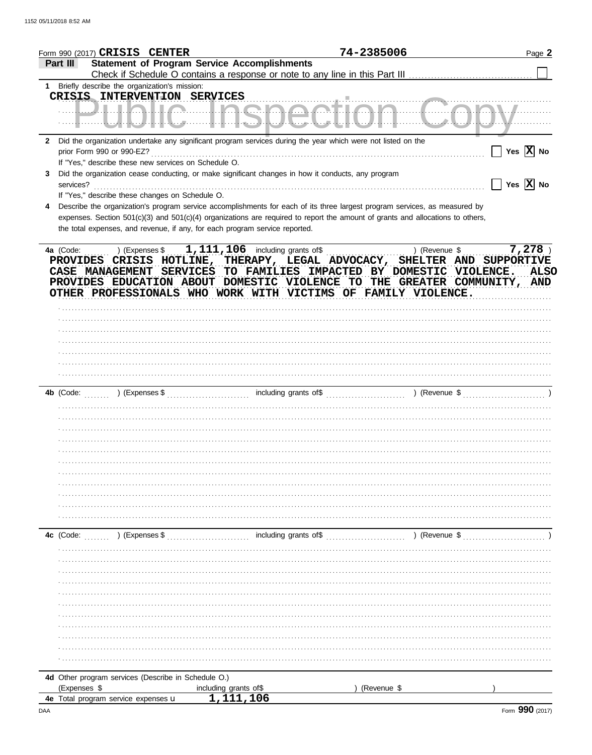|                | Form 990 (2017) CRISIS CENTER                        |                                                                                                                                | 74-2385006  |               | Page 2                                            |
|----------------|------------------------------------------------------|--------------------------------------------------------------------------------------------------------------------------------|-------------|---------------|---------------------------------------------------|
| Part III       |                                                      | <b>Statement of Program Service Accomplishments</b>                                                                            |             |               |                                                   |
|                | 1 Briefly describe the organization's mission:       |                                                                                                                                |             |               |                                                   |
|                | CRISIS INTERVENTION SERVICES                         |                                                                                                                                |             |               |                                                   |
|                |                                                      | <u> Uulalia linenaantian kumany</u>                                                                                            |             |               |                                                   |
|                |                                                      |                                                                                                                                |             |               |                                                   |
|                |                                                      | 2 Did the organization undertake any significant program services during the year which were not listed on the                 |             |               | $Yes \ \overline{X}\ $ No                         |
|                | If "Yes," describe these new services on Schedule O. |                                                                                                                                |             |               |                                                   |
| 3<br>services? |                                                      | Did the organization cease conducting, or make significant changes in how it conducts, any program                             |             |               | $\boxed{\phantom{1}}$ Yes $\boxed{\textbf{X}}$ No |
|                | If "Yes," describe these changes on Schedule O.      |                                                                                                                                |             |               |                                                   |
|                |                                                      | Describe the organization's program service accomplishments for each of its three largest program services, as measured by     |             |               |                                                   |
|                |                                                      | expenses. Section 501(c)(3) and 501(c)(4) organizations are required to report the amount of grants and allocations to others, |             |               |                                                   |
|                |                                                      | the total expenses, and revenue, if any, for each program service reported.                                                    |             |               |                                                   |
|                |                                                      |                                                                                                                                |             |               |                                                   |
| 4a (Code:      |                                                      | PROVIDES CRISIS HOTLINE, THERAPY, LEGAL ADVOCACY, SHELTER AND SUPPORTIVE                                                       |             | ) (Revenue \$ | $7,278$ )                                         |
|                |                                                      | CASE MANAGEMENT SERVICES TO FAMILIES IMPACTED BY DOMESTIC VIOLENCE. ALSO                                                       |             |               |                                                   |
|                |                                                      | PROVIDES EDUCATION ABOUT DOMESTIC VIOLENCE TO THE GREATER COMMUNITY, AND                                                       |             |               |                                                   |
|                |                                                      | OTHER PROFESSIONALS WHO WORK WITH VICTIMS OF FAMILY VIOLENCE.                                                                  |             |               |                                                   |
|                |                                                      |                                                                                                                                |             |               |                                                   |
|                |                                                      |                                                                                                                                |             |               |                                                   |
|                |                                                      |                                                                                                                                |             |               |                                                   |
|                |                                                      |                                                                                                                                |             |               |                                                   |
|                |                                                      |                                                                                                                                |             |               |                                                   |
|                |                                                      |                                                                                                                                |             |               |                                                   |
|                |                                                      |                                                                                                                                |             |               |                                                   |
|                |                                                      |                                                                                                                                |             |               |                                                   |
|                |                                                      |                                                                                                                                |             |               |                                                   |
|                |                                                      |                                                                                                                                |             |               |                                                   |
|                |                                                      |                                                                                                                                |             |               |                                                   |
|                |                                                      |                                                                                                                                |             |               |                                                   |
|                |                                                      |                                                                                                                                |             |               |                                                   |
|                |                                                      |                                                                                                                                |             |               |                                                   |
|                |                                                      |                                                                                                                                |             |               |                                                   |
|                |                                                      |                                                                                                                                |             |               |                                                   |
|                |                                                      |                                                                                                                                |             |               |                                                   |
|                |                                                      |                                                                                                                                |             |               |                                                   |
|                |                                                      |                                                                                                                                |             |               |                                                   |
|                |                                                      |                                                                                                                                |             |               |                                                   |
|                |                                                      |                                                                                                                                |             |               |                                                   |
|                |                                                      |                                                                                                                                |             |               |                                                   |
|                |                                                      |                                                                                                                                |             |               |                                                   |
|                |                                                      |                                                                                                                                |             |               |                                                   |
|                |                                                      |                                                                                                                                |             |               |                                                   |
|                |                                                      |                                                                                                                                |             |               |                                                   |
|                |                                                      |                                                                                                                                |             |               |                                                   |
|                |                                                      |                                                                                                                                |             |               |                                                   |
|                |                                                      |                                                                                                                                |             |               |                                                   |
|                |                                                      |                                                                                                                                |             |               |                                                   |
| (Expenses \$   | 4d Other program services (Describe in Schedule O.)  | including grants of\$                                                                                                          | (Revenue \$ |               |                                                   |
|                | 4e Total program service expenses u                  | 1,111,106                                                                                                                      |             |               |                                                   |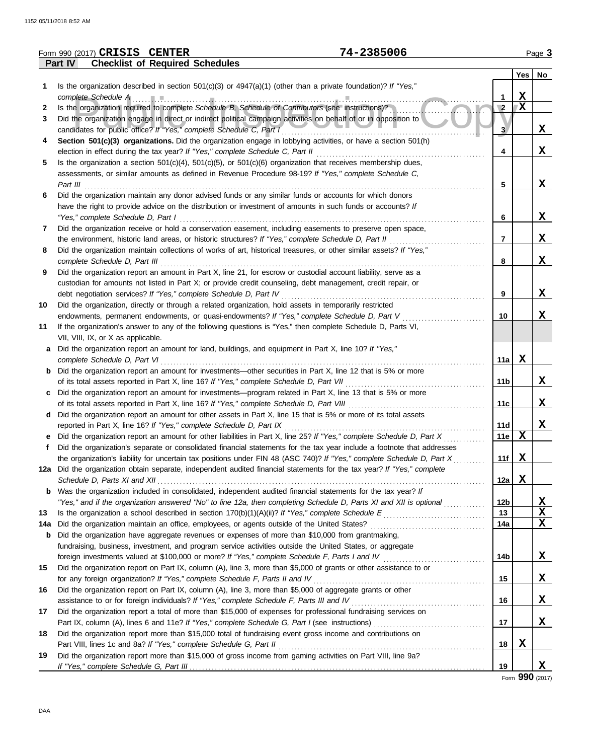|     | 74-2385006<br>Form 990 (2017) CRISIS CENTER                                                                             |            |             | Page 3   |
|-----|-------------------------------------------------------------------------------------------------------------------------|------------|-------------|----------|
|     | Part IV<br><b>Checklist of Required Schedules</b>                                                                       |            |             |          |
|     |                                                                                                                         |            |             | Yes   No |
| 1   | Is the organization described in section $501(c)(3)$ or $4947(a)(1)$ (other than a private foundation)? If "Yes,"       |            |             |          |
|     | complete Schedule A                                                                                                     | 1          | $\mathbf X$ |          |
| 2   | Is the organization required to complete Schedule B, Schedule of Contributors (see instructions)?                       | $\sqrt{2}$ | X           |          |
| 3   | Did the organization engage in direct or indirect political campaign activities on behalf of or in opposition to        |            |             |          |
|     | candidates for public office? If "Yes," complete Schedule C, Part I                                                     | 3          |             | X        |
| 4   | Section 501(c)(3) organizations. Did the organization engage in lobbying activities, or have a section 501(h)           |            |             |          |
|     | election in effect during the tax year? If "Yes," complete Schedule C, Part II                                          | 4          |             | X        |
| 5   | Is the organization a section $501(c)(4)$ , $501(c)(5)$ , or $501(c)(6)$ organization that receives membership dues,    |            |             |          |
|     | assessments, or similar amounts as defined in Revenue Procedure 98-19? If "Yes," complete Schedule C,                   |            |             |          |
|     | Part III                                                                                                                | 5          |             | X        |
| 6   | Did the organization maintain any donor advised funds or any similar funds or accounts for which donors                 |            |             |          |
|     | have the right to provide advice on the distribution or investment of amounts in such funds or accounts? If             |            |             |          |
|     |                                                                                                                         |            |             | X        |
|     | "Yes," complete Schedule D, Part I                                                                                      | 6          |             |          |
| 7   | Did the organization receive or hold a conservation easement, including easements to preserve open space,               |            |             |          |
|     | the environment, historic land areas, or historic structures? If "Yes," complete Schedule D, Part II                    | 7          |             | X        |
| 8   | Did the organization maintain collections of works of art, historical treasures, or other similar assets? If "Yes,"     |            |             |          |
|     | complete Schedule D, Part III                                                                                           | 8          |             | X        |
| 9   | Did the organization report an amount in Part X, line 21, for escrow or custodial account liability, serve as a         |            |             |          |
|     | custodian for amounts not listed in Part X; or provide credit counseling, debt management, credit repair, or            |            |             |          |
|     | debt negotiation services? If "Yes," complete Schedule D, Part IV                                                       | 9          |             | X        |
| 10  | Did the organization, directly or through a related organization, hold assets in temporarily restricted                 |            |             |          |
|     | endowments, permanent endowments, or quasi-endowments? If "Yes," complete Schedule D, Part V                            | 10         |             | X        |
| 11  | If the organization's answer to any of the following questions is "Yes," then complete Schedule D, Parts VI,            |            |             |          |
|     | VII, VIII, IX, or X as applicable.                                                                                      |            |             |          |
| а   | Did the organization report an amount for land, buildings, and equipment in Part X, line 10? If "Yes,"                  |            |             |          |
|     | complete Schedule D, Part VI                                                                                            | 11a        | X           |          |
|     | Did the organization report an amount for investments-other securities in Part X, line 12 that is 5% or more            |            |             |          |
|     | of its total assets reported in Part X, line 16? If "Yes," complete Schedule D, Part VII                                | 11b        |             | X        |
| c   | Did the organization report an amount for investments—program related in Part X, line 13 that is 5% or more             |            |             |          |
|     | of its total assets reported in Part X, line 16? If "Yes," complete Schedule D, Part VIII                               | 11c        |             | X        |
| d   | Did the organization report an amount for other assets in Part X, line 15 that is 5% or more of its total assets        |            |             |          |
|     | reported in Part X, line 16? If "Yes," complete Schedule D, Part IX                                                     | 11d        |             | X        |
|     | Did the organization report an amount for other liabilities in Part X, line 25? If "Yes," complete Schedule D, Part X   | 11e        | X           |          |
|     | Did the organization's separate or consolidated financial statements for the tax year include a footnote that addresses |            |             |          |
|     | the organization's liability for uncertain tax positions under FIN 48 (ASC 740)? If "Yes," complete Schedule D, Part X  | 11f        | X           |          |
|     | 12a Did the organization obtain separate, independent audited financial statements for the tax year? If "Yes," complete |            |             |          |
|     |                                                                                                                         | 12a        | X           |          |
| b   | Was the organization included in consolidated, independent audited financial statements for the tax year? If            |            |             |          |
|     | "Yes," and if the organization answered "No" to line 12a, then completing Schedule D, Parts XI and XII is optional      | 12b        |             | X        |
| 13  |                                                                                                                         | 13         |             | X        |
| 14a | Did the organization maintain an office, employees, or agents outside of the United States?                             | 14a        |             | X        |
|     |                                                                                                                         |            |             |          |
| b   | Did the organization have aggregate revenues or expenses of more than \$10,000 from grantmaking,                        |            |             |          |
|     | fundraising, business, investment, and program service activities outside the United States, or aggregate               |            |             |          |
|     | foreign investments valued at \$100,000 or more? If "Yes," complete Schedule F, Parts I and IV                          | 14b        |             | X        |
| 15  | Did the organization report on Part IX, column (A), line 3, more than \$5,000 of grants or other assistance to or       |            |             |          |
|     | for any foreign organization? If "Yes," complete Schedule F, Parts II and IV                                            | 15         |             | X        |
| 16  | Did the organization report on Part IX, column (A), line 3, more than \$5,000 of aggregate grants or other              |            |             |          |
|     |                                                                                                                         | 16         |             | X        |
| 17  | Did the organization report a total of more than \$15,000 of expenses for professional fundraising services on          |            |             |          |
|     |                                                                                                                         | 17         |             | X        |
| 18  | Did the organization report more than \$15,000 total of fundraising event gross income and contributions on             |            |             |          |
|     | Part VIII, lines 1c and 8a? If "Yes," complete Schedule G, Part II                                                      | 18         | X           |          |
| 19  | Did the organization report more than \$15,000 of gross income from gaming activities on Part VIII, line 9a?            |            |             |          |
|     |                                                                                                                         | 19         |             | X        |

Form **990** (2017)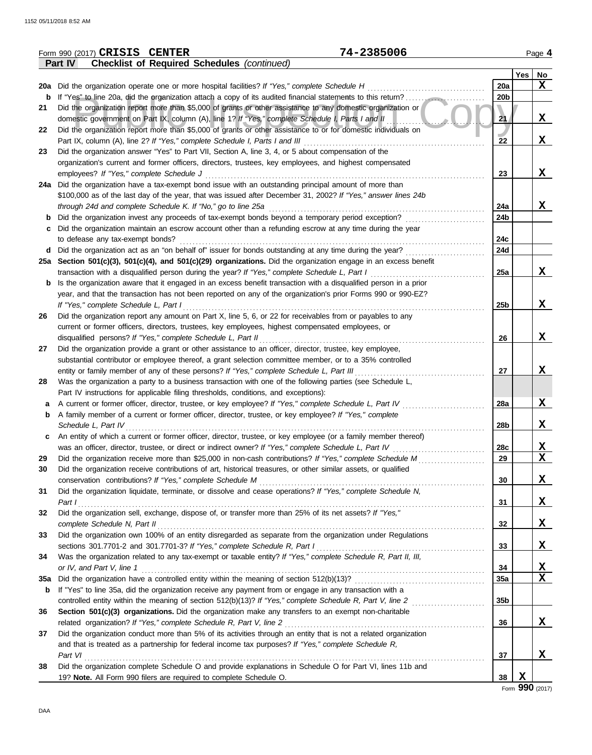|     | 74-2385006<br>Form 990 (2017) CRISIS CENTER                                                                      |                 |            | Page 4                  |
|-----|------------------------------------------------------------------------------------------------------------------|-----------------|------------|-------------------------|
|     | <b>Checklist of Required Schedules (continued)</b><br>Part IV                                                    |                 |            |                         |
|     |                                                                                                                  |                 | <b>Yes</b> | No                      |
|     | 20a Did the organization operate one or more hospital facilities? If "Yes," complete Schedule H                  | 20a             |            | X                       |
| b   |                                                                                                                  | 20 <sub>b</sub> |            |                         |
| 21  | Did the organization report more than \$5,000 of grants or other assistance to any domestic organization or      |                 |            |                         |
|     | domestic government on Part IX, column (A), line 1? If "Yes," complete Schedule I, Parts I and II                | 21              |            | X                       |
|     |                                                                                                                  |                 |            |                         |
| 22  | Did the organization report more than \$5,000 of grants or other assistance to or for domestic individuals on    |                 |            |                         |
|     | Part IX, column (A), line 2? If "Yes," complete Schedule I, Parts I and III                                      | 22              |            | X                       |
| 23  | Did the organization answer "Yes" to Part VII, Section A, line 3, 4, or 5 about compensation of the              |                 |            |                         |
|     | organization's current and former officers, directors, trustees, key employees, and highest compensated          |                 |            |                         |
|     | employees? If "Yes," complete Schedule J                                                                         | 23              |            | X                       |
|     | 24a Did the organization have a tax-exempt bond issue with an outstanding principal amount of more than          |                 |            |                         |
|     | \$100,000 as of the last day of the year, that was issued after December 31, 2002? If "Yes," answer lines 24b    |                 |            |                         |
|     | through 24d and complete Schedule K. If "No," go to line 25a                                                     | 24a             |            | X                       |
| b   | Did the organization invest any proceeds of tax-exempt bonds beyond a temporary period exception?                | 24b             |            |                         |
| c   | Did the organization maintain an escrow account other than a refunding escrow at any time during the year        |                 |            |                         |
|     | to defease any tax-exempt bonds?                                                                                 | 24c             |            |                         |
|     | Did the organization act as an "on behalf of" issuer for bonds outstanding at any time during the year?          | 24d             |            |                         |
| d   |                                                                                                                  |                 |            |                         |
|     | 25a Section 501(c)(3), 501(c)(4), and 501(c)(29) organizations. Did the organization engage in an excess benefit |                 |            |                         |
|     | transaction with a disqualified person during the year? If "Yes," complete Schedule L, Part I                    | 25a             |            | X                       |
| b   | Is the organization aware that it engaged in an excess benefit transaction with a disqualified person in a prior |                 |            |                         |
|     | year, and that the transaction has not been reported on any of the organization's prior Forms 990 or 990-EZ?     |                 |            |                         |
|     | If "Yes," complete Schedule L, Part I                                                                            | 25 <sub>b</sub> |            | X                       |
| 26  | Did the organization report any amount on Part X, line 5, 6, or 22 for receivables from or payables to any       |                 |            |                         |
|     | current or former officers, directors, trustees, key employees, highest compensated employees, or                |                 |            |                         |
|     | disqualified persons? If "Yes," complete Schedule L, Part II                                                     | 26              |            | X                       |
| 27  | Did the organization provide a grant or other assistance to an officer, director, trustee, key employee,         |                 |            |                         |
|     | substantial contributor or employee thereof, a grant selection committee member, or to a 35% controlled          |                 |            |                         |
|     | entity or family member of any of these persons? If "Yes," complete Schedule L, Part III                         | 27              |            | X                       |
| 28  | Was the organization a party to a business transaction with one of the following parties (see Schedule L,        |                 |            |                         |
|     |                                                                                                                  |                 |            |                         |
|     | Part IV instructions for applicable filing thresholds, conditions, and exceptions):                              |                 |            |                         |
| а   | A current or former officer, director, trustee, or key employee? If "Yes," complete Schedule L, Part IV          | 28a             |            | $\mathbf x$             |
| b   | A family member of a current or former officer, director, trustee, or key employee? If "Yes," complete           |                 |            |                         |
|     | Schedule L, Part IV                                                                                              | 28b             |            | X                       |
| c   | An entity of which a current or former officer, director, trustee, or key employee (or a family member thereof)  |                 |            |                         |
|     | was an officer, director, trustee, or direct or indirect owner? If "Yes," complete Schedule L, Part IV           | 28c             |            | X                       |
| 29  | Did the organization receive more than \$25,000 in non-cash contributions? If "Yes," complete Schedule M         | 29              |            | $\overline{\mathbf{x}}$ |
| 30  | Did the organization receive contributions of art, historical treasures, or other similar assets, or qualified   |                 |            |                         |
|     | conservation contributions? If "Yes," complete Schedule M                                                        | 30              |            | X                       |
| 31  | Did the organization liquidate, terminate, or dissolve and cease operations? If "Yes," complete Schedule N,      |                 |            |                         |
|     | Part I                                                                                                           | 31              |            | X                       |
| 32  | Did the organization sell, exchange, dispose of, or transfer more than 25% of its net assets? If "Yes,"          |                 |            |                         |
|     | complete Schedule N, Part II                                                                                     |                 |            |                         |
|     |                                                                                                                  | 32              |            | X                       |
| 33  | Did the organization own 100% of an entity disregarded as separate from the organization under Regulations       |                 |            |                         |
|     | sections 301.7701-2 and 301.7701-3? If "Yes," complete Schedule R, Part I                                        | 33              |            | X                       |
| 34  | Was the organization related to any tax-exempt or taxable entity? If "Yes," complete Schedule R, Part II, III,   |                 |            |                         |
|     | or IV, and Part V, line 1                                                                                        | 34              |            | <u>x</u>                |
| 35a |                                                                                                                  | 35a             |            | $\mathbf{x}$            |
| b   | If "Yes" to line 35a, did the organization receive any payment from or engage in any transaction with a          |                 |            |                         |
|     | controlled entity within the meaning of section 512(b)(13)? If "Yes," complete Schedule R, Part V, line 2        | 35b             |            |                         |
| 36  | Section 501(c)(3) organizations. Did the organization make any transfers to an exempt non-charitable             |                 |            |                         |
|     | related organization? If "Yes," complete Schedule R, Part V, line 2                                              | 36              |            | $\mathbf x$             |
|     | Did the organization conduct more than 5% of its activities through an entity that is not a related organization |                 |            |                         |
| 37  |                                                                                                                  |                 |            |                         |
|     | and that is treated as a partnership for federal income tax purposes? If "Yes," complete Schedule R,             |                 |            |                         |
|     | Part VI                                                                                                          | 37              |            | X                       |
| 38  | Did the organization complete Schedule O and provide explanations in Schedule O for Part VI, lines 11b and       |                 |            |                         |
|     | 19? Note. All Form 990 filers are required to complete Schedule O.                                               | 38              | X          |                         |

Form **990** (2017)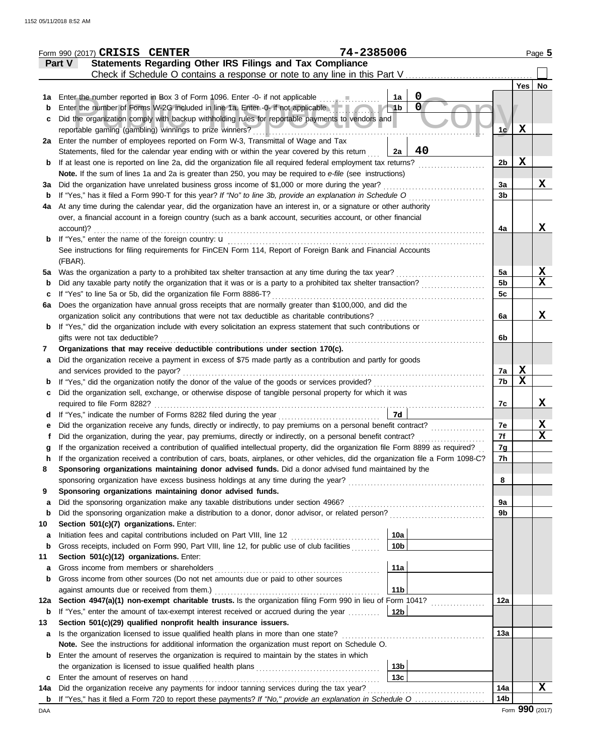|         | 74-2385006<br>Form 990 (2017) CRISIS CENTER                                                                                                                                                           |                |             | Page 5      |
|---------|-------------------------------------------------------------------------------------------------------------------------------------------------------------------------------------------------------|----------------|-------------|-------------|
|         | Statements Regarding Other IRS Filings and Tax Compliance<br>Part V                                                                                                                                   |                |             |             |
|         | Check if Schedule O contains a response or note to any line in this Part V.                                                                                                                           |                |             |             |
|         |                                                                                                                                                                                                       |                | Yes         | No          |
|         | $\mathbf 0$<br>1a<br>1a Enter the number reported in Box 3 of Form 1096. Enter -0- if not applicable<br>$\mathbf 0$                                                                                   |                |             |             |
| b       | Enter the number of Forms W-2G included in line 1a. Enter -0- if not applicable<br>1 <sub>b</sub><br>Did the organization comply with backup withholding rules for reportable payments to vendors and |                |             |             |
| c       |                                                                                                                                                                                                       | 1c             | $\mathbf x$ |             |
| 2a      | Enter the number of employees reported on Form W-3, Transmittal of Wage and Tax                                                                                                                       |                |             |             |
|         | 40<br>Statements, filed for the calendar year ending with or within the year covered by this return<br>2a                                                                                             |                |             |             |
| b       | If at least one is reported on line 2a, did the organization file all required federal employment tax returns?                                                                                        | 2 <sub>b</sub> | $\mathbf x$ |             |
|         | Note. If the sum of lines 1a and 2a is greater than 250, you may be required to e-file (see instructions)                                                                                             |                |             |             |
| За      | Did the organization have unrelated business gross income of \$1,000 or more during the year?                                                                                                         | 3a             |             | X           |
| b       | If "Yes," has it filed a Form 990-T for this year? If "No" to line 3b, provide an explanation in Schedule O                                                                                           | 3 <sub>b</sub> |             |             |
| 4a      | At any time during the calendar year, did the organization have an interest in, or a signature or other authority                                                                                     |                |             |             |
|         | over, a financial account in a foreign country (such as a bank account, securities account, or other financial                                                                                        |                |             |             |
|         | account)?                                                                                                                                                                                             | 4a             |             | X           |
| b       | If "Yes," enter the name of the foreign country: u                                                                                                                                                    |                |             |             |
|         | See instructions for filing requirements for FinCEN Form 114, Report of Foreign Bank and Financial Accounts                                                                                           |                |             |             |
|         | (FBAR).                                                                                                                                                                                               |                |             |             |
| 5a      | Was the organization a party to a prohibited tax shelter transaction at any time during the tax year?                                                                                                 | 5a             |             | X           |
|         | Did any taxable party notify the organization that it was or is a party to a prohibited tax shelter transaction?                                                                                      | 5 <sub>b</sub> |             | $\mathbf x$ |
| c       | If "Yes" to line 5a or 5b, did the organization file Form 8886-T?                                                                                                                                     | 5c             |             |             |
| 6a      | Does the organization have annual gross receipts that are normally greater than \$100,000, and did the                                                                                                |                |             |             |
|         | organization solicit any contributions that were not tax deductible as charitable contributions?                                                                                                      | 6a             |             | X           |
| b       | If "Yes," did the organization include with every solicitation an express statement that such contributions or                                                                                        |                |             |             |
|         | gifts were not tax deductible?                                                                                                                                                                        | 6b             |             |             |
| 7       | Organizations that may receive deductible contributions under section 170(c).<br>Did the organization receive a payment in excess of \$75 made partly as a contribution and partly for goods          |                |             |             |
| a       | and services provided to the payor?                                                                                                                                                                   | 7a             | X           |             |
|         | If "Yes," did the organization notify the donor of the value of the goods or services provided?                                                                                                       | 7b             | $\mathbf x$ |             |
|         | Did the organization sell, exchange, or otherwise dispose of tangible personal property for which it was                                                                                              |                |             |             |
|         | required to file Form 8282?                                                                                                                                                                           | 7c             |             | X           |
|         | If "Yes," indicate the number of Forms 8282 filed during the year<br>7d                                                                                                                               |                |             |             |
|         | Did the organization receive any funds, directly or indirectly, to pay premiums on a personal benefit contract?                                                                                       | 7е             |             | <u>x</u>    |
|         | Did the organization, during the year, pay premiums, directly or indirectly, on a personal benefit contract?                                                                                          | 7f             |             | $\mathbf X$ |
|         | If the organization received a contribution of qualified intellectual property, did the organization file Form 8899 as required?                                                                      | 7g             |             |             |
| n       | If the organization received a contribution of cars, boats, airplanes, or other vehicles, did the organization file a Form 1098-C?                                                                    | 7h             |             |             |
| 8       | Sponsoring organizations maintaining donor advised funds. Did a donor advised fund maintained by the                                                                                                  |                |             |             |
|         |                                                                                                                                                                                                       | 8              |             |             |
| 9       | Sponsoring organizations maintaining donor advised funds.                                                                                                                                             |                |             |             |
| a       | Did the sponsoring organization make any taxable distributions under section 4966?                                                                                                                    | 9a             |             |             |
| b       |                                                                                                                                                                                                       | 9b             |             |             |
| 10      | Section 501(c)(7) organizations. Enter:                                                                                                                                                               |                |             |             |
| a       | 10a<br>Initiation fees and capital contributions included on Part VIII, line 12 [11][11][11][11][11][11][11][11][11]                                                                                  |                |             |             |
| b       | 10 <sub>b</sub><br>Gross receipts, included on Form 990, Part VIII, line 12, for public use of club facilities                                                                                        |                |             |             |
| 11      | Section 501(c)(12) organizations. Enter:                                                                                                                                                              |                |             |             |
| a       | 11a<br>Gross income from members or shareholders                                                                                                                                                      |                |             |             |
| b       | Gross income from other sources (Do not net amounts due or paid to other sources                                                                                                                      |                |             |             |
|         | 11 <sub>b</sub><br>against amounts due or received from them.)<br>Section 4947(a)(1) non-exempt charitable trusts. Is the organization filing Form 990 in lieu of Form 1041?                          | 12a            |             |             |
| 12a     | 12b                                                                                                                                                                                                   |                |             |             |
| b<br>13 | If "Yes," enter the amount of tax-exempt interest received or accrued during the year<br>Section 501(c)(29) qualified nonprofit health insurance issuers.                                             |                |             |             |
| а       | Is the organization licensed to issue qualified health plans in more than one state?                                                                                                                  | 13a            |             |             |
|         | Note. See the instructions for additional information the organization must report on Schedule O.                                                                                                     |                |             |             |
| b       | Enter the amount of reserves the organization is required to maintain by the states in which                                                                                                          |                |             |             |
|         | 13 <sub>b</sub>                                                                                                                                                                                       |                |             |             |
| c       | 13 <sub>c</sub><br>Enter the amount of reserves on hand                                                                                                                                               |                |             |             |
| 14a     | Did the organization receive any payments for indoor tanning services during the tax year?                                                                                                            | 14a            |             | X           |
|         | <b>b</b> If "Yes," has it filed a Form 720 to report these payments? If "No," provide an explanation in Schedule O                                                                                    | 14b            |             |             |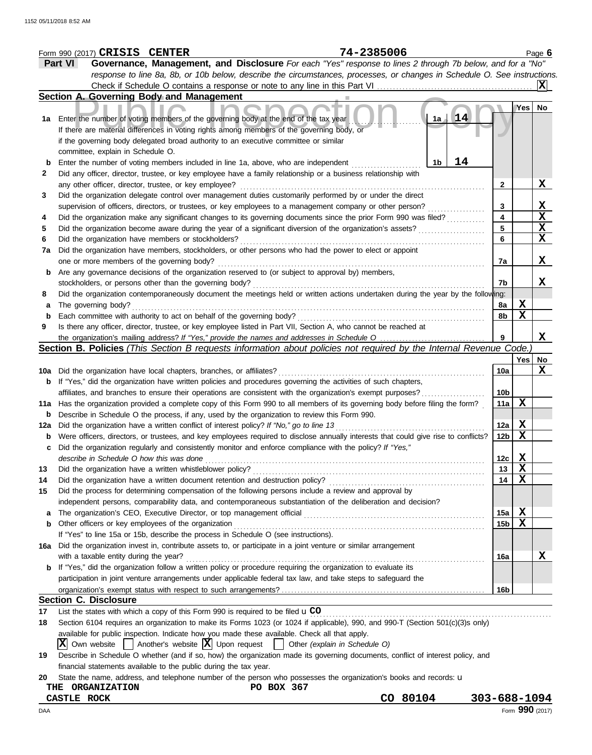|     | Form 990 (2017) CRISIS CENTER                                                                                                              | 74-2385006                                                                                                                          |                 |                  | Page 6          |
|-----|--------------------------------------------------------------------------------------------------------------------------------------------|-------------------------------------------------------------------------------------------------------------------------------------|-----------------|------------------|-----------------|
|     | Part VI                                                                                                                                    | Governance, Management, and Disclosure For each "Yes" response to lines 2 through 7b below, and for a "No"                          |                 |                  |                 |
|     |                                                                                                                                            | response to line 8a, 8b, or 10b below, describe the circumstances, processes, or changes in Schedule O. See instructions.           |                 |                  |                 |
|     |                                                                                                                                            |                                                                                                                                     |                 |                  | X               |
|     | Section A. Governing Body and Management                                                                                                   |                                                                                                                                     |                 |                  |                 |
|     |                                                                                                                                            |                                                                                                                                     |                 | Yes              | No              |
|     | 1a Enter the number of voting members of the governing body at the end of the tax year                                                     | 14<br>1a                                                                                                                            |                 |                  |                 |
|     | If there are material differences in voting rights among members of the governing body, or                                                 |                                                                                                                                     |                 |                  |                 |
|     | if the governing body delegated broad authority to an executive committee or similar                                                       |                                                                                                                                     |                 |                  |                 |
|     | committee, explain in Schedule O.                                                                                                          |                                                                                                                                     |                 |                  |                 |
| b   | Enter the number of voting members included in line 1a, above, who are independent                                                         | 14<br>1 <sub>b</sub>                                                                                                                |                 |                  |                 |
| 2   |                                                                                                                                            | Did any officer, director, trustee, or key employee have a family relationship or a business relationship with                      |                 |                  |                 |
|     | any other officer, director, trustee, or key employee?                                                                                     |                                                                                                                                     | 2               |                  | X               |
| 3   |                                                                                                                                            | Did the organization delegate control over management duties customarily performed by or under the direct                           |                 |                  |                 |
|     |                                                                                                                                            | supervision of officers, directors, or trustees, or key employees to a management company or other person?                          | 3               |                  | X               |
| 4   |                                                                                                                                            | Did the organization make any significant changes to its governing documents since the prior Form 990 was filed?                    | 4               |                  | X               |
| 5   |                                                                                                                                            | Did the organization become aware during the year of a significant diversion of the organization's assets?                          | 5               |                  | X               |
| 6   | Did the organization have members or stockholders?                                                                                         |                                                                                                                                     | 6               |                  | X               |
| 7a  |                                                                                                                                            | Did the organization have members, stockholders, or other persons who had the power to elect or appoint                             |                 |                  |                 |
|     | one or more members of the governing body?                                                                                                 |                                                                                                                                     | 7a              |                  | X               |
| b   | Are any governance decisions of the organization reserved to (or subject to approval by) members,                                          |                                                                                                                                     |                 |                  |                 |
|     | stockholders, or persons other than the governing body?                                                                                    |                                                                                                                                     | 7b              |                  | X               |
| 8   |                                                                                                                                            | Did the organization contemporaneously document the meetings held or written actions undertaken during the year by the following:   |                 |                  |                 |
| a   | The governing body?                                                                                                                        |                                                                                                                                     | 8а              | Х                |                 |
| b   | Each committee with authority to act on behalf of the governing body?                                                                      |                                                                                                                                     | 8b              | $\mathbf X$      |                 |
| 9   |                                                                                                                                            | Is there any officer, director, trustee, or key employee listed in Part VII, Section A, who cannot be reached at                    |                 |                  |                 |
|     |                                                                                                                                            |                                                                                                                                     |                 |                  | X               |
|     |                                                                                                                                            | Section B. Policies (This Section B requests information about policies not required by the Internal Revenue Code.)                 |                 |                  |                 |
|     |                                                                                                                                            |                                                                                                                                     |                 | Yes              | No              |
|     | 10a Did the organization have local chapters, branches, or affiliates?                                                                     |                                                                                                                                     | 10a             |                  | X               |
|     |                                                                                                                                            | <b>b</b> If "Yes," did the organization have written policies and procedures governing the activities of such chapters,             |                 |                  |                 |
|     |                                                                                                                                            | affiliates, and branches to ensure their operations are consistent with the organization's exempt purposes?                         | 10b             |                  |                 |
|     |                                                                                                                                            | 11a Has the organization provided a complete copy of this Form 990 to all members of its governing body before filing the form?     | 11a             | X                |                 |
| b   | Describe in Schedule O the process, if any, used by the organization to review this Form 990.                                              |                                                                                                                                     |                 |                  |                 |
| 12a | Did the organization have a written conflict of interest policy? If "No," go to line 13                                                    |                                                                                                                                     | 12a             | $\mathbf x$      |                 |
| b   |                                                                                                                                            | Were officers, directors, or trustees, and key employees required to disclose annually interests that could give rise to conflicts? | 12 <sub>b</sub> | $\mathbf x$      |                 |
|     |                                                                                                                                            | Did the organization regularly and consistently monitor and enforce compliance with the policy? If "Yes,"                           |                 |                  |                 |
|     | describe in Schedule O how this was done                                                                                                   |                                                                                                                                     | 12c             | X.               |                 |
| 13  | Did the organization have a written whistleblower policy?                                                                                  |                                                                                                                                     | 13              | X                |                 |
| 14  | Did the organization have a written document retention and destruction policy?                                                             |                                                                                                                                     | 14              | X                |                 |
| 15  |                                                                                                                                            | Did the process for determining compensation of the following persons include a review and approval by                              |                 |                  |                 |
|     |                                                                                                                                            | independent persons, comparability data, and contemporaneous substantiation of the deliberation and decision?                       |                 |                  |                 |
|     | The organization's CEO, Executive Director, or top management official                                                                     |                                                                                                                                     | 15a             | X<br>$\mathbf x$ |                 |
| b   | Other officers or key employees of the organization<br>If "Yes" to line 15a or 15b, describe the process in Schedule O (see instructions). |                                                                                                                                     | 15 <sub>b</sub> |                  |                 |
|     |                                                                                                                                            |                                                                                                                                     |                 |                  |                 |
| 16a |                                                                                                                                            | Did the organization invest in, contribute assets to, or participate in a joint venture or similar arrangement                      |                 |                  | X               |
| b   | with a taxable entity during the year?                                                                                                     | If "Yes," did the organization follow a written policy or procedure requiring the organization to evaluate its                      | 16a             |                  |                 |
|     |                                                                                                                                            | participation in joint venture arrangements under applicable federal tax law, and take steps to safeguard the                       |                 |                  |                 |
|     |                                                                                                                                            |                                                                                                                                     |                 |                  |                 |
|     | <b>Section C. Disclosure</b>                                                                                                               |                                                                                                                                     | 16b             |                  |                 |
| 17  | List the states with which a copy of this Form 990 is required to be filed $\mathbf{u}$ CO                                                 |                                                                                                                                     |                 |                  |                 |
| 18  |                                                                                                                                            | Section 6104 requires an organization to make its Forms 1023 (or 1024 if applicable), 990, and 990-T (Section 501(c)(3)s only)      |                 |                  |                 |
|     | available for public inspection. Indicate how you made these available. Check all that apply.                                              |                                                                                                                                     |                 |                  |                 |
|     | IХ<br>Another's website $ \mathbf{X} $ Upon request<br>Own website                                                                         | Other (explain in Schedule O)                                                                                                       |                 |                  |                 |
| 19  |                                                                                                                                            | Describe in Schedule O whether (and if so, how) the organization made its governing documents, conflict of interest policy, and     |                 |                  |                 |
|     | financial statements available to the public during the tax year.                                                                          |                                                                                                                                     |                 |                  |                 |
| 20  |                                                                                                                                            | State the name, address, and telephone number of the person who possesses the organization's books and records: <b>u</b>            |                 |                  |                 |
|     | THE ORGANIZATION                                                                                                                           | PO BOX 367                                                                                                                          |                 |                  |                 |
|     | <b>CASTLE ROCK</b>                                                                                                                         | CO 80104<br>303-688-1094                                                                                                            |                 |                  |                 |
| DAA |                                                                                                                                            |                                                                                                                                     |                 |                  | Form 990 (2017) |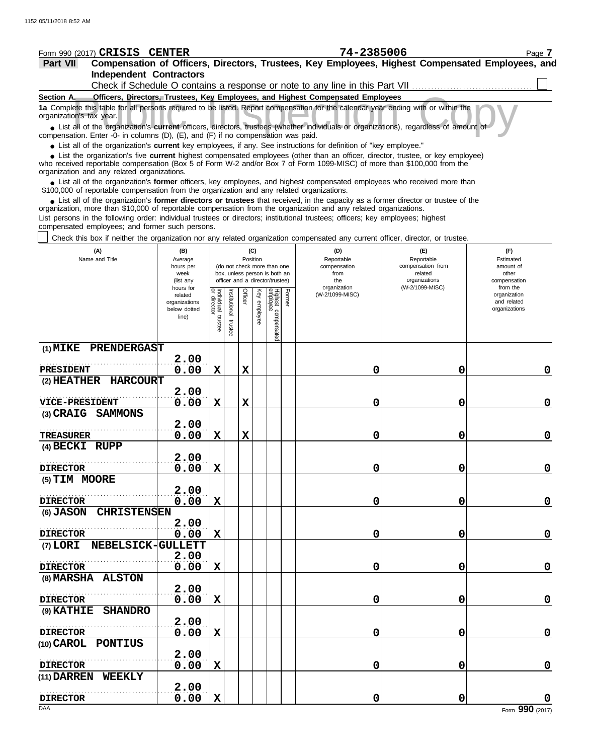| Form 990 (2017) CRISIS CENTER                                                                                                                                                                                                                                                                              |                             |                           |              |          |          |                                                                  |        | 74-2385006                                                                      |                                        | Page 7                                                                                           |
|------------------------------------------------------------------------------------------------------------------------------------------------------------------------------------------------------------------------------------------------------------------------------------------------------------|-----------------------------|---------------------------|--------------|----------|----------|------------------------------------------------------------------|--------|---------------------------------------------------------------------------------|----------------------------------------|--------------------------------------------------------------------------------------------------|
| Part VII                                                                                                                                                                                                                                                                                                   |                             |                           |              |          |          |                                                                  |        |                                                                                 |                                        | Compensation of Officers, Directors, Trustees, Key Employees, Highest Compensated Employees, and |
| <b>Independent Contractors</b>                                                                                                                                                                                                                                                                             |                             |                           |              |          |          |                                                                  |        |                                                                                 |                                        |                                                                                                  |
|                                                                                                                                                                                                                                                                                                            |                             |                           |              |          |          |                                                                  |        | Check if Schedule O contains a response or note to any line in this Part VII    |                                        |                                                                                                  |
| Section A.<br>1a Complete this table for all persons required to be listed. Report compensation for the calendar year ending with or within the<br>organization's tax year.                                                                                                                                |                             |                           |              |          |          |                                                                  |        | Officers, Directors, Trustees, Key Employees, and Highest Compensated Employees |                                        |                                                                                                  |
| • List all of the organization's current officers, directors, trustees (whether individuals or organizations), regardless of amount of<br>compensation. Enter -0- in columns (D), (E), and (F) if no compensation was paid.                                                                                |                             |                           |              |          |          |                                                                  |        |                                                                                 |                                        |                                                                                                  |
| • List all of the organization's current key employees, if any. See instructions for definition of "key employee."                                                                                                                                                                                         |                             |                           |              |          |          |                                                                  |        |                                                                                 |                                        |                                                                                                  |
| • List the organization's five current highest compensated employees (other than an officer, director, trustee, or key employee)<br>who received reportable compensation (Box 5 of Form W-2 and/or Box 7 of Form 1099-MISC) of more than \$100,000 from the<br>organization and any related organizations. |                             |                           |              |          |          |                                                                  |        |                                                                                 |                                        |                                                                                                  |
| • List all of the organization's former officers, key employees, and highest compensated employees who received more than<br>\$100,000 of reportable compensation from the organization and any related organizations.                                                                                     |                             |                           |              |          |          |                                                                  |        |                                                                                 |                                        |                                                                                                  |
| • List all of the organization's former directors or trustees that received, in the capacity as a former director or trustee of the<br>organization, more than \$10,000 of reportable compensation from the organization and any related organizations.                                                    |                             |                           |              |          |          |                                                                  |        |                                                                                 |                                        |                                                                                                  |
| List persons in the following order: individual trustees or directors; institutional trustees; officers; key employees; highest<br>compensated employees; and former such persons.                                                                                                                         |                             |                           |              |          |          |                                                                  |        |                                                                                 |                                        |                                                                                                  |
| Check this box if neither the organization nor any related organization compensated any current officer, director, or trustee.                                                                                                                                                                             |                             |                           |              |          |          |                                                                  |        |                                                                                 |                                        |                                                                                                  |
| (A)<br>Name and Title                                                                                                                                                                                                                                                                                      | (B)<br>Average<br>hours per |                           |              | Position | (C)      | (do not check more than one                                      |        | (D)<br>Reportable<br>compensation                                               | (F)<br>Reportable<br>compensation from | (F)<br>Estimated<br>amount of                                                                    |
|                                                                                                                                                                                                                                                                                                            | week                        |                           |              |          |          | box, unless person is both an<br>officer and a director/trustee) |        | from<br>the                                                                     | related<br>organizations               | other<br>compensation                                                                            |
|                                                                                                                                                                                                                                                                                                            | (list any<br>hours for      |                           |              |          | Key      |                                                                  |        | organization<br>(W-2/1099-MISC)                                                 | (W-2/1099-MISC)                        | from the                                                                                         |
|                                                                                                                                                                                                                                                                                                            | related<br>organizations    | Individual<br>or director | nstitutional | Officer  |          |                                                                  | Former |                                                                                 |                                        | organization<br>and related                                                                      |
|                                                                                                                                                                                                                                                                                                            | below dotted<br>line)       |                           |              |          | employee |                                                                  |        |                                                                                 |                                        | organizations                                                                                    |
|                                                                                                                                                                                                                                                                                                            |                             | trustee                   | trustee      |          |          | Highest compensated<br>employee                                  |        |                                                                                 |                                        |                                                                                                  |
| PRENDERGAST<br>$(1)$ MIKE                                                                                                                                                                                                                                                                                  |                             |                           |              |          |          |                                                                  |        |                                                                                 |                                        |                                                                                                  |
|                                                                                                                                                                                                                                                                                                            | 2.00                        |                           |              |          |          |                                                                  |        |                                                                                 |                                        |                                                                                                  |
| <b>PRESIDENT</b><br><b>HARCOURT</b><br>$(2)$ HEATHER                                                                                                                                                                                                                                                       | 0.00                        | X                         |              | X        |          |                                                                  |        | 0                                                                               | 0                                      | 0                                                                                                |
|                                                                                                                                                                                                                                                                                                            | 2.00                        |                           |              |          |          |                                                                  |        |                                                                                 |                                        |                                                                                                  |
| <b>VICE-PRESIDENT</b>                                                                                                                                                                                                                                                                                      | 0.00                        | X                         |              | X        |          |                                                                  |        | 0                                                                               | 0                                      | 0                                                                                                |
| (3) CRAIG SAMMONS                                                                                                                                                                                                                                                                                          |                             |                           |              |          |          |                                                                  |        |                                                                                 |                                        |                                                                                                  |
| TREASURER                                                                                                                                                                                                                                                                                                  | 2.00<br>0.00                | X                         |              | X        |          |                                                                  |        | 0                                                                               | 0                                      | $\mathbf 0$                                                                                      |
| (4) BECKI RUPP                                                                                                                                                                                                                                                                                             |                             |                           |              |          |          |                                                                  |        |                                                                                 |                                        |                                                                                                  |
|                                                                                                                                                                                                                                                                                                            | 2.00                        |                           |              |          |          |                                                                  |        |                                                                                 |                                        |                                                                                                  |
| <b>DIRECTOR</b>                                                                                                                                                                                                                                                                                            | 0.00                        | $\mathbf x$               |              |          |          |                                                                  |        | 0                                                                               | 0                                      | $\mathbf 0$                                                                                      |
| (5) TIM MOORE                                                                                                                                                                                                                                                                                              |                             |                           |              |          |          |                                                                  |        |                                                                                 |                                        |                                                                                                  |
| <b>DIRECTOR</b>                                                                                                                                                                                                                                                                                            | 2.00<br>0.00                | $\mathbf x$               |              |          |          |                                                                  |        | 0                                                                               | 0                                      | $\mathbf 0$                                                                                      |
| (6) JASON CHRISTENSEN                                                                                                                                                                                                                                                                                      |                             |                           |              |          |          |                                                                  |        |                                                                                 |                                        |                                                                                                  |
|                                                                                                                                                                                                                                                                                                            | 2.00                        |                           |              |          |          |                                                                  |        |                                                                                 |                                        |                                                                                                  |
| <b>DIRECTOR</b>                                                                                                                                                                                                                                                                                            | 0.00                        | $\mathbf x$               |              |          |          |                                                                  |        | 0                                                                               | 0                                      | $\mathbf 0$                                                                                      |
| (7) LORI NEBELSICK-GULLETT                                                                                                                                                                                                                                                                                 |                             |                           |              |          |          |                                                                  |        |                                                                                 |                                        |                                                                                                  |
| <b>DIRECTOR</b>                                                                                                                                                                                                                                                                                            | 2.00<br>0.00                | X                         |              |          |          |                                                                  |        | 0                                                                               | 0                                      | $\mathbf 0$                                                                                      |
| (8) MARSHA ALSTON                                                                                                                                                                                                                                                                                          |                             |                           |              |          |          |                                                                  |        |                                                                                 |                                        |                                                                                                  |
|                                                                                                                                                                                                                                                                                                            | 2.00                        |                           |              |          |          |                                                                  |        |                                                                                 |                                        |                                                                                                  |
| <b>DIRECTOR</b>                                                                                                                                                                                                                                                                                            | 0.00                        | X                         |              |          |          |                                                                  |        | 0                                                                               | 0                                      | $\mathbf 0$                                                                                      |
| (9) KATHIE SHANDRO                                                                                                                                                                                                                                                                                         |                             |                           |              |          |          |                                                                  |        |                                                                                 |                                        |                                                                                                  |
| <b>DIRECTOR</b>                                                                                                                                                                                                                                                                                            | 2.00<br>0.00                | X                         |              |          |          |                                                                  |        | 0                                                                               | 0                                      | $\mathbf 0$                                                                                      |
| (10) CAROL PONTIUS                                                                                                                                                                                                                                                                                         |                             |                           |              |          |          |                                                                  |        |                                                                                 |                                        |                                                                                                  |
|                                                                                                                                                                                                                                                                                                            | 2.00                        |                           |              |          |          |                                                                  |        |                                                                                 |                                        |                                                                                                  |
| <b>DIRECTOR</b><br>(11) DARREN WEEKLY                                                                                                                                                                                                                                                                      | 0.00                        | X                         |              |          |          |                                                                  |        | 0                                                                               | 0                                      | $\mathbf 0$                                                                                      |
|                                                                                                                                                                                                                                                                                                            | 2.00                        |                           |              |          |          |                                                                  |        |                                                                                 |                                        |                                                                                                  |
| <b>DIRECTOR</b>                                                                                                                                                                                                                                                                                            | 0.00                        | $\mathbf X$               |              |          |          |                                                                  |        | 0                                                                               | 0                                      | $\mathbf 0$                                                                                      |

**0.00 X 0 0 0**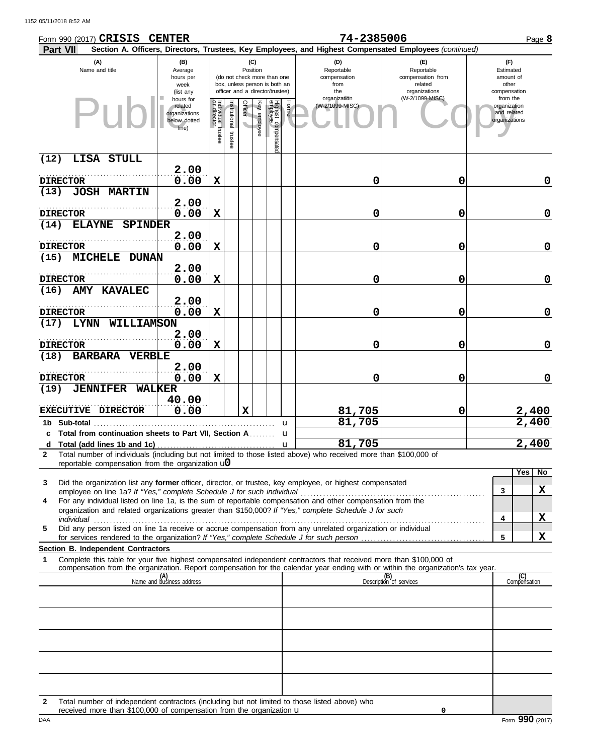| Form 990 (2017) CRISIS CENTER                                                                                                                                                                                                                               |                                                                                                                                                     |                                   |                          |                                     |              |                                 |        | 74-2385006                                                                                             |                                                                    |  |                                                          |             |  |
|-------------------------------------------------------------------------------------------------------------------------------------------------------------------------------------------------------------------------------------------------------------|-----------------------------------------------------------------------------------------------------------------------------------------------------|-----------------------------------|--------------------------|-------------------------------------|--------------|---------------------------------|--------|--------------------------------------------------------------------------------------------------------|--------------------------------------------------------------------|--|----------------------------------------------------------|-------------|--|
| <b>Part VII</b>                                                                                                                                                                                                                                             |                                                                                                                                                     |                                   |                          |                                     |              |                                 |        | Section A. Officers, Directors, Trustees, Key Employees, and Highest Compensated Employees (continued) |                                                                    |  |                                                          |             |  |
| (A)<br>Name and title                                                                                                                                                                                                                                       | (B)<br>Average<br>hours per<br>(do not check more than one<br>box, unless person is both an<br>week<br>officer and a director/trustee)<br>(list any |                                   |                          | (C)<br>Position                     |              |                                 |        | (D)<br>Reportable<br>compensation<br>from<br>the                                                       | (F)<br>Reportable<br>compensation from<br>related<br>organizations |  | (F)<br>Estimated<br>amount of<br>other<br>compensation   |             |  |
| Pur                                                                                                                                                                                                                                                         | hours for<br>related<br>organizations<br>below dotted<br>line)                                                                                      | Individual trustee<br>or director | Institutional<br>trustee | Officer<br>$\overline{\phantom{0}}$ | Key employee | Highest compensatec<br>employee | Former | organization<br>(W-2/1099-MISC)                                                                        | (W-2/1099-MISC)                                                    |  | from the<br>organization<br>and related<br>organizations |             |  |
| LISA STULL<br>(12)                                                                                                                                                                                                                                          |                                                                                                                                                     |                                   |                          |                                     |              |                                 |        |                                                                                                        |                                                                    |  |                                                          |             |  |
| <b>DIRECTOR</b>                                                                                                                                                                                                                                             | 2.00<br>0.00                                                                                                                                        | X                                 |                          |                                     |              |                                 |        | 0                                                                                                      | 0                                                                  |  |                                                          | 0           |  |
| (13)<br><b>JOSH MARTIN</b>                                                                                                                                                                                                                                  | 2.00                                                                                                                                                |                                   |                          |                                     |              |                                 |        |                                                                                                        |                                                                    |  |                                                          |             |  |
| <b>DIRECTOR</b>                                                                                                                                                                                                                                             | 0.00                                                                                                                                                | X                                 |                          |                                     |              |                                 |        | 0                                                                                                      | 0                                                                  |  |                                                          | $\mathbf 0$ |  |
| <b>ELAYNE</b><br><b>SPINDER</b><br>(14)                                                                                                                                                                                                                     | 2.00                                                                                                                                                |                                   |                          |                                     |              |                                 |        |                                                                                                        |                                                                    |  |                                                          |             |  |
| <b>DIRECTOR</b>                                                                                                                                                                                                                                             | 0.00                                                                                                                                                | X                                 |                          |                                     |              |                                 |        | 0                                                                                                      | 0                                                                  |  |                                                          | 0           |  |
| (15)<br><b>MICHELE DUNAN</b>                                                                                                                                                                                                                                | 2.00                                                                                                                                                |                                   |                          |                                     |              |                                 |        |                                                                                                        |                                                                    |  |                                                          |             |  |
| <b>DIRECTOR</b>                                                                                                                                                                                                                                             | 0.00                                                                                                                                                | X                                 |                          |                                     |              |                                 |        | 0                                                                                                      | 0                                                                  |  |                                                          | 0           |  |
| <b>AMY KAVALEC</b><br>(16)                                                                                                                                                                                                                                  |                                                                                                                                                     |                                   |                          |                                     |              |                                 |        |                                                                                                        |                                                                    |  |                                                          |             |  |
| <b>DIRECTOR</b>                                                                                                                                                                                                                                             | 2.00<br>0.00                                                                                                                                        | X                                 |                          |                                     |              |                                 |        | 0                                                                                                      | 0                                                                  |  |                                                          | 0           |  |
| LYNN WILLIAMSON<br>(17)                                                                                                                                                                                                                                     |                                                                                                                                                     |                                   |                          |                                     |              |                                 |        |                                                                                                        |                                                                    |  |                                                          |             |  |
|                                                                                                                                                                                                                                                             | 2.00                                                                                                                                                |                                   |                          |                                     |              |                                 |        |                                                                                                        |                                                                    |  |                                                          |             |  |
| <b>DIRECTOR</b><br><b>BARBARA</b><br><b>VERBLE</b><br>(18)                                                                                                                                                                                                  | 0.00                                                                                                                                                | X                                 |                          |                                     |              |                                 |        | 0                                                                                                      | 0                                                                  |  |                                                          | 0           |  |
| <b>DIRECTOR</b>                                                                                                                                                                                                                                             | 2.00<br>0.00                                                                                                                                        | X                                 |                          |                                     |              |                                 |        | 0                                                                                                      | 0                                                                  |  |                                                          | 0           |  |
| (19)<br><b>JENNIFER</b><br><b>WALKER</b>                                                                                                                                                                                                                    |                                                                                                                                                     |                                   |                          |                                     |              |                                 |        |                                                                                                        |                                                                    |  |                                                          |             |  |
| <b>EXECUTIVE</b><br><b>DIRECTOR</b>                                                                                                                                                                                                                         | 40.00<br>0.00                                                                                                                                       |                                   |                          | $\mathbf x$                         |              |                                 |        | 81,705                                                                                                 | 0                                                                  |  |                                                          | 2,400       |  |
| 1b Sub-total                                                                                                                                                                                                                                                |                                                                                                                                                     |                                   |                          |                                     |              |                                 | u      | 81,705                                                                                                 |                                                                    |  |                                                          | 2,400       |  |
| c Total from continuation sheets to Part VII, Section A.                                                                                                                                                                                                    |                                                                                                                                                     |                                   |                          |                                     |              |                                 | u      |                                                                                                        |                                                                    |  |                                                          |             |  |
| d<br>Total number of individuals (including but not limited to those listed above) who received more than \$100,000 of<br>$\mathbf{2}$                                                                                                                      |                                                                                                                                                     |                                   |                          |                                     |              |                                 | u      | 81,705                                                                                                 |                                                                    |  |                                                          | 2,400       |  |
| reportable compensation from the organization $\mathbf{u}$                                                                                                                                                                                                  |                                                                                                                                                     |                                   |                          |                                     |              |                                 |        |                                                                                                        |                                                                    |  | Yes                                                      | No          |  |
| Did the organization list any <b>former</b> officer, director, or trustee, key employee, or highest compensated<br>3<br>employee on line 1a? If "Yes," complete Schedule J for such individual                                                              |                                                                                                                                                     |                                   |                          |                                     |              |                                 |        |                                                                                                        |                                                                    |  | 3                                                        | x           |  |
| For any individual listed on line 1a, is the sum of reportable compensation and other compensation from the<br>4                                                                                                                                            |                                                                                                                                                     |                                   |                          |                                     |              |                                 |        |                                                                                                        |                                                                    |  |                                                          |             |  |
| organization and related organizations greater than \$150,000? If "Yes," complete Schedule J for such<br>individual                                                                                                                                         |                                                                                                                                                     |                                   |                          |                                     |              |                                 |        |                                                                                                        |                                                                    |  | 4                                                        | X           |  |
| Did any person listed on line 1a receive or accrue compensation from any unrelated organization or individual<br>5                                                                                                                                          |                                                                                                                                                     |                                   |                          |                                     |              |                                 |        |                                                                                                        |                                                                    |  |                                                          |             |  |
| Section B. Independent Contractors                                                                                                                                                                                                                          |                                                                                                                                                     |                                   |                          |                                     |              |                                 |        |                                                                                                        |                                                                    |  | 5                                                        | X           |  |
| Complete this table for your five highest compensated independent contractors that received more than \$100,000 of<br>1<br>compensation from the organization. Report compensation for the calendar year ending with or within the organization's tax year. |                                                                                                                                                     |                                   |                          |                                     |              |                                 |        |                                                                                                        |                                                                    |  |                                                          |             |  |
|                                                                                                                                                                                                                                                             | (A)<br>Name and business address                                                                                                                    |                                   |                          |                                     |              |                                 |        |                                                                                                        | (B)<br>Description of services                                     |  | (C)<br>Compensation                                      |             |  |
|                                                                                                                                                                                                                                                             |                                                                                                                                                     |                                   |                          |                                     |              |                                 |        |                                                                                                        |                                                                    |  |                                                          |             |  |
|                                                                                                                                                                                                                                                             |                                                                                                                                                     |                                   |                          |                                     |              |                                 |        |                                                                                                        |                                                                    |  |                                                          |             |  |
|                                                                                                                                                                                                                                                             |                                                                                                                                                     |                                   |                          |                                     |              |                                 |        |                                                                                                        |                                                                    |  |                                                          |             |  |
|                                                                                                                                                                                                                                                             |                                                                                                                                                     |                                   |                          |                                     |              |                                 |        |                                                                                                        |                                                                    |  |                                                          |             |  |
|                                                                                                                                                                                                                                                             |                                                                                                                                                     |                                   |                          |                                     |              |                                 |        |                                                                                                        |                                                                    |  |                                                          |             |  |
|                                                                                                                                                                                                                                                             |                                                                                                                                                     |                                   |                          |                                     |              |                                 |        |                                                                                                        |                                                                    |  |                                                          |             |  |
|                                                                                                                                                                                                                                                             |                                                                                                                                                     |                                   |                          |                                     |              |                                 |        |                                                                                                        |                                                                    |  |                                                          |             |  |

| Total number of independent contractors (including but not limited to those listed above) who |
|-----------------------------------------------------------------------------------------------|
| received more than \$100,000 of compensation from the organization <b>u</b>                   |

**0**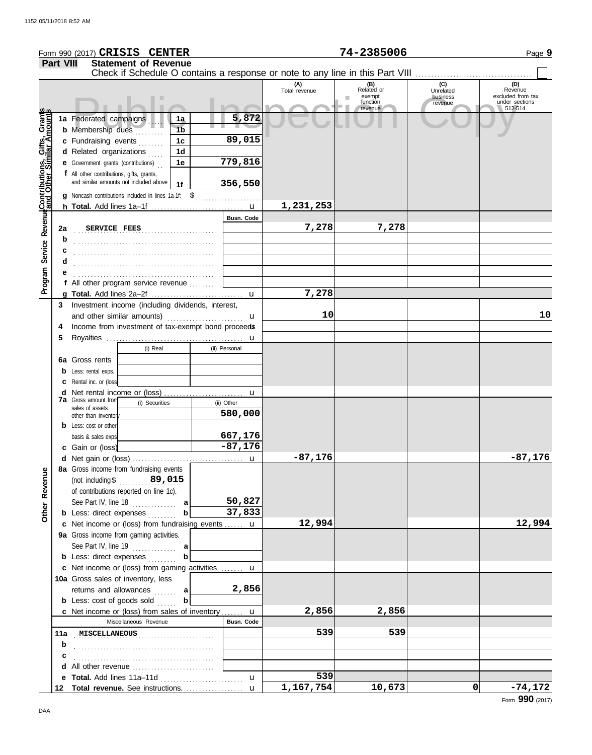|                                                      |                  | Form 990 (2017) CRISIS CENTER                                                                                   |                 |                      | 74-2385006                                         |                                         | Page 9                                                           |
|------------------------------------------------------|------------------|-----------------------------------------------------------------------------------------------------------------|-----------------|----------------------|----------------------------------------------------|-----------------------------------------|------------------------------------------------------------------|
|                                                      | <b>Part VIII</b> | <b>Statement of Revenue</b>                                                                                     |                 |                      |                                                    |                                         |                                                                  |
|                                                      |                  | Check if Schedule O contains a response or note to any line in this Part VIII                                   |                 |                      |                                                    |                                         |                                                                  |
|                                                      |                  |                                                                                                                 |                 | (A)<br>Total revenue | (B)<br>Related or<br>exempt<br>function<br>revenue | (C)<br>Unrelated<br>business<br>revenue | (D)<br>Revenue<br>excluded from tax<br>under sections<br>512-514 |
| Program Service Revenue Contributions, Gifts, Grants |                  | 1a Federated campaigns<br>1a<br><b>b</b> Membership dues<br>1 <sub>b</sub><br>c Fundraising events<br>1c        | 5,872<br>89,015 |                      |                                                    |                                         |                                                                  |
|                                                      |                  | 1d                                                                                                              |                 |                      |                                                    |                                         |                                                                  |
|                                                      |                  | d Related organizations<br><b>e</b> Government grants (contributions)<br>1e                                     | 779,816         |                      |                                                    |                                         |                                                                  |
|                                                      |                  | f All other contributions, gifts, grants,                                                                       |                 |                      |                                                    |                                         |                                                                  |
|                                                      |                  | and similar amounts not included above<br>1f                                                                    | 356,550         |                      |                                                    |                                         |                                                                  |
|                                                      |                  | g Noncash contributions included in lines 1a-1f: \$                                                             |                 |                      |                                                    |                                         |                                                                  |
|                                                      |                  |                                                                                                                 |                 | 1,231,253            |                                                    |                                         |                                                                  |
|                                                      |                  |                                                                                                                 | Busn. Code      |                      |                                                    |                                         |                                                                  |
|                                                      | 2a<br>b          | SERVICE FEES                                                                                                    |                 | 7,278                | 7,278                                              |                                         |                                                                  |
|                                                      |                  |                                                                                                                 |                 |                      |                                                    |                                         |                                                                  |
|                                                      | d                |                                                                                                                 |                 |                      |                                                    |                                         |                                                                  |
|                                                      |                  |                                                                                                                 |                 |                      |                                                    |                                         |                                                                  |
|                                                      |                  | f All other program service revenue                                                                             |                 |                      |                                                    |                                         |                                                                  |
|                                                      |                  |                                                                                                                 | u               | 7,278                |                                                    |                                         |                                                                  |
|                                                      | 3                | Investment income (including dividends, interest,                                                               |                 |                      |                                                    |                                         |                                                                  |
|                                                      |                  | and other similar amounts)                                                                                      | u               | 10                   |                                                    |                                         | 10                                                               |
|                                                      | 4                | Income from investment of tax-exempt bond proceeds                                                              |                 |                      |                                                    |                                         |                                                                  |
|                                                      | 5                |                                                                                                                 | u               |                      |                                                    |                                         |                                                                  |
|                                                      |                  | (i) Real                                                                                                        | (ii) Personal   |                      |                                                    |                                         |                                                                  |
|                                                      |                  | <b>6a</b> Gross rents                                                                                           |                 |                      |                                                    |                                         |                                                                  |
|                                                      | b                | Less: rental exps.                                                                                              |                 |                      |                                                    |                                         |                                                                  |
|                                                      | с                | Rental inc. or (loss)                                                                                           |                 |                      |                                                    |                                         |                                                                  |
|                                                      | d                | <b>7a</b> Gross amount from                                                                                     | u               |                      |                                                    |                                         |                                                                  |
|                                                      |                  | (i) Securities<br>sales of assets                                                                               | (ii) Other      |                      |                                                    |                                         |                                                                  |
|                                                      |                  | other than inventor                                                                                             | 580,000         |                      |                                                    |                                         |                                                                  |
|                                                      |                  | <b>b</b> Less: cost or other                                                                                    |                 |                      |                                                    |                                         |                                                                  |
|                                                      |                  | basis & sales exps                                                                                              | 667,176         |                      |                                                    |                                         |                                                                  |
|                                                      |                  | c Gain or (loss)                                                                                                | $-87,176$       |                      |                                                    |                                         |                                                                  |
|                                                      |                  |                                                                                                                 |                 | $-87,176$            |                                                    |                                         | $-87,176$                                                        |
| Other Revenue                                        |                  | 8a Gross income from fundraising events<br>(not including \$ $89,015$<br>of contributions reported on line 1c). |                 |                      |                                                    |                                         |                                                                  |
|                                                      |                  | See Part IV, line $18$<br>a                                                                                     | 50,827          |                      |                                                    |                                         |                                                                  |
|                                                      |                  | $\boldsymbol{\mathsf{b}}$<br><b>b</b> Less: direct expenses                                                     | 37,833          |                      |                                                    |                                         |                                                                  |
|                                                      |                  | c Net income or (loss) from fundraising events  u                                                               |                 | 12,994               |                                                    |                                         | 12,994                                                           |
|                                                      |                  | 9a Gross income from gaming activities.                                                                         |                 |                      |                                                    |                                         |                                                                  |
|                                                      |                  | See Part IV, line $19$<br>a                                                                                     |                 |                      |                                                    |                                         |                                                                  |
|                                                      |                  | b<br><b>b</b> Less: direct expenses                                                                             |                 |                      |                                                    |                                         |                                                                  |
|                                                      |                  | c Net income or (loss) from gaming activities  u                                                                |                 |                      |                                                    |                                         |                                                                  |
|                                                      |                  | 10a Gross sales of inventory, less                                                                              |                 |                      |                                                    |                                         |                                                                  |
|                                                      |                  | returns and allowances<br>al                                                                                    | 2,856           |                      |                                                    |                                         |                                                                  |
|                                                      |                  | <b>b</b> Less: $cost$ of goods sold $\ldots$<br>b                                                               |                 |                      |                                                    |                                         |                                                                  |
|                                                      |                  | c Net income or (loss) from sales of inventory                                                                  | u               | 2,856                | 2,856                                              |                                         |                                                                  |
|                                                      |                  | Miscellaneous Revenue                                                                                           | Busn. Code      |                      |                                                    |                                         |                                                                  |
|                                                      |                  | 11a MISCELLANEOUS                                                                                               |                 | 539                  | 539                                                |                                         |                                                                  |
|                                                      | b                |                                                                                                                 |                 |                      |                                                    |                                         |                                                                  |
|                                                      | с                |                                                                                                                 |                 |                      |                                                    |                                         |                                                                  |
|                                                      | d                | All other revenue                                                                                               |                 |                      |                                                    |                                         |                                                                  |
|                                                      |                  |                                                                                                                 | $\mathbf{u}$    | 539                  |                                                    |                                         |                                                                  |
|                                                      | 12               | Total revenue. See instructions.                                                                                | $\mathbf{u}$    | 1,167,754            | 10,673                                             | 0                                       | $-74,172$                                                        |

Form **990** (2017)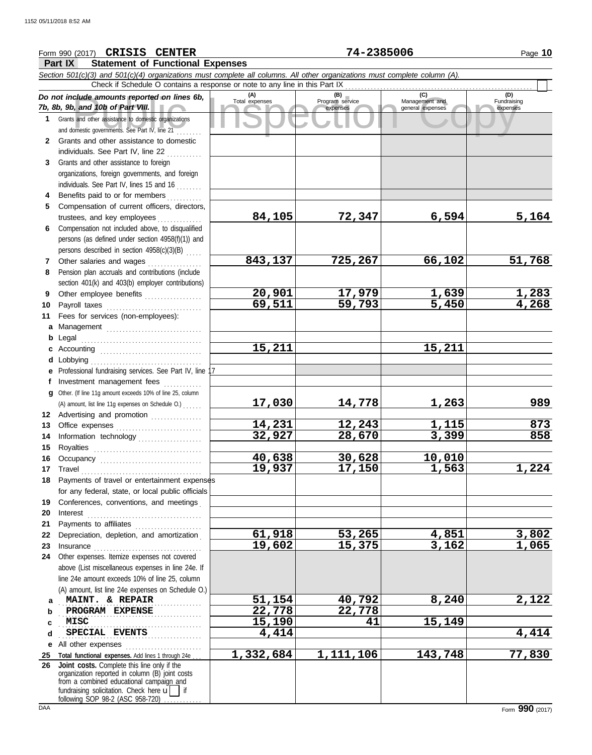#### Course amounts reported on lines 6b, Total expenses<br>
Program service Management and Copyright Service Expenses<br>
and other assistance to domestic organizations<br>
Sand other assistance to domestic organizations<br>
Sand other as **Part IX Statement of Functional Expenses** Form 990 (2017) Page **10 CRISIS CENTER 74-2385006** *Section 501(c)(3) and 501(c)(4) organizations must complete all columns. All other organizations must complete column (A). Do not include amounts reported on lines 6b, 7b, 8b, 9b, and 10b of Part VIII.* **1 2 3 4** Benefits paid to or for members **........**.. **5 6** Compensation not included above, to disqualified **7** Other salaries and wages **. . . . . . . . . . . .** . . **8 9 10** Payroll taxes ............................... **11 a** Management .............................. **b** Legal **c** Accounting . . . . . . . . . . . . . . . . . . . . . . . . . . . . . . . . **d e** Professional fundraising services. See Part IV, line 17 **f g 12** Advertising and promotion ............... **13** Office expenses **.......................**... **14 15 16 17** Travel . . . . . . . . . . . . . . . . . . . . . . . . . . . . . . . . . . . . . . **18** Payments of travel or entertainment expenses **19 20** Interest . . . . . . . . . . . . . . . . . . . . . . . . . . . . . . . . . . . . **21 22** Depreciation, depletion, and amortization . **23** Insurance . . . . . . . . . . . . . . . . . . . . . . . . . . . . . . . . . . **24** Other expenses. Itemize expenses not covered **a** . . . . . . . . . . . . . . . . . . . . . . . . . . . . . . . . . . . . . . . . . . . . . **MAINT. & REPAIR 51,154 40,792 8,240 2,122 b** PROGRAM EXPENSE 22,778 22,778 **c d e** All other expenses . . . . . . . . . . . . . . . . . . . . . . . . **25 Total functional expenses.** Add lines 1 through 24e . . . **26** Grants and other assistance to domestic organizations and domestic governments. See Part IV, line 21 . . . . . . . . Grants and other assistance to domestic individuals. See Part IV, line 22 Grants and other assistance to foreign organizations, foreign governments, and foreign individuals. See Part IV, lines 15 and 16 Compensation of current officers, directors, trustees, and key employees .............. persons (as defined under section 4958(f)(1)) and persons described in section 4958(c)(3)(B) . . . . . Pension plan accruals and contributions (include section 401(k) and 403(b) employer contributions) Other employee benefits .................. Fees for services (non-employees): . . . . . . . . . . . . . . . . . . . . . . . . . . . . . . . . . . . . . . Lobbying . . . . . . . . . . . . . . . . . . . . . . . . . . . . . . . . . . . Investment management fees Other. (If line 11g amount exceeds 10% of line 25, column Information technology . . . . . . . . . . . . . . . . . . . . Royalties . . . . . . . . . . . . . . . . . . . . . . . . . . . . . . . . . . Occupancy . . . . . . . . . . . . . . . . . . . . . . . . . . . . . . . . for any federal, state, or local public officials Conferences, conventions, and meetings . Payments to affiliates . . . . . . . . . . . . . . . . . . . . . above (List miscellaneous expenses in line 24e. If line 24e amount exceeds 10% of line 25, column (A) amount, list line 24e expenses on Schedule O.) organization reported in column (B) joint costs from a combined educational campaign and **(A) (B) (C) (D)** Total expenses Program service Management and expenses (B)<br>
Program service Management and general expenses Fundraising expenses . . . . . . . . . . . . . . . . . . . . . . . . . . . . . . . . . . . . . . . . . . . . . **SPECIAL EVENTS** 4,414 4,414 4,414 Check if Schedule O contains a response or note to any line in this Part IX . . . . . . . . . . . . . . . . . . . . . . . . . . . . . . . . . . . . . . . . . . . . . . . . . . . . . . . . . . . **Joint costs.** Complete this line only if the (A) amount, list line 11g expenses on Schedule O.) . . . . . . **84,105 72,347 6,594 5,164 843,137 725,267 66,102 51,768 20,901 17,979 1,639 1,283 69,511 59,793 5,450 4,268 15,211 15,211 17,030 14,778 1,263 989 14,231 12,243 1,115 873 32,927 28,670 3,399 858 40,638 30,628 10,010 19,937 17,150 1,563 1,224 61,918 53,265 4,851 3,802 19,602 15,375 3,162 1,065 MISC 15,190 41 15,149 1,332,684 1,111,106 143,748 77,830**

fundraising solicitation. Check here  $\mathbf{u}$  | if

following SOP 98-2 (ASC 958-720)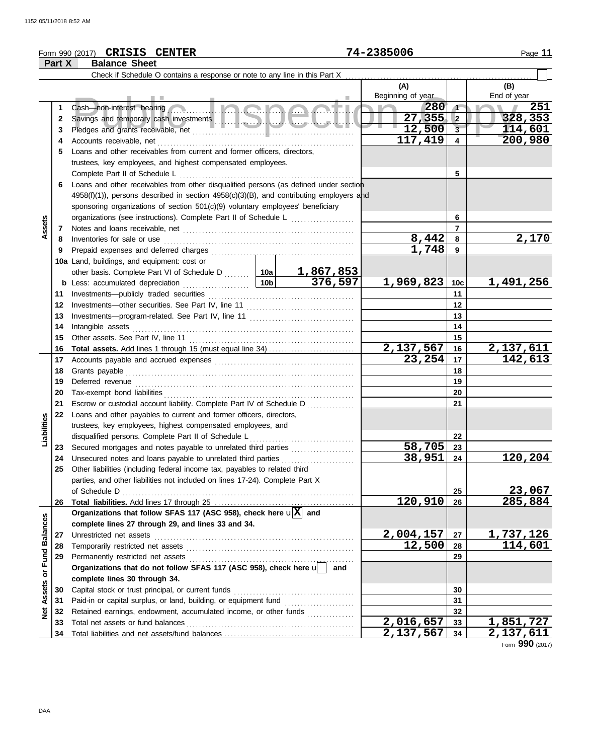# Form 990 (2017) Page **11 CRISIS CENTER 74-2385006**

|                         | Part X   | <b>Balance Sheet</b>                                                                                 |                 |                      |                   |          |                  |
|-------------------------|----------|------------------------------------------------------------------------------------------------------|-----------------|----------------------|-------------------|----------|------------------|
|                         |          | Check if Schedule O contains a response or note to any line in this Part X                           |                 |                      |                   |          |                  |
|                         |          |                                                                                                      |                 |                      | (A)               |          | (B)              |
|                         |          |                                                                                                      |                 |                      | Beginning of year |          | End of year      |
|                         | 1        |                                                                                                      | 280             | $\sqrt{1}$           | 251               |          |                  |
|                         | 2        |                                                                                                      |                 |                      | $27,355$ 2        |          | 328,353          |
|                         | 3        |                                                                                                      |                 |                      | 12,500            | $3-$     | 114,601          |
|                         | 4        | Accounts receivable, net                                                                             |                 |                      | 117,419           | 4        | 200,980          |
|                         | 5        | Loans and other receivables from current and former officers, directors,                             |                 |                      |                   |          |                  |
|                         |          | trustees, key employees, and highest compensated employees.                                          |                 |                      |                   |          |                  |
|                         |          | Complete Part II of Schedule L                                                                       | 5               |                      |                   |          |                  |
|                         | 6        | Loans and other receivables from other disqualified persons (as defined under section                |                 |                      |                   |          |                  |
|                         |          | $4958(f)(1)$ , persons described in section $4958(c)(3)(B)$ , and contributing employers and         |                 |                      |                   |          |                  |
|                         |          | sponsoring organizations of section 501(c)(9) voluntary employees' beneficiary                       |                 |                      |                   |          |                  |
|                         |          | organizations (see instructions). Complete Part II of Schedule L                                     |                 |                      |                   | 6        |                  |
| Assets                  | 7        |                                                                                                      |                 |                      |                   | 7        |                  |
|                         | 8        | Inventories for sale or use                                                                          |                 |                      | 8,442             | 8        | 2,170            |
|                         | 9        |                                                                                                      |                 |                      | 1,748             | 9        |                  |
|                         |          | 10a Land, buildings, and equipment: cost or                                                          |                 |                      |                   |          |                  |
|                         |          | other basis. Complete Part VI of Schedule D  10a                                                     | 10 <sub>b</sub> | 1,867,853<br>376,597 |                   |          | 1,491,256        |
|                         |          | <b>b</b> Less: accumulated depreciation                                                              |                 |                      | $1,969,823$ 10c   |          |                  |
|                         | 11       | Investments-publicly traded securities                                                               |                 |                      |                   | 11<br>12 |                  |
|                         | 12<br>13 |                                                                                                      |                 | 13                   |                   |          |                  |
|                         | 14       | Intangible assets                                                                                    |                 | 14                   |                   |          |                  |
|                         | 15       | Other assets. See Part IV, line 11                                                                   |                 |                      |                   | 15       |                  |
|                         | 16       |                                                                                                      |                 |                      | 2,137,567         | 16       | 2,137,611        |
|                         | 17       |                                                                                                      |                 |                      | 23,254            | 17       | 142,613          |
|                         | 18       | Grants payable                                                                                       |                 | 18                   |                   |          |                  |
|                         | 19       | Deferred revenue                                                                                     |                 |                      |                   | 19       |                  |
|                         | 20       | Tax-exempt bond liabilities                                                                          |                 | 20                   |                   |          |                  |
|                         | 21       | Escrow or custodial account liability. Complete Part IV of Schedule D                                |                 |                      |                   | 21       |                  |
|                         | 22       | Loans and other payables to current and former officers, directors,                                  |                 |                      |                   |          |                  |
| Liabilities             |          | trustees, key employees, highest compensated employees, and                                          |                 |                      |                   |          |                  |
|                         |          | disqualified persons. Complete Part II of Schedule L                                                 |                 |                      |                   | 22       |                  |
|                         | 23       | Secured mortgages and notes payable to unrelated third parties                                       |                 |                      | 58,705            | 23       |                  |
|                         | 24       | Unsecured notes and loans payable to unrelated third parties                                         |                 |                      | 38,951            | 24       | 120,204          |
|                         |          | Other liabilities (including federal income tax, payables to related third                           |                 |                      |                   |          |                  |
|                         |          | parties, and other liabilities not included on lines 17-24). Complete Part X                         |                 |                      |                   |          |                  |
|                         |          | of Schedule D                                                                                        |                 |                      | 120,910           | 25       | 23,067           |
|                         | 26       | Organizations that follow SFAS 117 (ASC 958), check here $\mathbf{u}[\overline{X}]$ and              |                 |                      |                   | 26       | 285,884          |
|                         |          | complete lines 27 through 29, and lines 33 and 34.                                                   |                 |                      |                   |          |                  |
|                         | 27       | Unrestricted net assets                                                                              |                 |                      | 2,004,157         | 27       | <u>1,737,126</u> |
|                         | 28       | Temporarily restricted net assets                                                                    |                 |                      | 12,500            | 28       | 114,601          |
|                         | 29       | Permanently restricted net assets                                                                    |                 |                      |                   | 29       |                  |
|                         |          | Organizations that do not follow SFAS 117 (ASC 958), check here u                                    |                 | and                  |                   |          |                  |
|                         |          | complete lines 30 through 34.                                                                        |                 |                      |                   |          |                  |
| Assets or Fund Balances | 30       | Capital stock or trust principal, or current funds                                                   |                 |                      |                   | 30       |                  |
|                         | 31       | Paid-in or capital surplus, or land, building, or equipment fund [[[[[[[[[[[[[[[[[[[[[[[[[[[[[[[[[[[ |                 |                      |                   | 31       |                  |
| <b>Net</b>              | 32       | Retained earnings, endowment, accumulated income, or other funds                                     |                 |                      |                   | 32       |                  |
|                         | 33       | Total net assets or fund balances                                                                    |                 |                      | 2,016,657         | 33       | 1,851,727        |
|                         | 34       |                                                                                                      |                 |                      | 2,137,567         | 34       | 2,137,611        |

Form **990** (2017)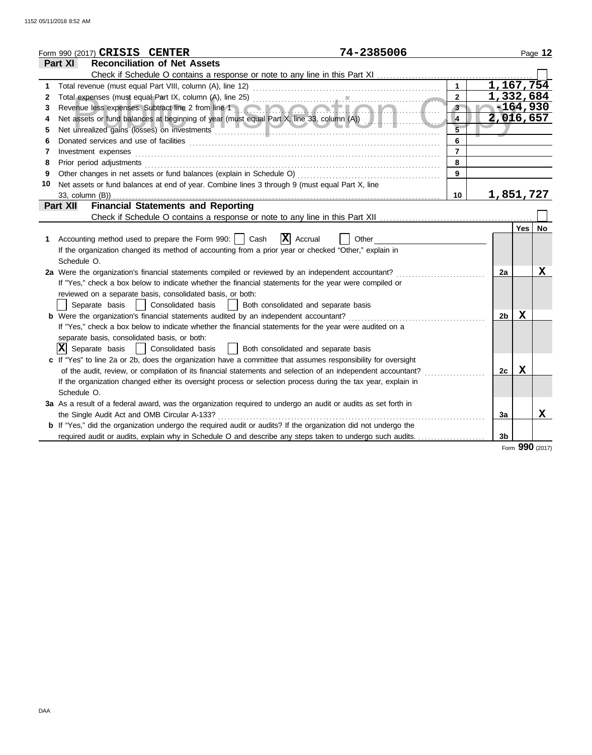|    | 74-2385006<br>Form 990 (2017) CRISIS CENTER                                                                                                                                                                                    |                |                  |             | Page 12   |
|----|--------------------------------------------------------------------------------------------------------------------------------------------------------------------------------------------------------------------------------|----------------|------------------|-------------|-----------|
|    | <b>Reconciliation of Net Assets</b><br>Part XI                                                                                                                                                                                 |                |                  |             |           |
|    |                                                                                                                                                                                                                                |                |                  |             |           |
| 1  |                                                                                                                                                                                                                                | $\mathbf{1}$   | 1,167,754        |             |           |
| 2  |                                                                                                                                                                                                                                | $\overline{2}$ | 1,332,684        |             |           |
| 3  | Revenue less expenses. Subtract line 2 from line 1 and 1 and 1 and 1 and 1 and 1 and 1 and 1 and 1 and 1 and 1<br>N.                                                                                                           | 3 <sup>2</sup> |                  | $-164,930$  |           |
| 4  |                                                                                                                                                                                                                                | $\overline{4}$ | 2,016,657        |             |           |
| 5  |                                                                                                                                                                                                                                | $\overline{5}$ |                  |             |           |
| 6  |                                                                                                                                                                                                                                | 6              |                  |             |           |
| 7  | Investment expenses                                                                                                                                                                                                            | $\overline{7}$ |                  |             |           |
| 8  | Prior period adjustments [11, 12] and the contract of the contract of the contract of the contract of the contract of the contract of the contract of the contract of the contract of the contract of the contract of the cont | 8              |                  |             |           |
| 9  |                                                                                                                                                                                                                                | $\overline{9}$ |                  |             |           |
| 10 | Net assets or fund balances at end of year. Combine lines 3 through 9 (must equal Part X, line                                                                                                                                 |                |                  |             |           |
|    | 33, column (B))                                                                                                                                                                                                                | 10             | <u>1,851,727</u> |             |           |
|    | <b>Financial Statements and Reporting</b><br><b>Part XII</b>                                                                                                                                                                   |                |                  |             |           |
|    |                                                                                                                                                                                                                                |                |                  |             |           |
|    |                                                                                                                                                                                                                                |                |                  | Yes         | <b>No</b> |
| 1  | $ \mathbf{X} $ Accrual<br>Accounting method used to prepare the Form 990:     Cash<br>Other                                                                                                                                    |                |                  |             |           |
|    | If the organization changed its method of accounting from a prior year or checked "Other," explain in                                                                                                                          |                |                  |             |           |
|    | Schedule O.                                                                                                                                                                                                                    |                |                  |             |           |
|    | 2a Were the organization's financial statements compiled or reviewed by an independent accountant?                                                                                                                             |                | 2a               |             | X         |
|    | If "Yes," check a box below to indicate whether the financial statements for the year were compiled or                                                                                                                         |                |                  |             |           |
|    | reviewed on a separate basis, consolidated basis, or both:                                                                                                                                                                     |                |                  |             |           |
|    | Separate basis<br>Consolidated basis<br>  Both consolidated and separate basis                                                                                                                                                 |                |                  |             |           |
|    | <b>b</b> Were the organization's financial statements audited by an independent accountant?                                                                                                                                    |                | 2b               | X           |           |
|    | If "Yes," check a box below to indicate whether the financial statements for the year were audited on a                                                                                                                        |                |                  |             |           |
|    | separate basis, consolidated basis, or both:                                                                                                                                                                                   |                |                  |             |           |
|    | $ \mathbf{X} $ Separate basis<br>  Consolidated basis<br>    Both consolidated and separate basis                                                                                                                              |                |                  |             |           |
|    | c If "Yes" to line 2a or 2b, does the organization have a committee that assumes responsibility for oversight                                                                                                                  |                |                  |             |           |
|    | of the audit, review, or compilation of its financial statements and selection of an independent accountant?                                                                                                                   |                | 2c               | $\mathbf x$ |           |
|    | If the organization changed either its oversight process or selection process during the tax year, explain in                                                                                                                  |                |                  |             |           |
|    | Schedule O.                                                                                                                                                                                                                    |                |                  |             |           |
|    | 3a As a result of a federal award, was the organization required to undergo an audit or audits as set forth in                                                                                                                 |                |                  |             |           |
|    | the Single Audit Act and OMB Circular A-133?                                                                                                                                                                                   |                | 3a               |             | x         |
|    | <b>b</b> If "Yes," did the organization undergo the required audit or audits? If the organization did not undergo the                                                                                                          |                |                  |             |           |
|    | required audit or audits, explain why in Schedule O and describe any steps taken to undergo such audits.                                                                                                                       |                | 3 <sub>b</sub>   |             |           |
|    |                                                                                                                                                                                                                                |                |                  | nnn         |           |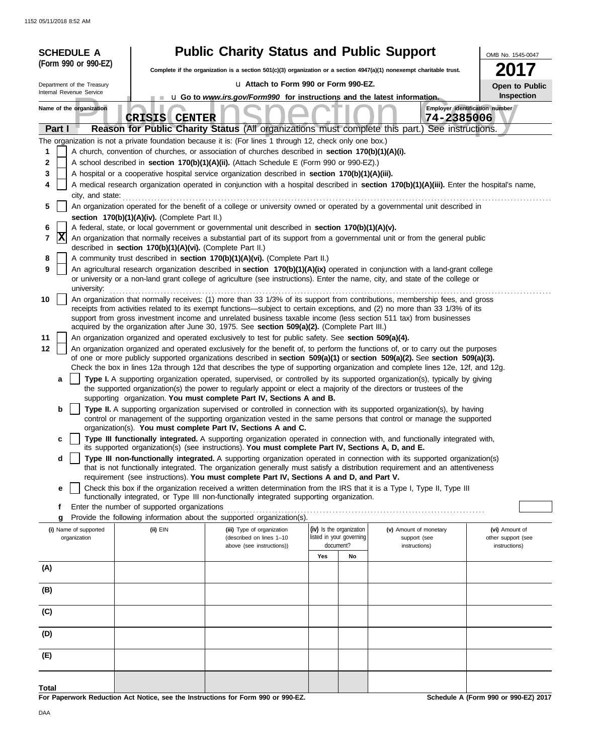|        | <b>SCHEDULE A</b>                                                                                                                                                                                                                               |                                                            | <b>Public Charity Status and Public Support</b>                                                                                                                                                       |                          |                                                                                                                                                                                                                                                                                                                                                                                 | OMB No. 1545-0047                    |  |  |
|--------|-------------------------------------------------------------------------------------------------------------------------------------------------------------------------------------------------------------------------------------------------|------------------------------------------------------------|-------------------------------------------------------------------------------------------------------------------------------------------------------------------------------------------------------|--------------------------|---------------------------------------------------------------------------------------------------------------------------------------------------------------------------------------------------------------------------------------------------------------------------------------------------------------------------------------------------------------------------------|--------------------------------------|--|--|
|        | (Form 990 or 990-EZ)                                                                                                                                                                                                                            |                                                            | 2017<br>Complete if the organization is a section $501(c)(3)$ organization or a section $4947(a)(1)$ nonexempt charitable trust.                                                                      |                          |                                                                                                                                                                                                                                                                                                                                                                                 |                                      |  |  |
|        | Department of the Treasury                                                                                                                                                                                                                      |                                                            | u Attach to Form 990 or Form 990-EZ.                                                                                                                                                                  |                          |                                                                                                                                                                                                                                                                                                                                                                                 |                                      |  |  |
|        | Internal Revenue Service                                                                                                                                                                                                                        |                                                            | <b>u</b> Go to <i>www.irs.gov/Form990</i> for instructions and the latest information.                                                                                                                |                          |                                                                                                                                                                                                                                                                                                                                                                                 | <b>Open to Public</b><br>Inspection  |  |  |
|        | Name of the organization                                                                                                                                                                                                                        | <b>CRISIS CENTER</b>                                       |                                                                                                                                                                                                       |                          | 74-2385006                                                                                                                                                                                                                                                                                                                                                                      | Employer identification number       |  |  |
|        | Part I                                                                                                                                                                                                                                          |                                                            |                                                                                                                                                                                                       |                          | Reason for Public Charity Status (All organizations must complete this part.) See instructions.                                                                                                                                                                                                                                                                                 |                                      |  |  |
|        |                                                                                                                                                                                                                                                 |                                                            | The organization is not a private foundation because it is: (For lines 1 through 12, check only one box.)                                                                                             |                          |                                                                                                                                                                                                                                                                                                                                                                                 |                                      |  |  |
| 1<br>2 |                                                                                                                                                                                                                                                 |                                                            | A church, convention of churches, or association of churches described in section 170(b)(1)(A)(i).<br>A school described in section 170(b)(1)(A)(ii). (Attach Schedule E (Form 990 or 990-EZ).)       |                          |                                                                                                                                                                                                                                                                                                                                                                                 |                                      |  |  |
| 3      |                                                                                                                                                                                                                                                 |                                                            |                                                                                                                                                                                                       |                          |                                                                                                                                                                                                                                                                                                                                                                                 |                                      |  |  |
| 4      | A hospital or a cooperative hospital service organization described in section 170(b)(1)(A)(iii).<br>A medical research organization operated in conjunction with a hospital described in section 170(b)(1)(A)(iii). Enter the hospital's name, |                                                            |                                                                                                                                                                                                       |                          |                                                                                                                                                                                                                                                                                                                                                                                 |                                      |  |  |
|        | city, and state:                                                                                                                                                                                                                                |                                                            |                                                                                                                                                                                                       |                          |                                                                                                                                                                                                                                                                                                                                                                                 |                                      |  |  |
| 5      |                                                                                                                                                                                                                                                 |                                                            |                                                                                                                                                                                                       |                          | An organization operated for the benefit of a college or university owned or operated by a governmental unit described in                                                                                                                                                                                                                                                       |                                      |  |  |
|        |                                                                                                                                                                                                                                                 | section 170(b)(1)(A)(iv). (Complete Part II.)              | A federal, state, or local government or governmental unit described in section 170(b)(1)(A)(v).                                                                                                      |                          |                                                                                                                                                                                                                                                                                                                                                                                 |                                      |  |  |
| 6<br>7 | X                                                                                                                                                                                                                                               | described in section 170(b)(1)(A)(vi). (Complete Part II.) |                                                                                                                                                                                                       |                          | An organization that normally receives a substantial part of its support from a governmental unit or from the general public                                                                                                                                                                                                                                                    |                                      |  |  |
| 8      |                                                                                                                                                                                                                                                 |                                                            | A community trust described in section 170(b)(1)(A)(vi). (Complete Part II.)                                                                                                                          |                          |                                                                                                                                                                                                                                                                                                                                                                                 |                                      |  |  |
| 9      |                                                                                                                                                                                                                                                 |                                                            |                                                                                                                                                                                                       |                          | An agricultural research organization described in section 170(b)(1)(A)(ix) operated in conjunction with a land-grant college<br>or university or a non-land grant college of agriculture (see instructions). Enter the name, city, and state of the college or                                                                                                                 |                                      |  |  |
|        | university:                                                                                                                                                                                                                                     |                                                            |                                                                                                                                                                                                       |                          |                                                                                                                                                                                                                                                                                                                                                                                 |                                      |  |  |
| 10     |                                                                                                                                                                                                                                                 |                                                            |                                                                                                                                                                                                       |                          | An organization that normally receives: (1) more than 33 1/3% of its support from contributions, membership fees, and gross<br>receipts from activities related to its exempt functions—subject to certain exceptions, and (2) no more than 33 1/3% of its<br>support from gross investment income and unrelated business taxable income (less section 511 tax) from businesses |                                      |  |  |
| 11     |                                                                                                                                                                                                                                                 |                                                            | acquired by the organization after June 30, 1975. See section 509(a)(2). (Complete Part III.)<br>An organization organized and operated exclusively to test for public safety. See section 509(a)(4). |                          |                                                                                                                                                                                                                                                                                                                                                                                 |                                      |  |  |
| 12     |                                                                                                                                                                                                                                                 |                                                            |                                                                                                                                                                                                       |                          | An organization organized and operated exclusively for the benefit of, to perform the functions of, or to carry out the purposes                                                                                                                                                                                                                                                |                                      |  |  |
|        |                                                                                                                                                                                                                                                 |                                                            |                                                                                                                                                                                                       |                          | of one or more publicly supported organizations described in section 509(a)(1) or section 509(a)(2). See section 509(a)(3).                                                                                                                                                                                                                                                     |                                      |  |  |
|        |                                                                                                                                                                                                                                                 |                                                            |                                                                                                                                                                                                       |                          | Check the box in lines 12a through 12d that describes the type of supporting organization and complete lines 12e, 12f, and 12g.                                                                                                                                                                                                                                                 |                                      |  |  |
|        | a                                                                                                                                                                                                                                               |                                                            | the supported organization(s) the power to regularly appoint or elect a majority of the directors or trustees of the                                                                                  |                          | Type I. A supporting organization operated, supervised, or controlled by its supported organization(s), typically by giving                                                                                                                                                                                                                                                     |                                      |  |  |
|        |                                                                                                                                                                                                                                                 |                                                            | supporting organization. You must complete Part IV, Sections A and B.                                                                                                                                 |                          |                                                                                                                                                                                                                                                                                                                                                                                 |                                      |  |  |
|        | b                                                                                                                                                                                                                                               |                                                            |                                                                                                                                                                                                       |                          | Type II. A supporting organization supervised or controlled in connection with its supported organization(s), by having<br>control or management of the supporting organization vested in the same persons that control or manage the supported                                                                                                                                 |                                      |  |  |
|        |                                                                                                                                                                                                                                                 |                                                            | organization(s). You must complete Part IV, Sections A and C.                                                                                                                                         |                          |                                                                                                                                                                                                                                                                                                                                                                                 |                                      |  |  |
|        | с                                                                                                                                                                                                                                               |                                                            | its supported organization(s) (see instructions). You must complete Part IV, Sections A, D, and E.                                                                                                    |                          | Type III functionally integrated. A supporting organization operated in connection with, and functionally integrated with,                                                                                                                                                                                                                                                      |                                      |  |  |
|        | d                                                                                                                                                                                                                                               |                                                            |                                                                                                                                                                                                       |                          | Type III non-functionally integrated. A supporting organization operated in connection with its supported organization(s)                                                                                                                                                                                                                                                       |                                      |  |  |
|        |                                                                                                                                                                                                                                                 |                                                            |                                                                                                                                                                                                       |                          | that is not functionally integrated. The organization generally must satisfy a distribution requirement and an attentiveness                                                                                                                                                                                                                                                    |                                      |  |  |
|        | е                                                                                                                                                                                                                                               |                                                            | requirement (see instructions). You must complete Part IV, Sections A and D, and Part V.                                                                                                              |                          | Check this box if the organization received a written determination from the IRS that it is a Type I, Type II, Type III                                                                                                                                                                                                                                                         |                                      |  |  |
|        |                                                                                                                                                                                                                                                 |                                                            | functionally integrated, or Type III non-functionally integrated supporting organization.                                                                                                             |                          |                                                                                                                                                                                                                                                                                                                                                                                 |                                      |  |  |
|        | f                                                                                                                                                                                                                                               | Enter the number of supported organizations                |                                                                                                                                                                                                       |                          |                                                                                                                                                                                                                                                                                                                                                                                 |                                      |  |  |
|        | g<br>(i) Name of supported                                                                                                                                                                                                                      | (ii) EIN                                                   | Provide the following information about the supported organization(s).<br>(iii) Type of organization                                                                                                  | (iv) Is the organization | (v) Amount of monetary                                                                                                                                                                                                                                                                                                                                                          | (vi) Amount of                       |  |  |
|        | organization                                                                                                                                                                                                                                    |                                                            | (described on lines 1-10                                                                                                                                                                              | listed in your governing | support (see                                                                                                                                                                                                                                                                                                                                                                    | other support (see                   |  |  |
|        |                                                                                                                                                                                                                                                 |                                                            | above (see instructions))                                                                                                                                                                             | document?<br>Yes<br>No   | instructions)                                                                                                                                                                                                                                                                                                                                                                   | instructions)                        |  |  |
| (A)    |                                                                                                                                                                                                                                                 |                                                            |                                                                                                                                                                                                       |                          |                                                                                                                                                                                                                                                                                                                                                                                 |                                      |  |  |
| (B)    |                                                                                                                                                                                                                                                 |                                                            |                                                                                                                                                                                                       |                          |                                                                                                                                                                                                                                                                                                                                                                                 |                                      |  |  |
| (C)    |                                                                                                                                                                                                                                                 |                                                            |                                                                                                                                                                                                       |                          |                                                                                                                                                                                                                                                                                                                                                                                 |                                      |  |  |
| (D)    |                                                                                                                                                                                                                                                 |                                                            |                                                                                                                                                                                                       |                          |                                                                                                                                                                                                                                                                                                                                                                                 |                                      |  |  |
|        |                                                                                                                                                                                                                                                 |                                                            |                                                                                                                                                                                                       |                          |                                                                                                                                                                                                                                                                                                                                                                                 |                                      |  |  |
| (E)    |                                                                                                                                                                                                                                                 |                                                            |                                                                                                                                                                                                       |                          |                                                                                                                                                                                                                                                                                                                                                                                 |                                      |  |  |
| Total  |                                                                                                                                                                                                                                                 |                                                            |                                                                                                                                                                                                       |                          |                                                                                                                                                                                                                                                                                                                                                                                 |                                      |  |  |
|        |                                                                                                                                                                                                                                                 |                                                            | For Paperwork Reduction Act Notice, see the Instructions for Form 990 or 990-EZ.                                                                                                                      |                          |                                                                                                                                                                                                                                                                                                                                                                                 | Schedule A (Form 990 or 990-EZ) 2017 |  |  |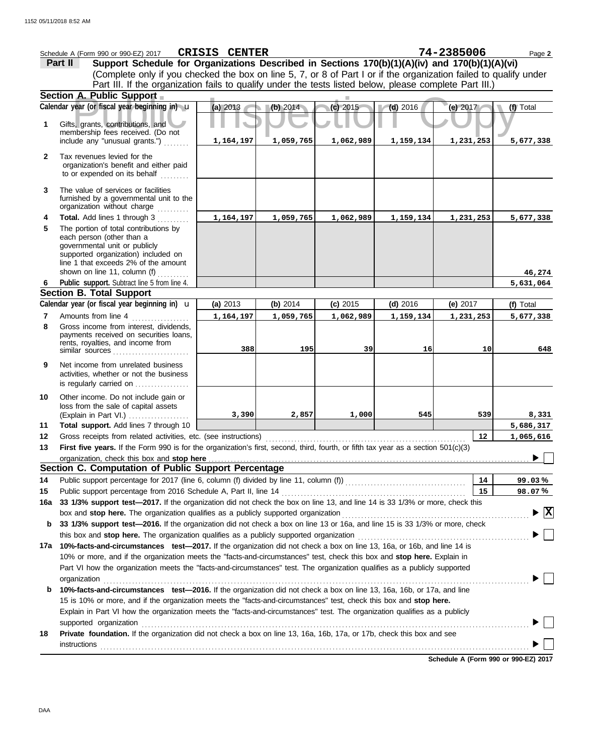|     | Schedule A (Form 990 or 990-EZ) 2017                                                                                                                                                                                           | <b>CRISIS CENTER</b> |           |            |            | 74-2385006 | Page 2                               |
|-----|--------------------------------------------------------------------------------------------------------------------------------------------------------------------------------------------------------------------------------|----------------------|-----------|------------|------------|------------|--------------------------------------|
|     | Support Schedule for Organizations Described in Sections 170(b)(1)(A)(iv) and 170(b)(1)(A)(vi)<br>Part II                                                                                                                      |                      |           |            |            |            |                                      |
|     | (Complete only if you checked the box on line 5, 7, or 8 of Part I or if the organization failed to qualify under                                                                                                              |                      |           |            |            |            |                                      |
|     | Part III. If the organization fails to qualify under the tests listed below, please complete Part III.)                                                                                                                        |                      |           |            |            |            |                                      |
|     | Section A. Public Support                                                                                                                                                                                                      |                      |           |            |            |            |                                      |
|     | Calendar year (or fiscal year beginning in) u                                                                                                                                                                                  | (a) 2013             | (b) 2014  | (c) 2015   | $(d)$ 2016 | (e) $2017$ | (f) Total                            |
| 1   |                                                                                                                                                                                                                                |                      |           |            |            |            |                                      |
|     | Gifts, grants, contributions, and<br>membership fees received. (Do not                                                                                                                                                         |                      |           |            |            |            |                                      |
|     | include any "unusual grants.")                                                                                                                                                                                                 | 1,164,197            | 1,059,765 | 1,062,989  | 1,159,134  | 1,231,253  | 5,677,338                            |
| 2   | Tax revenues levied for the                                                                                                                                                                                                    |                      |           |            |            |            |                                      |
|     | organization's benefit and either paid                                                                                                                                                                                         |                      |           |            |            |            |                                      |
|     | to or expended on its behalf                                                                                                                                                                                                   |                      |           |            |            |            |                                      |
| 3   | The value of services or facilities                                                                                                                                                                                            |                      |           |            |            |            |                                      |
|     | furnished by a governmental unit to the                                                                                                                                                                                        |                      |           |            |            |            |                                      |
|     | organization without charge                                                                                                                                                                                                    |                      |           |            |            |            |                                      |
| 4   | Total. Add lines 1 through 3                                                                                                                                                                                                   | 1,164,197            | 1,059,765 | 1,062,989  | 1,159,134  | 1,231,253  | 5,677,338                            |
| 5   | The portion of total contributions by                                                                                                                                                                                          |                      |           |            |            |            |                                      |
|     | each person (other than a<br>governmental unit or publicly                                                                                                                                                                     |                      |           |            |            |            |                                      |
|     | supported organization) included on                                                                                                                                                                                            |                      |           |            |            |            |                                      |
|     | line 1 that exceeds 2% of the amount                                                                                                                                                                                           |                      |           |            |            |            |                                      |
|     | shown on line 11, column (f) $\ldots$                                                                                                                                                                                          |                      |           |            |            |            | 46,274                               |
| 6   | Public support. Subtract line 5 from line 4.                                                                                                                                                                                   |                      |           |            |            |            | 5,631,064                            |
|     | <b>Section B. Total Support</b>                                                                                                                                                                                                |                      |           |            |            |            |                                      |
|     | Calendar year (or fiscal year beginning in) <b>u</b>                                                                                                                                                                           | (a) 2013             | (b) 2014  | $(c)$ 2015 | $(d)$ 2016 | (e) $2017$ | (f) Total                            |
| 7   | Amounts from line 4                                                                                                                                                                                                            | 1,164,197            | 1,059,765 | 1,062,989  | 1,159,134  | 1,231,253  | 5,677,338                            |
| 8   | Gross income from interest, dividends,<br>payments received on securities loans,                                                                                                                                               |                      |           |            |            |            |                                      |
|     | rents, royalties, and income from                                                                                                                                                                                              |                      |           |            |            |            |                                      |
|     | similar sources                                                                                                                                                                                                                | 388                  | 195       | 39         | 16         | 10         | 648                                  |
| 9   | Net income from unrelated business                                                                                                                                                                                             |                      |           |            |            |            |                                      |
|     | activities, whether or not the business                                                                                                                                                                                        |                      |           |            |            |            |                                      |
|     | is regularly carried on                                                                                                                                                                                                        |                      |           |            |            |            |                                      |
| 10  | Other income. Do not include gain or                                                                                                                                                                                           |                      |           |            |            |            |                                      |
|     | loss from the sale of capital assets<br>(Explain in Part VI.)                                                                                                                                                                  | 3,390                | 2,857     | 1,000      | 545        | 539        | 8,331                                |
| 11  | Total support. Add lines 7 through 10                                                                                                                                                                                          |                      |           |            |            |            | 5,686,317                            |
| 12  | Gross receipts from related activities, etc. (see instructions)                                                                                                                                                                |                      |           |            |            | 12         | 1,065,616                            |
| 13  | First five years. If the Form 990 is for the organization's first, second, third, fourth, or fifth tax year as a section 501(c)(3)                                                                                             |                      |           |            |            |            |                                      |
|     |                                                                                                                                                                                                                                |                      |           |            |            |            |                                      |
|     | Section C. Computation of Public Support Percentage                                                                                                                                                                            |                      |           |            |            |            |                                      |
| 14  |                                                                                                                                                                                                                                |                      |           |            |            | 14         | 99.03%                               |
| 15  |                                                                                                                                                                                                                                |                      |           |            |            | 15         | 98.07%                               |
| 16a | 33 1/3% support test-2017. If the organization did not check the box on line 13, and line 14 is 33 1/3% or more, check this                                                                                                    |                      |           |            |            |            |                                      |
|     |                                                                                                                                                                                                                                |                      |           |            |            |            | $\blacktriangleright$ $ \mathrm{X} $ |
| b   | 33 1/3% support test-2016. If the organization did not check a box on line 13 or 16a, and line 15 is 33 1/3% or more, check                                                                                                    |                      |           |            |            |            |                                      |
|     | this box and stop here. The organization qualifies as a publicly supported organization [11] [11] [11] [11] [1                                                                                                                 |                      |           |            |            |            |                                      |
| 17а | 10%-facts-and-circumstances test-2017. If the organization did not check a box on line 13, 16a, or 16b, and line 14 is                                                                                                         |                      |           |            |            |            |                                      |
|     | 10% or more, and if the organization meets the "facts-and-circumstances" test, check this box and stop here. Explain in                                                                                                        |                      |           |            |            |            |                                      |
|     | Part VI how the organization meets the "facts-and-circumstances" test. The organization qualifies as a publicly supported                                                                                                      |                      |           |            |            |            |                                      |
|     | organization www.community.com/www.community.com/www.community.com/www.community.com/www.community.com/www.com                                                                                                                 |                      |           |            |            |            |                                      |
| b   | 10%-facts-and-circumstances test-2016. If the organization did not check a box on line 13, 16a, 16b, or 17a, and line                                                                                                          |                      |           |            |            |            |                                      |
|     | 15 is 10% or more, and if the organization meets the "facts-and-circumstances" test, check this box and stop here.                                                                                                             |                      |           |            |            |            |                                      |
|     | Explain in Part VI how the organization meets the "facts-and-circumstances" test. The organization qualifies as a publicly                                                                                                     |                      |           |            |            |            |                                      |
|     | supported organization with an account of the contract or contract or contract or contract or contract or contract or contract or contract or contract or contract or contract or contract or contract or contract or contract |                      |           |            |            |            |                                      |
| 18  | Private foundation. If the organization did not check a box on line 13, 16a, 16b, 17a, or 17b, check this box and see                                                                                                          |                      |           |            |            |            |                                      |
|     | <b>instructions</b>                                                                                                                                                                                                            |                      |           |            |            |            |                                      |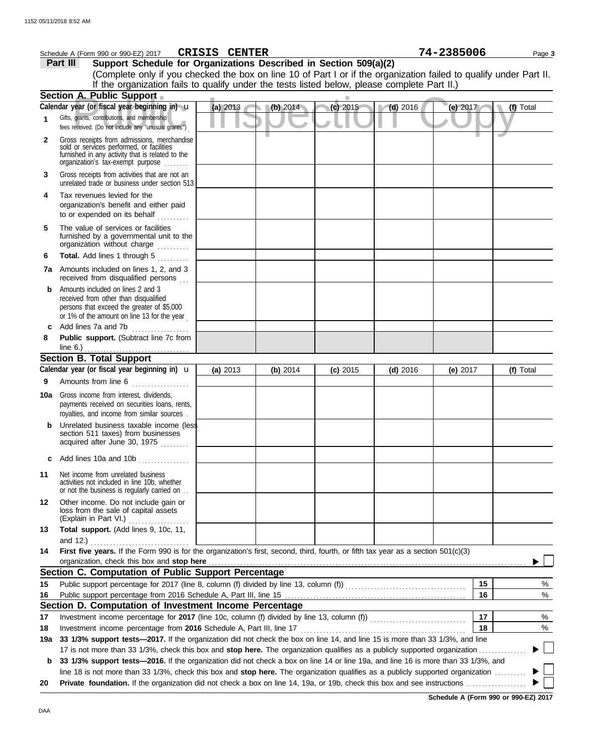|     | 74-2385006<br>CRISIS CENTER<br>Schedule A (Form 990 or 990-EZ) 2017<br>Page 3                                                                                                     |          |          |          |            |            |           |
|-----|-----------------------------------------------------------------------------------------------------------------------------------------------------------------------------------|----------|----------|----------|------------|------------|-----------|
|     | Support Schedule for Organizations Described in Section 509(a)(2)<br>Part III                                                                                                     |          |          |          |            |            |           |
|     | (Complete only if you checked the box on line 10 of Part I or if the organization failed to qualify under Part II.                                                                |          |          |          |            |            |           |
|     | If the organization fails to qualify under the tests listed below, please complete Part II.)                                                                                      |          |          |          |            |            |           |
|     | Section A. Public Support                                                                                                                                                         |          |          |          |            |            |           |
|     | Calendar year (or fiscal year beginning in) u                                                                                                                                     | (a) 2013 | (b) 2014 | (c) 2015 | $(d)$ 2016 | (e) 2017   | (f) Total |
| 1   | Gifts, grants, contributions, and membership<br>fees received. (Do not include any "unusual grants.")                                                                             |          |          |          |            |            |           |
| 2   | Gross receipts from admissions, merchandise<br>sold or services performed, or facilities<br>furnished in any activity that is related to the<br>organization's tax-exempt purpose |          |          |          |            |            |           |
| 3   | Gross receipts from activities that are not an<br>unrelated trade or business under section 513                                                                                   |          |          |          |            |            |           |
| 4   | Tax revenues levied for the<br>organization's benefit and either paid<br>to or expended on its behalf                                                                             |          |          |          |            |            |           |
| 5   | The value of services or facilities<br>furnished by a governmental unit to the<br>organization without charge                                                                     |          |          |          |            |            |           |
| 6   | Total. Add lines 1 through 5<br>and a state                                                                                                                                       |          |          |          |            |            |           |
|     | 7a Amounts included on lines 1, 2, and 3<br>received from disqualified persons                                                                                                    |          |          |          |            |            |           |
| b   | Amounts included on lines 2 and 3<br>received from other than disqualified<br>persons that exceed the greater of \$5,000<br>or 1% of the amount on line 13 for the year           |          |          |          |            |            |           |
| c   | Add lines 7a and 7b                                                                                                                                                               |          |          |          |            |            |           |
| 8   | Public support. (Subtract line 7c from                                                                                                                                            |          |          |          |            |            |           |
|     | line 6.) $\ldots$ $\ldots$ $\ldots$ $\ldots$ $\ldots$ $\ldots$<br><b>Section B. Total Support</b>                                                                                 |          |          |          |            |            |           |
|     | Calendar year (or fiscal year beginning in) <b>u</b>                                                                                                                              | (a) 2013 | (b) 2014 | (c) 2015 | $(d)$ 2016 | (e) $2017$ | (f) Total |
| 9   | Amounts from line 6<br><u>.</u><br>1986 - Paul Barbara, president al II-lea                                                                                                       |          |          |          |            |            |           |
| 10a | Gross income from interest, dividends,<br>payments received on securities loans, rents,<br>royalties, and income from similar sources.                                            |          |          |          |            |            |           |
|     | Unrelated business taxable income (less<br>section 511 taxes) from businesses<br>acquired after June 30, 1975                                                                     |          |          |          |            |            |           |
|     | Add lines 10a and 10b                                                                                                                                                             |          |          |          |            |            |           |
| 11  | Net income from unrelated business<br>activities not included in line 10b, whether<br>or not the business is regularly carried on                                                 |          |          |          |            |            |           |
| 12  | Other income. Do not include gain or<br>loss from the sale of capital assets<br>(Explain in Part VI.)                                                                             |          |          |          |            |            |           |
| 13  | Total support. (Add lines 9, 10c, 11,<br>and $12.$ )                                                                                                                              |          |          |          |            |            |           |
| 14  | First five years. If the Form 990 is for the organization's first, second, third, fourth, or fifth tax year as a section 501(c)(3)                                                |          |          |          |            |            |           |
|     | organization, check this box and stop here<br>Section C. Computation of Public Support Percentage                                                                                 |          |          |          |            |            |           |
| 15  | Public support percentage for 2017 (line 8, column (f) divided by line 13, column (f)) [[[[[[[[[[[[[[[[[[[[[[                                                                     |          |          |          |            | 15         | %         |
| 16  |                                                                                                                                                                                   |          |          |          |            | 16         | %         |
|     | Section D. Computation of Investment Income Percentage                                                                                                                            |          |          |          |            |            |           |
| 17  |                                                                                                                                                                                   |          |          |          |            | 17         | $\%$      |
| 18  | Investment income percentage from 2016 Schedule A, Part III, line 17                                                                                                              |          |          |          |            | 18         | %         |
| 19a | 33 1/3% support tests—2017. If the organization did not check the box on line 14, and line 15 is more than 33 1/3%, and line                                                      |          |          |          |            |            |           |
|     | 17 is not more than 33 1/3%, check this box and stop here. The organization qualifies as a publicly supported organization.                                                       |          |          |          |            |            |           |
| b   | 33 1/3% support tests-2016. If the organization did not check a box on line 14 or line 19a, and line 16 is more than 33 1/3%, and                                                 |          |          |          |            |            |           |
|     | line 18 is not more than 33 1/3%, check this box and stop here. The organization qualifies as a publicly supported organization                                                   |          |          |          |            |            |           |
| 20  | Private foundation. If the organization did not check a box on line 14, 19a, or 19b, check this box and see instructions                                                          |          |          |          |            |            |           |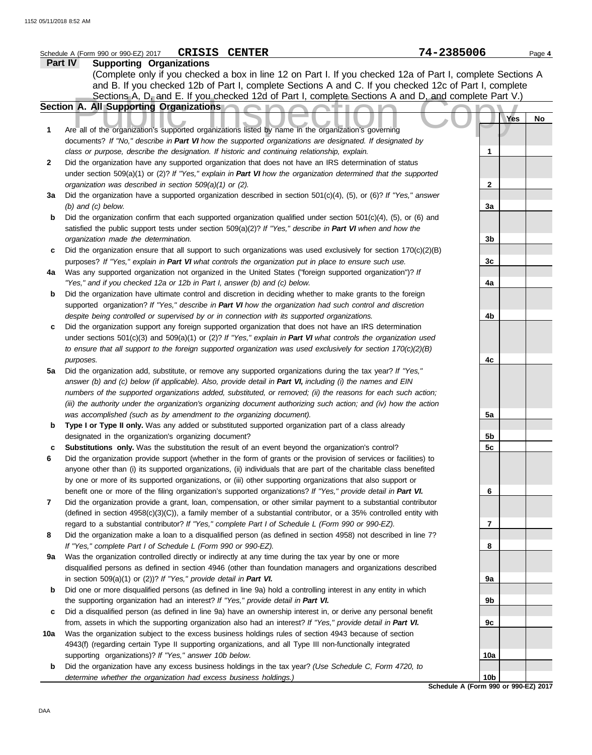| Part IV<br><b>Supporting Organizations</b><br>(Complete only if you checked a box in line 12 on Part I. If you checked 12a of Part I, complete Sections A<br>and B. If you checked 12b of Part I, complete Sections A and C. If you checked 12c of Part I, complete<br>Sections A, D, and E. If you checked 12d of Part I, complete Sections A and D, and complete Part V.)<br>Section A. All Supporting Organizations<br>Yes<br>No<br>Are all of the organization's supported organizations listed by name in the organization's governing<br>1<br>documents? If "No," describe in Part VI how the supported organizations are designated. If designated by<br>class or purpose, describe the designation. If historic and continuing relationship, explain.<br>1<br>Did the organization have any supported organization that does not have an IRS determination of status<br>2<br>under section 509(a)(1) or (2)? If "Yes," explain in Part VI how the organization determined that the supported<br>$\mathbf{2}$<br>organization was described in section 509(a)(1) or (2).<br>Did the organization have a supported organization described in section $501(c)(4)$ , (5), or (6)? If "Yes," answer<br>За<br>$(b)$ and $(c)$ below.<br>3a<br>Did the organization confirm that each supported organization qualified under section $501(c)(4)$ , (5), or (6) and<br>b<br>satisfied the public support tests under section 509(a)(2)? If "Yes," describe in Part VI when and how the<br>organization made the determination.<br>3b<br>Did the organization ensure that all support to such organizations was used exclusively for section $170(c)(2)(B)$<br>c<br>3c<br>purposes? If "Yes," explain in Part VI what controls the organization put in place to ensure such use.<br>Was any supported organization not organized in the United States ("foreign supported organization")? If<br>4a<br>"Yes," and if you checked 12a or 12b in Part I, answer (b) and (c) below.<br>4a<br>Did the organization have ultimate control and discretion in deciding whether to make grants to the foreign<br>b<br>supported organization? If "Yes," describe in Part VI how the organization had such control and discretion<br>despite being controlled or supervised by or in connection with its supported organizations.<br>4b<br>Did the organization support any foreign supported organization that does not have an IRS determination<br>c<br>under sections $501(c)(3)$ and $509(a)(1)$ or (2)? If "Yes," explain in Part VI what controls the organization used<br>to ensure that all support to the foreign supported organization was used exclusively for section $170(c)(2)(B)$<br>purposes.<br>4c<br>Did the organization add, substitute, or remove any supported organizations during the tax year? If "Yes,"<br>5a<br>answer (b) and (c) below (if applicable). Also, provide detail in Part VI, including (i) the names and EIN<br>numbers of the supported organizations added, substituted, or removed; (ii) the reasons for each such action;<br>(iii) the authority under the organization's organizing document authorizing such action; and (iv) how the action<br>was accomplished (such as by amendment to the organizing document).<br>5a<br>Type I or Type II only. Was any added or substituted supported organization part of a class already<br>b<br>designated in the organization's organizing document?<br>5b<br>Substitutions only. Was the substitution the result of an event beyond the organization's control?<br>5c<br>Did the organization provide support (whether in the form of grants or the provision of services or facilities) to<br>anyone other than (i) its supported organizations, (ii) individuals that are part of the charitable class benefited<br>by one or more of its supported organizations, or (iii) other supporting organizations that also support or<br>benefit one or more of the filing organization's supported organizations? If "Yes," provide detail in Part VI.<br>6<br>7<br>Did the organization provide a grant, loan, compensation, or other similar payment to a substantial contributor<br>(defined in section 4958(c)(3)(C)), a family member of a substantial contributor, or a 35% controlled entity with<br>$\overline{7}$<br>regard to a substantial contributor? If "Yes," complete Part I of Schedule L (Form 990 or 990-EZ).<br>Did the organization make a loan to a disqualified person (as defined in section 4958) not described in line 7?<br>8<br>If "Yes," complete Part I of Schedule L (Form 990 or 990-EZ).<br>8<br>Was the organization controlled directly or indirectly at any time during the tax year by one or more<br>9a<br>disqualified persons as defined in section 4946 (other than foundation managers and organizations described<br>in section $509(a)(1)$ or $(2)$ ? If "Yes," provide detail in Part VI.<br>9а<br>Did one or more disqualified persons (as defined in line 9a) hold a controlling interest in any entity in which<br>b<br>the supporting organization had an interest? If "Yes," provide detail in Part VI.<br>9b<br>Did a disqualified person (as defined in line 9a) have an ownership interest in, or derive any personal benefit<br>c<br>from, assets in which the supporting organization also had an interest? If "Yes," provide detail in Part VI.<br>9c<br>Was the organization subject to the excess business holdings rules of section 4943 because of section<br>10a<br>4943(f) (regarding certain Type II supporting organizations, and all Type III non-functionally integrated<br>supporting organizations)? If "Yes," answer 10b below.<br>10a<br>Did the organization have any excess business holdings in the tax year? (Use Schedule C, Form 4720, to<br>b<br>10 <sub>b</sub><br>determine whether the organization had excess business holdings.) | <b>CRISIS CENTER</b><br>Schedule A (Form 990 or 990-EZ) 2017 | 74-2385006 | Page 4 |
|--------------------------------------------------------------------------------------------------------------------------------------------------------------------------------------------------------------------------------------------------------------------------------------------------------------------------------------------------------------------------------------------------------------------------------------------------------------------------------------------------------------------------------------------------------------------------------------------------------------------------------------------------------------------------------------------------------------------------------------------------------------------------------------------------------------------------------------------------------------------------------------------------------------------------------------------------------------------------------------------------------------------------------------------------------------------------------------------------------------------------------------------------------------------------------------------------------------------------------------------------------------------------------------------------------------------------------------------------------------------------------------------------------------------------------------------------------------------------------------------------------------------------------------------------------------------------------------------------------------------------------------------------------------------------------------------------------------------------------------------------------------------------------------------------------------------------------------------------------------------------------------------------------------------------------------------------------------------------------------------------------------------------------------------------------------------------------------------------------------------------------------------------------------------------------------------------------------------------------------------------------------------------------------------------------------------------------------------------------------------------------------------------------------------------------------------------------------------------------------------------------------------------------------------------------------------------------------------------------------------------------------------------------------------------------------------------------------------------------------------------------------------------------------------------------------------------------------------------------------------------------------------------------------------------------------------------------------------------------------------------------------------------------------------------------------------------------------------------------------------------------------------------------------------------------------------------------------------------------------------------------------------------------------------------------------------------------------------------------------------------------------------------------------------------------------------------------------------------------------------------------------------------------------------------------------------------------------------------------------------------------------------------------------------------------------------------------------------------------------------------------------------------------------------------------------------------------------------------------------------------------------------------------------------------------------------------------------------------------------------------------------------------------------------------------------------------------------------------------------------------------------------------------------------------------------------------------------------------------------------------------------------------------------------------------------------------------------------------------------------------------------------------------------------------------------------------------------------------------------------------------------------------------------------------------------------------------------------------------------------------------------------------------------------------------------------------------------------------------------------------------------------------------------------------------------------------------------------------------------------------------------------------------------------------------------------------------------------------------------------------------------------------------------------------------------------------------------------------------------------------------------------------------------------------------------------------------------------------------------------------------------------------------------------------------------------------------------------------------------------------------------------------------------------------------------------------------------------------------------------------------------------------------------------------------------------------------------------------------------------------------------------------------------------------------------------------------------------------------------------------------------------------------------------------------------------------------------------------------------------------------------------------|--------------------------------------------------------------|------------|--------|
|                                                                                                                                                                                                                                                                                                                                                                                                                                                                                                                                                                                                                                                                                                                                                                                                                                                                                                                                                                                                                                                                                                                                                                                                                                                                                                                                                                                                                                                                                                                                                                                                                                                                                                                                                                                                                                                                                                                                                                                                                                                                                                                                                                                                                                                                                                                                                                                                                                                                                                                                                                                                                                                                                                                                                                                                                                                                                                                                                                                                                                                                                                                                                                                                                                                                                                                                                                                                                                                                                                                                                                                                                                                                                                                                                                                                                                                                                                                                                                                                                                                                                                                                                                                                                                                                                                                                                                                                                                                                                                                                                                                                                                                                                                                                                                                                                                                                                                                                                                                                                                                                                                                                                                                                                                                                                                                                                                                                                                                                                                                                                                                                                                                                                                                                                                                                                                                                                                  |                                                              |            |        |
|                                                                                                                                                                                                                                                                                                                                                                                                                                                                                                                                                                                                                                                                                                                                                                                                                                                                                                                                                                                                                                                                                                                                                                                                                                                                                                                                                                                                                                                                                                                                                                                                                                                                                                                                                                                                                                                                                                                                                                                                                                                                                                                                                                                                                                                                                                                                                                                                                                                                                                                                                                                                                                                                                                                                                                                                                                                                                                                                                                                                                                                                                                                                                                                                                                                                                                                                                                                                                                                                                                                                                                                                                                                                                                                                                                                                                                                                                                                                                                                                                                                                                                                                                                                                                                                                                                                                                                                                                                                                                                                                                                                                                                                                                                                                                                                                                                                                                                                                                                                                                                                                                                                                                                                                                                                                                                                                                                                                                                                                                                                                                                                                                                                                                                                                                                                                                                                                                                  |                                                              |            |        |
|                                                                                                                                                                                                                                                                                                                                                                                                                                                                                                                                                                                                                                                                                                                                                                                                                                                                                                                                                                                                                                                                                                                                                                                                                                                                                                                                                                                                                                                                                                                                                                                                                                                                                                                                                                                                                                                                                                                                                                                                                                                                                                                                                                                                                                                                                                                                                                                                                                                                                                                                                                                                                                                                                                                                                                                                                                                                                                                                                                                                                                                                                                                                                                                                                                                                                                                                                                                                                                                                                                                                                                                                                                                                                                                                                                                                                                                                                                                                                                                                                                                                                                                                                                                                                                                                                                                                                                                                                                                                                                                                                                                                                                                                                                                                                                                                                                                                                                                                                                                                                                                                                                                                                                                                                                                                                                                                                                                                                                                                                                                                                                                                                                                                                                                                                                                                                                                                                                  |                                                              |            |        |
|                                                                                                                                                                                                                                                                                                                                                                                                                                                                                                                                                                                                                                                                                                                                                                                                                                                                                                                                                                                                                                                                                                                                                                                                                                                                                                                                                                                                                                                                                                                                                                                                                                                                                                                                                                                                                                                                                                                                                                                                                                                                                                                                                                                                                                                                                                                                                                                                                                                                                                                                                                                                                                                                                                                                                                                                                                                                                                                                                                                                                                                                                                                                                                                                                                                                                                                                                                                                                                                                                                                                                                                                                                                                                                                                                                                                                                                                                                                                                                                                                                                                                                                                                                                                                                                                                                                                                                                                                                                                                                                                                                                                                                                                                                                                                                                                                                                                                                                                                                                                                                                                                                                                                                                                                                                                                                                                                                                                                                                                                                                                                                                                                                                                                                                                                                                                                                                                                                  |                                                              |            |        |
|                                                                                                                                                                                                                                                                                                                                                                                                                                                                                                                                                                                                                                                                                                                                                                                                                                                                                                                                                                                                                                                                                                                                                                                                                                                                                                                                                                                                                                                                                                                                                                                                                                                                                                                                                                                                                                                                                                                                                                                                                                                                                                                                                                                                                                                                                                                                                                                                                                                                                                                                                                                                                                                                                                                                                                                                                                                                                                                                                                                                                                                                                                                                                                                                                                                                                                                                                                                                                                                                                                                                                                                                                                                                                                                                                                                                                                                                                                                                                                                                                                                                                                                                                                                                                                                                                                                                                                                                                                                                                                                                                                                                                                                                                                                                                                                                                                                                                                                                                                                                                                                                                                                                                                                                                                                                                                                                                                                                                                                                                                                                                                                                                                                                                                                                                                                                                                                                                                  |                                                              |            |        |
|                                                                                                                                                                                                                                                                                                                                                                                                                                                                                                                                                                                                                                                                                                                                                                                                                                                                                                                                                                                                                                                                                                                                                                                                                                                                                                                                                                                                                                                                                                                                                                                                                                                                                                                                                                                                                                                                                                                                                                                                                                                                                                                                                                                                                                                                                                                                                                                                                                                                                                                                                                                                                                                                                                                                                                                                                                                                                                                                                                                                                                                                                                                                                                                                                                                                                                                                                                                                                                                                                                                                                                                                                                                                                                                                                                                                                                                                                                                                                                                                                                                                                                                                                                                                                                                                                                                                                                                                                                                                                                                                                                                                                                                                                                                                                                                                                                                                                                                                                                                                                                                                                                                                                                                                                                                                                                                                                                                                                                                                                                                                                                                                                                                                                                                                                                                                                                                                                                  |                                                              |            |        |
|                                                                                                                                                                                                                                                                                                                                                                                                                                                                                                                                                                                                                                                                                                                                                                                                                                                                                                                                                                                                                                                                                                                                                                                                                                                                                                                                                                                                                                                                                                                                                                                                                                                                                                                                                                                                                                                                                                                                                                                                                                                                                                                                                                                                                                                                                                                                                                                                                                                                                                                                                                                                                                                                                                                                                                                                                                                                                                                                                                                                                                                                                                                                                                                                                                                                                                                                                                                                                                                                                                                                                                                                                                                                                                                                                                                                                                                                                                                                                                                                                                                                                                                                                                                                                                                                                                                                                                                                                                                                                                                                                                                                                                                                                                                                                                                                                                                                                                                                                                                                                                                                                                                                                                                                                                                                                                                                                                                                                                                                                                                                                                                                                                                                                                                                                                                                                                                                                                  |                                                              |            |        |
|                                                                                                                                                                                                                                                                                                                                                                                                                                                                                                                                                                                                                                                                                                                                                                                                                                                                                                                                                                                                                                                                                                                                                                                                                                                                                                                                                                                                                                                                                                                                                                                                                                                                                                                                                                                                                                                                                                                                                                                                                                                                                                                                                                                                                                                                                                                                                                                                                                                                                                                                                                                                                                                                                                                                                                                                                                                                                                                                                                                                                                                                                                                                                                                                                                                                                                                                                                                                                                                                                                                                                                                                                                                                                                                                                                                                                                                                                                                                                                                                                                                                                                                                                                                                                                                                                                                                                                                                                                                                                                                                                                                                                                                                                                                                                                                                                                                                                                                                                                                                                                                                                                                                                                                                                                                                                                                                                                                                                                                                                                                                                                                                                                                                                                                                                                                                                                                                                                  |                                                              |            |        |
|                                                                                                                                                                                                                                                                                                                                                                                                                                                                                                                                                                                                                                                                                                                                                                                                                                                                                                                                                                                                                                                                                                                                                                                                                                                                                                                                                                                                                                                                                                                                                                                                                                                                                                                                                                                                                                                                                                                                                                                                                                                                                                                                                                                                                                                                                                                                                                                                                                                                                                                                                                                                                                                                                                                                                                                                                                                                                                                                                                                                                                                                                                                                                                                                                                                                                                                                                                                                                                                                                                                                                                                                                                                                                                                                                                                                                                                                                                                                                                                                                                                                                                                                                                                                                                                                                                                                                                                                                                                                                                                                                                                                                                                                                                                                                                                                                                                                                                                                                                                                                                                                                                                                                                                                                                                                                                                                                                                                                                                                                                                                                                                                                                                                                                                                                                                                                                                                                                  |                                                              |            |        |
|                                                                                                                                                                                                                                                                                                                                                                                                                                                                                                                                                                                                                                                                                                                                                                                                                                                                                                                                                                                                                                                                                                                                                                                                                                                                                                                                                                                                                                                                                                                                                                                                                                                                                                                                                                                                                                                                                                                                                                                                                                                                                                                                                                                                                                                                                                                                                                                                                                                                                                                                                                                                                                                                                                                                                                                                                                                                                                                                                                                                                                                                                                                                                                                                                                                                                                                                                                                                                                                                                                                                                                                                                                                                                                                                                                                                                                                                                                                                                                                                                                                                                                                                                                                                                                                                                                                                                                                                                                                                                                                                                                                                                                                                                                                                                                                                                                                                                                                                                                                                                                                                                                                                                                                                                                                                                                                                                                                                                                                                                                                                                                                                                                                                                                                                                                                                                                                                                                  |                                                              |            |        |
|                                                                                                                                                                                                                                                                                                                                                                                                                                                                                                                                                                                                                                                                                                                                                                                                                                                                                                                                                                                                                                                                                                                                                                                                                                                                                                                                                                                                                                                                                                                                                                                                                                                                                                                                                                                                                                                                                                                                                                                                                                                                                                                                                                                                                                                                                                                                                                                                                                                                                                                                                                                                                                                                                                                                                                                                                                                                                                                                                                                                                                                                                                                                                                                                                                                                                                                                                                                                                                                                                                                                                                                                                                                                                                                                                                                                                                                                                                                                                                                                                                                                                                                                                                                                                                                                                                                                                                                                                                                                                                                                                                                                                                                                                                                                                                                                                                                                                                                                                                                                                                                                                                                                                                                                                                                                                                                                                                                                                                                                                                                                                                                                                                                                                                                                                                                                                                                                                                  |                                                              |            |        |
|                                                                                                                                                                                                                                                                                                                                                                                                                                                                                                                                                                                                                                                                                                                                                                                                                                                                                                                                                                                                                                                                                                                                                                                                                                                                                                                                                                                                                                                                                                                                                                                                                                                                                                                                                                                                                                                                                                                                                                                                                                                                                                                                                                                                                                                                                                                                                                                                                                                                                                                                                                                                                                                                                                                                                                                                                                                                                                                                                                                                                                                                                                                                                                                                                                                                                                                                                                                                                                                                                                                                                                                                                                                                                                                                                                                                                                                                                                                                                                                                                                                                                                                                                                                                                                                                                                                                                                                                                                                                                                                                                                                                                                                                                                                                                                                                                                                                                                                                                                                                                                                                                                                                                                                                                                                                                                                                                                                                                                                                                                                                                                                                                                                                                                                                                                                                                                                                                                  |                                                              |            |        |
|                                                                                                                                                                                                                                                                                                                                                                                                                                                                                                                                                                                                                                                                                                                                                                                                                                                                                                                                                                                                                                                                                                                                                                                                                                                                                                                                                                                                                                                                                                                                                                                                                                                                                                                                                                                                                                                                                                                                                                                                                                                                                                                                                                                                                                                                                                                                                                                                                                                                                                                                                                                                                                                                                                                                                                                                                                                                                                                                                                                                                                                                                                                                                                                                                                                                                                                                                                                                                                                                                                                                                                                                                                                                                                                                                                                                                                                                                                                                                                                                                                                                                                                                                                                                                                                                                                                                                                                                                                                                                                                                                                                                                                                                                                                                                                                                                                                                                                                                                                                                                                                                                                                                                                                                                                                                                                                                                                                                                                                                                                                                                                                                                                                                                                                                                                                                                                                                                                  |                                                              |            |        |
|                                                                                                                                                                                                                                                                                                                                                                                                                                                                                                                                                                                                                                                                                                                                                                                                                                                                                                                                                                                                                                                                                                                                                                                                                                                                                                                                                                                                                                                                                                                                                                                                                                                                                                                                                                                                                                                                                                                                                                                                                                                                                                                                                                                                                                                                                                                                                                                                                                                                                                                                                                                                                                                                                                                                                                                                                                                                                                                                                                                                                                                                                                                                                                                                                                                                                                                                                                                                                                                                                                                                                                                                                                                                                                                                                                                                                                                                                                                                                                                                                                                                                                                                                                                                                                                                                                                                                                                                                                                                                                                                                                                                                                                                                                                                                                                                                                                                                                                                                                                                                                                                                                                                                                                                                                                                                                                                                                                                                                                                                                                                                                                                                                                                                                                                                                                                                                                                                                  |                                                              |            |        |
|                                                                                                                                                                                                                                                                                                                                                                                                                                                                                                                                                                                                                                                                                                                                                                                                                                                                                                                                                                                                                                                                                                                                                                                                                                                                                                                                                                                                                                                                                                                                                                                                                                                                                                                                                                                                                                                                                                                                                                                                                                                                                                                                                                                                                                                                                                                                                                                                                                                                                                                                                                                                                                                                                                                                                                                                                                                                                                                                                                                                                                                                                                                                                                                                                                                                                                                                                                                                                                                                                                                                                                                                                                                                                                                                                                                                                                                                                                                                                                                                                                                                                                                                                                                                                                                                                                                                                                                                                                                                                                                                                                                                                                                                                                                                                                                                                                                                                                                                                                                                                                                                                                                                                                                                                                                                                                                                                                                                                                                                                                                                                                                                                                                                                                                                                                                                                                                                                                  |                                                              |            |        |
|                                                                                                                                                                                                                                                                                                                                                                                                                                                                                                                                                                                                                                                                                                                                                                                                                                                                                                                                                                                                                                                                                                                                                                                                                                                                                                                                                                                                                                                                                                                                                                                                                                                                                                                                                                                                                                                                                                                                                                                                                                                                                                                                                                                                                                                                                                                                                                                                                                                                                                                                                                                                                                                                                                                                                                                                                                                                                                                                                                                                                                                                                                                                                                                                                                                                                                                                                                                                                                                                                                                                                                                                                                                                                                                                                                                                                                                                                                                                                                                                                                                                                                                                                                                                                                                                                                                                                                                                                                                                                                                                                                                                                                                                                                                                                                                                                                                                                                                                                                                                                                                                                                                                                                                                                                                                                                                                                                                                                                                                                                                                                                                                                                                                                                                                                                                                                                                                                                  |                                                              |            |        |
|                                                                                                                                                                                                                                                                                                                                                                                                                                                                                                                                                                                                                                                                                                                                                                                                                                                                                                                                                                                                                                                                                                                                                                                                                                                                                                                                                                                                                                                                                                                                                                                                                                                                                                                                                                                                                                                                                                                                                                                                                                                                                                                                                                                                                                                                                                                                                                                                                                                                                                                                                                                                                                                                                                                                                                                                                                                                                                                                                                                                                                                                                                                                                                                                                                                                                                                                                                                                                                                                                                                                                                                                                                                                                                                                                                                                                                                                                                                                                                                                                                                                                                                                                                                                                                                                                                                                                                                                                                                                                                                                                                                                                                                                                                                                                                                                                                                                                                                                                                                                                                                                                                                                                                                                                                                                                                                                                                                                                                                                                                                                                                                                                                                                                                                                                                                                                                                                                                  |                                                              |            |        |
|                                                                                                                                                                                                                                                                                                                                                                                                                                                                                                                                                                                                                                                                                                                                                                                                                                                                                                                                                                                                                                                                                                                                                                                                                                                                                                                                                                                                                                                                                                                                                                                                                                                                                                                                                                                                                                                                                                                                                                                                                                                                                                                                                                                                                                                                                                                                                                                                                                                                                                                                                                                                                                                                                                                                                                                                                                                                                                                                                                                                                                                                                                                                                                                                                                                                                                                                                                                                                                                                                                                                                                                                                                                                                                                                                                                                                                                                                                                                                                                                                                                                                                                                                                                                                                                                                                                                                                                                                                                                                                                                                                                                                                                                                                                                                                                                                                                                                                                                                                                                                                                                                                                                                                                                                                                                                                                                                                                                                                                                                                                                                                                                                                                                                                                                                                                                                                                                                                  |                                                              |            |        |
|                                                                                                                                                                                                                                                                                                                                                                                                                                                                                                                                                                                                                                                                                                                                                                                                                                                                                                                                                                                                                                                                                                                                                                                                                                                                                                                                                                                                                                                                                                                                                                                                                                                                                                                                                                                                                                                                                                                                                                                                                                                                                                                                                                                                                                                                                                                                                                                                                                                                                                                                                                                                                                                                                                                                                                                                                                                                                                                                                                                                                                                                                                                                                                                                                                                                                                                                                                                                                                                                                                                                                                                                                                                                                                                                                                                                                                                                                                                                                                                                                                                                                                                                                                                                                                                                                                                                                                                                                                                                                                                                                                                                                                                                                                                                                                                                                                                                                                                                                                                                                                                                                                                                                                                                                                                                                                                                                                                                                                                                                                                                                                                                                                                                                                                                                                                                                                                                                                  |                                                              |            |        |
|                                                                                                                                                                                                                                                                                                                                                                                                                                                                                                                                                                                                                                                                                                                                                                                                                                                                                                                                                                                                                                                                                                                                                                                                                                                                                                                                                                                                                                                                                                                                                                                                                                                                                                                                                                                                                                                                                                                                                                                                                                                                                                                                                                                                                                                                                                                                                                                                                                                                                                                                                                                                                                                                                                                                                                                                                                                                                                                                                                                                                                                                                                                                                                                                                                                                                                                                                                                                                                                                                                                                                                                                                                                                                                                                                                                                                                                                                                                                                                                                                                                                                                                                                                                                                                                                                                                                                                                                                                                                                                                                                                                                                                                                                                                                                                                                                                                                                                                                                                                                                                                                                                                                                                                                                                                                                                                                                                                                                                                                                                                                                                                                                                                                                                                                                                                                                                                                                                  |                                                              |            |        |
|                                                                                                                                                                                                                                                                                                                                                                                                                                                                                                                                                                                                                                                                                                                                                                                                                                                                                                                                                                                                                                                                                                                                                                                                                                                                                                                                                                                                                                                                                                                                                                                                                                                                                                                                                                                                                                                                                                                                                                                                                                                                                                                                                                                                                                                                                                                                                                                                                                                                                                                                                                                                                                                                                                                                                                                                                                                                                                                                                                                                                                                                                                                                                                                                                                                                                                                                                                                                                                                                                                                                                                                                                                                                                                                                                                                                                                                                                                                                                                                                                                                                                                                                                                                                                                                                                                                                                                                                                                                                                                                                                                                                                                                                                                                                                                                                                                                                                                                                                                                                                                                                                                                                                                                                                                                                                                                                                                                                                                                                                                                                                                                                                                                                                                                                                                                                                                                                                                  |                                                              |            |        |
|                                                                                                                                                                                                                                                                                                                                                                                                                                                                                                                                                                                                                                                                                                                                                                                                                                                                                                                                                                                                                                                                                                                                                                                                                                                                                                                                                                                                                                                                                                                                                                                                                                                                                                                                                                                                                                                                                                                                                                                                                                                                                                                                                                                                                                                                                                                                                                                                                                                                                                                                                                                                                                                                                                                                                                                                                                                                                                                                                                                                                                                                                                                                                                                                                                                                                                                                                                                                                                                                                                                                                                                                                                                                                                                                                                                                                                                                                                                                                                                                                                                                                                                                                                                                                                                                                                                                                                                                                                                                                                                                                                                                                                                                                                                                                                                                                                                                                                                                                                                                                                                                                                                                                                                                                                                                                                                                                                                                                                                                                                                                                                                                                                                                                                                                                                                                                                                                                                  |                                                              |            |        |
|                                                                                                                                                                                                                                                                                                                                                                                                                                                                                                                                                                                                                                                                                                                                                                                                                                                                                                                                                                                                                                                                                                                                                                                                                                                                                                                                                                                                                                                                                                                                                                                                                                                                                                                                                                                                                                                                                                                                                                                                                                                                                                                                                                                                                                                                                                                                                                                                                                                                                                                                                                                                                                                                                                                                                                                                                                                                                                                                                                                                                                                                                                                                                                                                                                                                                                                                                                                                                                                                                                                                                                                                                                                                                                                                                                                                                                                                                                                                                                                                                                                                                                                                                                                                                                                                                                                                                                                                                                                                                                                                                                                                                                                                                                                                                                                                                                                                                                                                                                                                                                                                                                                                                                                                                                                                                                                                                                                                                                                                                                                                                                                                                                                                                                                                                                                                                                                                                                  |                                                              |            |        |
|                                                                                                                                                                                                                                                                                                                                                                                                                                                                                                                                                                                                                                                                                                                                                                                                                                                                                                                                                                                                                                                                                                                                                                                                                                                                                                                                                                                                                                                                                                                                                                                                                                                                                                                                                                                                                                                                                                                                                                                                                                                                                                                                                                                                                                                                                                                                                                                                                                                                                                                                                                                                                                                                                                                                                                                                                                                                                                                                                                                                                                                                                                                                                                                                                                                                                                                                                                                                                                                                                                                                                                                                                                                                                                                                                                                                                                                                                                                                                                                                                                                                                                                                                                                                                                                                                                                                                                                                                                                                                                                                                                                                                                                                                                                                                                                                                                                                                                                                                                                                                                                                                                                                                                                                                                                                                                                                                                                                                                                                                                                                                                                                                                                                                                                                                                                                                                                                                                  |                                                              |            |        |
|                                                                                                                                                                                                                                                                                                                                                                                                                                                                                                                                                                                                                                                                                                                                                                                                                                                                                                                                                                                                                                                                                                                                                                                                                                                                                                                                                                                                                                                                                                                                                                                                                                                                                                                                                                                                                                                                                                                                                                                                                                                                                                                                                                                                                                                                                                                                                                                                                                                                                                                                                                                                                                                                                                                                                                                                                                                                                                                                                                                                                                                                                                                                                                                                                                                                                                                                                                                                                                                                                                                                                                                                                                                                                                                                                                                                                                                                                                                                                                                                                                                                                                                                                                                                                                                                                                                                                                                                                                                                                                                                                                                                                                                                                                                                                                                                                                                                                                                                                                                                                                                                                                                                                                                                                                                                                                                                                                                                                                                                                                                                                                                                                                                                                                                                                                                                                                                                                                  |                                                              |            |        |
|                                                                                                                                                                                                                                                                                                                                                                                                                                                                                                                                                                                                                                                                                                                                                                                                                                                                                                                                                                                                                                                                                                                                                                                                                                                                                                                                                                                                                                                                                                                                                                                                                                                                                                                                                                                                                                                                                                                                                                                                                                                                                                                                                                                                                                                                                                                                                                                                                                                                                                                                                                                                                                                                                                                                                                                                                                                                                                                                                                                                                                                                                                                                                                                                                                                                                                                                                                                                                                                                                                                                                                                                                                                                                                                                                                                                                                                                                                                                                                                                                                                                                                                                                                                                                                                                                                                                                                                                                                                                                                                                                                                                                                                                                                                                                                                                                                                                                                                                                                                                                                                                                                                                                                                                                                                                                                                                                                                                                                                                                                                                                                                                                                                                                                                                                                                                                                                                                                  |                                                              |            |        |
|                                                                                                                                                                                                                                                                                                                                                                                                                                                                                                                                                                                                                                                                                                                                                                                                                                                                                                                                                                                                                                                                                                                                                                                                                                                                                                                                                                                                                                                                                                                                                                                                                                                                                                                                                                                                                                                                                                                                                                                                                                                                                                                                                                                                                                                                                                                                                                                                                                                                                                                                                                                                                                                                                                                                                                                                                                                                                                                                                                                                                                                                                                                                                                                                                                                                                                                                                                                                                                                                                                                                                                                                                                                                                                                                                                                                                                                                                                                                                                                                                                                                                                                                                                                                                                                                                                                                                                                                                                                                                                                                                                                                                                                                                                                                                                                                                                                                                                                                                                                                                                                                                                                                                                                                                                                                                                                                                                                                                                                                                                                                                                                                                                                                                                                                                                                                                                                                                                  |                                                              |            |        |
|                                                                                                                                                                                                                                                                                                                                                                                                                                                                                                                                                                                                                                                                                                                                                                                                                                                                                                                                                                                                                                                                                                                                                                                                                                                                                                                                                                                                                                                                                                                                                                                                                                                                                                                                                                                                                                                                                                                                                                                                                                                                                                                                                                                                                                                                                                                                                                                                                                                                                                                                                                                                                                                                                                                                                                                                                                                                                                                                                                                                                                                                                                                                                                                                                                                                                                                                                                                                                                                                                                                                                                                                                                                                                                                                                                                                                                                                                                                                                                                                                                                                                                                                                                                                                                                                                                                                                                                                                                                                                                                                                                                                                                                                                                                                                                                                                                                                                                                                                                                                                                                                                                                                                                                                                                                                                                                                                                                                                                                                                                                                                                                                                                                                                                                                                                                                                                                                                                  |                                                              |            |        |
|                                                                                                                                                                                                                                                                                                                                                                                                                                                                                                                                                                                                                                                                                                                                                                                                                                                                                                                                                                                                                                                                                                                                                                                                                                                                                                                                                                                                                                                                                                                                                                                                                                                                                                                                                                                                                                                                                                                                                                                                                                                                                                                                                                                                                                                                                                                                                                                                                                                                                                                                                                                                                                                                                                                                                                                                                                                                                                                                                                                                                                                                                                                                                                                                                                                                                                                                                                                                                                                                                                                                                                                                                                                                                                                                                                                                                                                                                                                                                                                                                                                                                                                                                                                                                                                                                                                                                                                                                                                                                                                                                                                                                                                                                                                                                                                                                                                                                                                                                                                                                                                                                                                                                                                                                                                                                                                                                                                                                                                                                                                                                                                                                                                                                                                                                                                                                                                                                                  |                                                              |            |        |
|                                                                                                                                                                                                                                                                                                                                                                                                                                                                                                                                                                                                                                                                                                                                                                                                                                                                                                                                                                                                                                                                                                                                                                                                                                                                                                                                                                                                                                                                                                                                                                                                                                                                                                                                                                                                                                                                                                                                                                                                                                                                                                                                                                                                                                                                                                                                                                                                                                                                                                                                                                                                                                                                                                                                                                                                                                                                                                                                                                                                                                                                                                                                                                                                                                                                                                                                                                                                                                                                                                                                                                                                                                                                                                                                                                                                                                                                                                                                                                                                                                                                                                                                                                                                                                                                                                                                                                                                                                                                                                                                                                                                                                                                                                                                                                                                                                                                                                                                                                                                                                                                                                                                                                                                                                                                                                                                                                                                                                                                                                                                                                                                                                                                                                                                                                                                                                                                                                  |                                                              |            |        |
|                                                                                                                                                                                                                                                                                                                                                                                                                                                                                                                                                                                                                                                                                                                                                                                                                                                                                                                                                                                                                                                                                                                                                                                                                                                                                                                                                                                                                                                                                                                                                                                                                                                                                                                                                                                                                                                                                                                                                                                                                                                                                                                                                                                                                                                                                                                                                                                                                                                                                                                                                                                                                                                                                                                                                                                                                                                                                                                                                                                                                                                                                                                                                                                                                                                                                                                                                                                                                                                                                                                                                                                                                                                                                                                                                                                                                                                                                                                                                                                                                                                                                                                                                                                                                                                                                                                                                                                                                                                                                                                                                                                                                                                                                                                                                                                                                                                                                                                                                                                                                                                                                                                                                                                                                                                                                                                                                                                                                                                                                                                                                                                                                                                                                                                                                                                                                                                                                                  |                                                              |            |        |
|                                                                                                                                                                                                                                                                                                                                                                                                                                                                                                                                                                                                                                                                                                                                                                                                                                                                                                                                                                                                                                                                                                                                                                                                                                                                                                                                                                                                                                                                                                                                                                                                                                                                                                                                                                                                                                                                                                                                                                                                                                                                                                                                                                                                                                                                                                                                                                                                                                                                                                                                                                                                                                                                                                                                                                                                                                                                                                                                                                                                                                                                                                                                                                                                                                                                                                                                                                                                                                                                                                                                                                                                                                                                                                                                                                                                                                                                                                                                                                                                                                                                                                                                                                                                                                                                                                                                                                                                                                                                                                                                                                                                                                                                                                                                                                                                                                                                                                                                                                                                                                                                                                                                                                                                                                                                                                                                                                                                                                                                                                                                                                                                                                                                                                                                                                                                                                                                                                  |                                                              |            |        |
|                                                                                                                                                                                                                                                                                                                                                                                                                                                                                                                                                                                                                                                                                                                                                                                                                                                                                                                                                                                                                                                                                                                                                                                                                                                                                                                                                                                                                                                                                                                                                                                                                                                                                                                                                                                                                                                                                                                                                                                                                                                                                                                                                                                                                                                                                                                                                                                                                                                                                                                                                                                                                                                                                                                                                                                                                                                                                                                                                                                                                                                                                                                                                                                                                                                                                                                                                                                                                                                                                                                                                                                                                                                                                                                                                                                                                                                                                                                                                                                                                                                                                                                                                                                                                                                                                                                                                                                                                                                                                                                                                                                                                                                                                                                                                                                                                                                                                                                                                                                                                                                                                                                                                                                                                                                                                                                                                                                                                                                                                                                                                                                                                                                                                                                                                                                                                                                                                                  |                                                              |            |        |
|                                                                                                                                                                                                                                                                                                                                                                                                                                                                                                                                                                                                                                                                                                                                                                                                                                                                                                                                                                                                                                                                                                                                                                                                                                                                                                                                                                                                                                                                                                                                                                                                                                                                                                                                                                                                                                                                                                                                                                                                                                                                                                                                                                                                                                                                                                                                                                                                                                                                                                                                                                                                                                                                                                                                                                                                                                                                                                                                                                                                                                                                                                                                                                                                                                                                                                                                                                                                                                                                                                                                                                                                                                                                                                                                                                                                                                                                                                                                                                                                                                                                                                                                                                                                                                                                                                                                                                                                                                                                                                                                                                                                                                                                                                                                                                                                                                                                                                                                                                                                                                                                                                                                                                                                                                                                                                                                                                                                                                                                                                                                                                                                                                                                                                                                                                                                                                                                                                  |                                                              |            |        |
|                                                                                                                                                                                                                                                                                                                                                                                                                                                                                                                                                                                                                                                                                                                                                                                                                                                                                                                                                                                                                                                                                                                                                                                                                                                                                                                                                                                                                                                                                                                                                                                                                                                                                                                                                                                                                                                                                                                                                                                                                                                                                                                                                                                                                                                                                                                                                                                                                                                                                                                                                                                                                                                                                                                                                                                                                                                                                                                                                                                                                                                                                                                                                                                                                                                                                                                                                                                                                                                                                                                                                                                                                                                                                                                                                                                                                                                                                                                                                                                                                                                                                                                                                                                                                                                                                                                                                                                                                                                                                                                                                                                                                                                                                                                                                                                                                                                                                                                                                                                                                                                                                                                                                                                                                                                                                                                                                                                                                                                                                                                                                                                                                                                                                                                                                                                                                                                                                                  |                                                              |            |        |
|                                                                                                                                                                                                                                                                                                                                                                                                                                                                                                                                                                                                                                                                                                                                                                                                                                                                                                                                                                                                                                                                                                                                                                                                                                                                                                                                                                                                                                                                                                                                                                                                                                                                                                                                                                                                                                                                                                                                                                                                                                                                                                                                                                                                                                                                                                                                                                                                                                                                                                                                                                                                                                                                                                                                                                                                                                                                                                                                                                                                                                                                                                                                                                                                                                                                                                                                                                                                                                                                                                                                                                                                                                                                                                                                                                                                                                                                                                                                                                                                                                                                                                                                                                                                                                                                                                                                                                                                                                                                                                                                                                                                                                                                                                                                                                                                                                                                                                                                                                                                                                                                                                                                                                                                                                                                                                                                                                                                                                                                                                                                                                                                                                                                                                                                                                                                                                                                                                  |                                                              |            |        |
|                                                                                                                                                                                                                                                                                                                                                                                                                                                                                                                                                                                                                                                                                                                                                                                                                                                                                                                                                                                                                                                                                                                                                                                                                                                                                                                                                                                                                                                                                                                                                                                                                                                                                                                                                                                                                                                                                                                                                                                                                                                                                                                                                                                                                                                                                                                                                                                                                                                                                                                                                                                                                                                                                                                                                                                                                                                                                                                                                                                                                                                                                                                                                                                                                                                                                                                                                                                                                                                                                                                                                                                                                                                                                                                                                                                                                                                                                                                                                                                                                                                                                                                                                                                                                                                                                                                                                                                                                                                                                                                                                                                                                                                                                                                                                                                                                                                                                                                                                                                                                                                                                                                                                                                                                                                                                                                                                                                                                                                                                                                                                                                                                                                                                                                                                                                                                                                                                                  |                                                              |            |        |
|                                                                                                                                                                                                                                                                                                                                                                                                                                                                                                                                                                                                                                                                                                                                                                                                                                                                                                                                                                                                                                                                                                                                                                                                                                                                                                                                                                                                                                                                                                                                                                                                                                                                                                                                                                                                                                                                                                                                                                                                                                                                                                                                                                                                                                                                                                                                                                                                                                                                                                                                                                                                                                                                                                                                                                                                                                                                                                                                                                                                                                                                                                                                                                                                                                                                                                                                                                                                                                                                                                                                                                                                                                                                                                                                                                                                                                                                                                                                                                                                                                                                                                                                                                                                                                                                                                                                                                                                                                                                                                                                                                                                                                                                                                                                                                                                                                                                                                                                                                                                                                                                                                                                                                                                                                                                                                                                                                                                                                                                                                                                                                                                                                                                                                                                                                                                                                                                                                  |                                                              |            |        |
|                                                                                                                                                                                                                                                                                                                                                                                                                                                                                                                                                                                                                                                                                                                                                                                                                                                                                                                                                                                                                                                                                                                                                                                                                                                                                                                                                                                                                                                                                                                                                                                                                                                                                                                                                                                                                                                                                                                                                                                                                                                                                                                                                                                                                                                                                                                                                                                                                                                                                                                                                                                                                                                                                                                                                                                                                                                                                                                                                                                                                                                                                                                                                                                                                                                                                                                                                                                                                                                                                                                                                                                                                                                                                                                                                                                                                                                                                                                                                                                                                                                                                                                                                                                                                                                                                                                                                                                                                                                                                                                                                                                                                                                                                                                                                                                                                                                                                                                                                                                                                                                                                                                                                                                                                                                                                                                                                                                                                                                                                                                                                                                                                                                                                                                                                                                                                                                                                                  |                                                              |            |        |
|                                                                                                                                                                                                                                                                                                                                                                                                                                                                                                                                                                                                                                                                                                                                                                                                                                                                                                                                                                                                                                                                                                                                                                                                                                                                                                                                                                                                                                                                                                                                                                                                                                                                                                                                                                                                                                                                                                                                                                                                                                                                                                                                                                                                                                                                                                                                                                                                                                                                                                                                                                                                                                                                                                                                                                                                                                                                                                                                                                                                                                                                                                                                                                                                                                                                                                                                                                                                                                                                                                                                                                                                                                                                                                                                                                                                                                                                                                                                                                                                                                                                                                                                                                                                                                                                                                                                                                                                                                                                                                                                                                                                                                                                                                                                                                                                                                                                                                                                                                                                                                                                                                                                                                                                                                                                                                                                                                                                                                                                                                                                                                                                                                                                                                                                                                                                                                                                                                  |                                                              |            |        |
|                                                                                                                                                                                                                                                                                                                                                                                                                                                                                                                                                                                                                                                                                                                                                                                                                                                                                                                                                                                                                                                                                                                                                                                                                                                                                                                                                                                                                                                                                                                                                                                                                                                                                                                                                                                                                                                                                                                                                                                                                                                                                                                                                                                                                                                                                                                                                                                                                                                                                                                                                                                                                                                                                                                                                                                                                                                                                                                                                                                                                                                                                                                                                                                                                                                                                                                                                                                                                                                                                                                                                                                                                                                                                                                                                                                                                                                                                                                                                                                                                                                                                                                                                                                                                                                                                                                                                                                                                                                                                                                                                                                                                                                                                                                                                                                                                                                                                                                                                                                                                                                                                                                                                                                                                                                                                                                                                                                                                                                                                                                                                                                                                                                                                                                                                                                                                                                                                                  |                                                              |            |        |
|                                                                                                                                                                                                                                                                                                                                                                                                                                                                                                                                                                                                                                                                                                                                                                                                                                                                                                                                                                                                                                                                                                                                                                                                                                                                                                                                                                                                                                                                                                                                                                                                                                                                                                                                                                                                                                                                                                                                                                                                                                                                                                                                                                                                                                                                                                                                                                                                                                                                                                                                                                                                                                                                                                                                                                                                                                                                                                                                                                                                                                                                                                                                                                                                                                                                                                                                                                                                                                                                                                                                                                                                                                                                                                                                                                                                                                                                                                                                                                                                                                                                                                                                                                                                                                                                                                                                                                                                                                                                                                                                                                                                                                                                                                                                                                                                                                                                                                                                                                                                                                                                                                                                                                                                                                                                                                                                                                                                                                                                                                                                                                                                                                                                                                                                                                                                                                                                                                  |                                                              |            |        |
|                                                                                                                                                                                                                                                                                                                                                                                                                                                                                                                                                                                                                                                                                                                                                                                                                                                                                                                                                                                                                                                                                                                                                                                                                                                                                                                                                                                                                                                                                                                                                                                                                                                                                                                                                                                                                                                                                                                                                                                                                                                                                                                                                                                                                                                                                                                                                                                                                                                                                                                                                                                                                                                                                                                                                                                                                                                                                                                                                                                                                                                                                                                                                                                                                                                                                                                                                                                                                                                                                                                                                                                                                                                                                                                                                                                                                                                                                                                                                                                                                                                                                                                                                                                                                                                                                                                                                                                                                                                                                                                                                                                                                                                                                                                                                                                                                                                                                                                                                                                                                                                                                                                                                                                                                                                                                                                                                                                                                                                                                                                                                                                                                                                                                                                                                                                                                                                                                                  |                                                              |            |        |
|                                                                                                                                                                                                                                                                                                                                                                                                                                                                                                                                                                                                                                                                                                                                                                                                                                                                                                                                                                                                                                                                                                                                                                                                                                                                                                                                                                                                                                                                                                                                                                                                                                                                                                                                                                                                                                                                                                                                                                                                                                                                                                                                                                                                                                                                                                                                                                                                                                                                                                                                                                                                                                                                                                                                                                                                                                                                                                                                                                                                                                                                                                                                                                                                                                                                                                                                                                                                                                                                                                                                                                                                                                                                                                                                                                                                                                                                                                                                                                                                                                                                                                                                                                                                                                                                                                                                                                                                                                                                                                                                                                                                                                                                                                                                                                                                                                                                                                                                                                                                                                                                                                                                                                                                                                                                                                                                                                                                                                                                                                                                                                                                                                                                                                                                                                                                                                                                                                  |                                                              |            |        |
|                                                                                                                                                                                                                                                                                                                                                                                                                                                                                                                                                                                                                                                                                                                                                                                                                                                                                                                                                                                                                                                                                                                                                                                                                                                                                                                                                                                                                                                                                                                                                                                                                                                                                                                                                                                                                                                                                                                                                                                                                                                                                                                                                                                                                                                                                                                                                                                                                                                                                                                                                                                                                                                                                                                                                                                                                                                                                                                                                                                                                                                                                                                                                                                                                                                                                                                                                                                                                                                                                                                                                                                                                                                                                                                                                                                                                                                                                                                                                                                                                                                                                                                                                                                                                                                                                                                                                                                                                                                                                                                                                                                                                                                                                                                                                                                                                                                                                                                                                                                                                                                                                                                                                                                                                                                                                                                                                                                                                                                                                                                                                                                                                                                                                                                                                                                                                                                                                                  |                                                              |            |        |
|                                                                                                                                                                                                                                                                                                                                                                                                                                                                                                                                                                                                                                                                                                                                                                                                                                                                                                                                                                                                                                                                                                                                                                                                                                                                                                                                                                                                                                                                                                                                                                                                                                                                                                                                                                                                                                                                                                                                                                                                                                                                                                                                                                                                                                                                                                                                                                                                                                                                                                                                                                                                                                                                                                                                                                                                                                                                                                                                                                                                                                                                                                                                                                                                                                                                                                                                                                                                                                                                                                                                                                                                                                                                                                                                                                                                                                                                                                                                                                                                                                                                                                                                                                                                                                                                                                                                                                                                                                                                                                                                                                                                                                                                                                                                                                                                                                                                                                                                                                                                                                                                                                                                                                                                                                                                                                                                                                                                                                                                                                                                                                                                                                                                                                                                                                                                                                                                                                  |                                                              |            |        |
|                                                                                                                                                                                                                                                                                                                                                                                                                                                                                                                                                                                                                                                                                                                                                                                                                                                                                                                                                                                                                                                                                                                                                                                                                                                                                                                                                                                                                                                                                                                                                                                                                                                                                                                                                                                                                                                                                                                                                                                                                                                                                                                                                                                                                                                                                                                                                                                                                                                                                                                                                                                                                                                                                                                                                                                                                                                                                                                                                                                                                                                                                                                                                                                                                                                                                                                                                                                                                                                                                                                                                                                                                                                                                                                                                                                                                                                                                                                                                                                                                                                                                                                                                                                                                                                                                                                                                                                                                                                                                                                                                                                                                                                                                                                                                                                                                                                                                                                                                                                                                                                                                                                                                                                                                                                                                                                                                                                                                                                                                                                                                                                                                                                                                                                                                                                                                                                                                                  |                                                              |            |        |
|                                                                                                                                                                                                                                                                                                                                                                                                                                                                                                                                                                                                                                                                                                                                                                                                                                                                                                                                                                                                                                                                                                                                                                                                                                                                                                                                                                                                                                                                                                                                                                                                                                                                                                                                                                                                                                                                                                                                                                                                                                                                                                                                                                                                                                                                                                                                                                                                                                                                                                                                                                                                                                                                                                                                                                                                                                                                                                                                                                                                                                                                                                                                                                                                                                                                                                                                                                                                                                                                                                                                                                                                                                                                                                                                                                                                                                                                                                                                                                                                                                                                                                                                                                                                                                                                                                                                                                                                                                                                                                                                                                                                                                                                                                                                                                                                                                                                                                                                                                                                                                                                                                                                                                                                                                                                                                                                                                                                                                                                                                                                                                                                                                                                                                                                                                                                                                                                                                  |                                                              |            |        |
|                                                                                                                                                                                                                                                                                                                                                                                                                                                                                                                                                                                                                                                                                                                                                                                                                                                                                                                                                                                                                                                                                                                                                                                                                                                                                                                                                                                                                                                                                                                                                                                                                                                                                                                                                                                                                                                                                                                                                                                                                                                                                                                                                                                                                                                                                                                                                                                                                                                                                                                                                                                                                                                                                                                                                                                                                                                                                                                                                                                                                                                                                                                                                                                                                                                                                                                                                                                                                                                                                                                                                                                                                                                                                                                                                                                                                                                                                                                                                                                                                                                                                                                                                                                                                                                                                                                                                                                                                                                                                                                                                                                                                                                                                                                                                                                                                                                                                                                                                                                                                                                                                                                                                                                                                                                                                                                                                                                                                                                                                                                                                                                                                                                                                                                                                                                                                                                                                                  |                                                              |            |        |
|                                                                                                                                                                                                                                                                                                                                                                                                                                                                                                                                                                                                                                                                                                                                                                                                                                                                                                                                                                                                                                                                                                                                                                                                                                                                                                                                                                                                                                                                                                                                                                                                                                                                                                                                                                                                                                                                                                                                                                                                                                                                                                                                                                                                                                                                                                                                                                                                                                                                                                                                                                                                                                                                                                                                                                                                                                                                                                                                                                                                                                                                                                                                                                                                                                                                                                                                                                                                                                                                                                                                                                                                                                                                                                                                                                                                                                                                                                                                                                                                                                                                                                                                                                                                                                                                                                                                                                                                                                                                                                                                                                                                                                                                                                                                                                                                                                                                                                                                                                                                                                                                                                                                                                                                                                                                                                                                                                                                                                                                                                                                                                                                                                                                                                                                                                                                                                                                                                  |                                                              |            |        |
|                                                                                                                                                                                                                                                                                                                                                                                                                                                                                                                                                                                                                                                                                                                                                                                                                                                                                                                                                                                                                                                                                                                                                                                                                                                                                                                                                                                                                                                                                                                                                                                                                                                                                                                                                                                                                                                                                                                                                                                                                                                                                                                                                                                                                                                                                                                                                                                                                                                                                                                                                                                                                                                                                                                                                                                                                                                                                                                                                                                                                                                                                                                                                                                                                                                                                                                                                                                                                                                                                                                                                                                                                                                                                                                                                                                                                                                                                                                                                                                                                                                                                                                                                                                                                                                                                                                                                                                                                                                                                                                                                                                                                                                                                                                                                                                                                                                                                                                                                                                                                                                                                                                                                                                                                                                                                                                                                                                                                                                                                                                                                                                                                                                                                                                                                                                                                                                                                                  |                                                              |            |        |
|                                                                                                                                                                                                                                                                                                                                                                                                                                                                                                                                                                                                                                                                                                                                                                                                                                                                                                                                                                                                                                                                                                                                                                                                                                                                                                                                                                                                                                                                                                                                                                                                                                                                                                                                                                                                                                                                                                                                                                                                                                                                                                                                                                                                                                                                                                                                                                                                                                                                                                                                                                                                                                                                                                                                                                                                                                                                                                                                                                                                                                                                                                                                                                                                                                                                                                                                                                                                                                                                                                                                                                                                                                                                                                                                                                                                                                                                                                                                                                                                                                                                                                                                                                                                                                                                                                                                                                                                                                                                                                                                                                                                                                                                                                                                                                                                                                                                                                                                                                                                                                                                                                                                                                                                                                                                                                                                                                                                                                                                                                                                                                                                                                                                                                                                                                                                                                                                                                  |                                                              |            |        |
|                                                                                                                                                                                                                                                                                                                                                                                                                                                                                                                                                                                                                                                                                                                                                                                                                                                                                                                                                                                                                                                                                                                                                                                                                                                                                                                                                                                                                                                                                                                                                                                                                                                                                                                                                                                                                                                                                                                                                                                                                                                                                                                                                                                                                                                                                                                                                                                                                                                                                                                                                                                                                                                                                                                                                                                                                                                                                                                                                                                                                                                                                                                                                                                                                                                                                                                                                                                                                                                                                                                                                                                                                                                                                                                                                                                                                                                                                                                                                                                                                                                                                                                                                                                                                                                                                                                                                                                                                                                                                                                                                                                                                                                                                                                                                                                                                                                                                                                                                                                                                                                                                                                                                                                                                                                                                                                                                                                                                                                                                                                                                                                                                                                                                                                                                                                                                                                                                                  |                                                              |            |        |
|                                                                                                                                                                                                                                                                                                                                                                                                                                                                                                                                                                                                                                                                                                                                                                                                                                                                                                                                                                                                                                                                                                                                                                                                                                                                                                                                                                                                                                                                                                                                                                                                                                                                                                                                                                                                                                                                                                                                                                                                                                                                                                                                                                                                                                                                                                                                                                                                                                                                                                                                                                                                                                                                                                                                                                                                                                                                                                                                                                                                                                                                                                                                                                                                                                                                                                                                                                                                                                                                                                                                                                                                                                                                                                                                                                                                                                                                                                                                                                                                                                                                                                                                                                                                                                                                                                                                                                                                                                                                                                                                                                                                                                                                                                                                                                                                                                                                                                                                                                                                                                                                                                                                                                                                                                                                                                                                                                                                                                                                                                                                                                                                                                                                                                                                                                                                                                                                                                  |                                                              |            |        |
|                                                                                                                                                                                                                                                                                                                                                                                                                                                                                                                                                                                                                                                                                                                                                                                                                                                                                                                                                                                                                                                                                                                                                                                                                                                                                                                                                                                                                                                                                                                                                                                                                                                                                                                                                                                                                                                                                                                                                                                                                                                                                                                                                                                                                                                                                                                                                                                                                                                                                                                                                                                                                                                                                                                                                                                                                                                                                                                                                                                                                                                                                                                                                                                                                                                                                                                                                                                                                                                                                                                                                                                                                                                                                                                                                                                                                                                                                                                                                                                                                                                                                                                                                                                                                                                                                                                                                                                                                                                                                                                                                                                                                                                                                                                                                                                                                                                                                                                                                                                                                                                                                                                                                                                                                                                                                                                                                                                                                                                                                                                                                                                                                                                                                                                                                                                                                                                                                                  |                                                              |            |        |
|                                                                                                                                                                                                                                                                                                                                                                                                                                                                                                                                                                                                                                                                                                                                                                                                                                                                                                                                                                                                                                                                                                                                                                                                                                                                                                                                                                                                                                                                                                                                                                                                                                                                                                                                                                                                                                                                                                                                                                                                                                                                                                                                                                                                                                                                                                                                                                                                                                                                                                                                                                                                                                                                                                                                                                                                                                                                                                                                                                                                                                                                                                                                                                                                                                                                                                                                                                                                                                                                                                                                                                                                                                                                                                                                                                                                                                                                                                                                                                                                                                                                                                                                                                                                                                                                                                                                                                                                                                                                                                                                                                                                                                                                                                                                                                                                                                                                                                                                                                                                                                                                                                                                                                                                                                                                                                                                                                                                                                                                                                                                                                                                                                                                                                                                                                                                                                                                                                  |                                                              |            |        |
| Schedule A (Form 990 or 990-EZ) 2017                                                                                                                                                                                                                                                                                                                                                                                                                                                                                                                                                                                                                                                                                                                                                                                                                                                                                                                                                                                                                                                                                                                                                                                                                                                                                                                                                                                                                                                                                                                                                                                                                                                                                                                                                                                                                                                                                                                                                                                                                                                                                                                                                                                                                                                                                                                                                                                                                                                                                                                                                                                                                                                                                                                                                                                                                                                                                                                                                                                                                                                                                                                                                                                                                                                                                                                                                                                                                                                                                                                                                                                                                                                                                                                                                                                                                                                                                                                                                                                                                                                                                                                                                                                                                                                                                                                                                                                                                                                                                                                                                                                                                                                                                                                                                                                                                                                                                                                                                                                                                                                                                                                                                                                                                                                                                                                                                                                                                                                                                                                                                                                                                                                                                                                                                                                                                                                             |                                                              |            |        |

DAA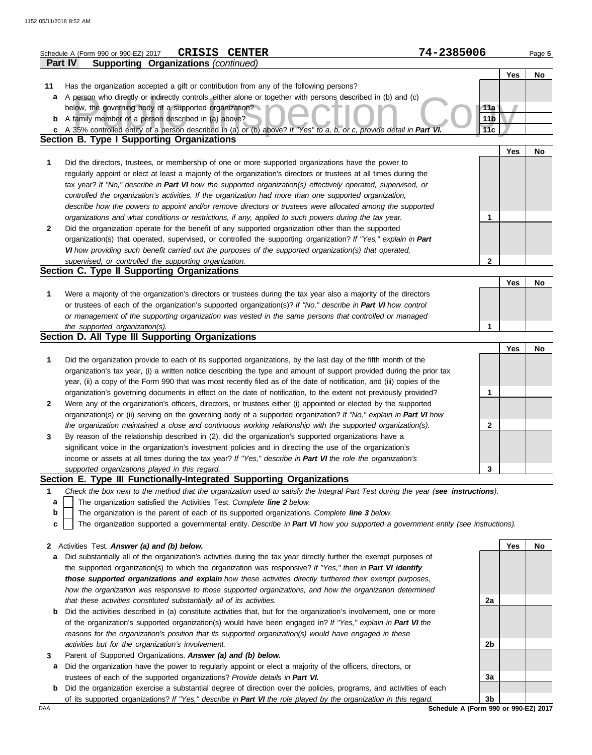|              | <b>CRISIS CENTER</b><br>Schedule A (Form 990 or 990-EZ) 2017                                                                                                                                                                           | 74-2385006      | Page 5 |
|--------------|----------------------------------------------------------------------------------------------------------------------------------------------------------------------------------------------------------------------------------------|-----------------|--------|
|              | <b>Supporting Organizations (continued)</b><br><b>Part IV</b>                                                                                                                                                                          |                 |        |
|              |                                                                                                                                                                                                                                        | Yes             | No     |
| 11           | Has the organization accepted a gift or contribution from any of the following persons?                                                                                                                                                |                 |        |
| а            | A person who directly or indirectly controls, either alone or together with persons described in (b) and (c)                                                                                                                           |                 |        |
|              | below, the governing body of a supported organization?                                                                                                                                                                                 | 11a             |        |
|              | <b>b</b> A family member of a person described in (a) above?                                                                                                                                                                           | 11 <sub>b</sub> |        |
| C            | A 35% controlled entity of a person described in (a) or (b) above? If "Yes" to a, b, or c, provide detail in Part VI.                                                                                                                  | 11c             |        |
|              | <b>Section B. Type I Supporting Organizations</b>                                                                                                                                                                                      |                 |        |
|              |                                                                                                                                                                                                                                        | Yes             | No     |
| 1            | Did the directors, trustees, or membership of one or more supported organizations have the power to                                                                                                                                    |                 |        |
|              | regularly appoint or elect at least a majority of the organization's directors or trustees at all times during the<br>tax year? If "No," describe in Part VI how the supported organization(s) effectively operated, supervised, or    |                 |        |
|              | controlled the organization's activities. If the organization had more than one supported organization,                                                                                                                                |                 |        |
|              | describe how the powers to appoint and/or remove directors or trustees were allocated among the supported                                                                                                                              |                 |        |
|              | organizations and what conditions or restrictions, if any, applied to such powers during the tax year.                                                                                                                                 | 1               |        |
| $\mathbf{2}$ | Did the organization operate for the benefit of any supported organization other than the supported                                                                                                                                    |                 |        |
|              | organization(s) that operated, supervised, or controlled the supporting organization? If "Yes," explain in Part                                                                                                                        |                 |        |
|              | VI how providing such benefit carried out the purposes of the supported organization(s) that operated,                                                                                                                                 |                 |        |
|              | supervised, or controlled the supporting organization.                                                                                                                                                                                 | $\mathbf{2}$    |        |
|              | Section C. Type II Supporting Organizations                                                                                                                                                                                            |                 |        |
|              |                                                                                                                                                                                                                                        | Yes             | No     |
| 1            | Were a majority of the organization's directors or trustees during the tax year also a majority of the directors                                                                                                                       |                 |        |
|              | or trustees of each of the organization's supported organization(s)? If "No," describe in Part VI how control                                                                                                                          |                 |        |
|              | or management of the supporting organization was vested in the same persons that controlled or managed                                                                                                                                 |                 |        |
|              | the supported organization(s).                                                                                                                                                                                                         | 1               |        |
|              | Section D. All Type III Supporting Organizations                                                                                                                                                                                       |                 |        |
|              |                                                                                                                                                                                                                                        | Yes             | No     |
| 1            | Did the organization provide to each of its supported organizations, by the last day of the fifth month of the                                                                                                                         |                 |        |
|              | organization's tax year, (i) a written notice describing the type and amount of support provided during the prior tax                                                                                                                  |                 |        |
|              | year, (ii) a copy of the Form 990 that was most recently filed as of the date of notification, and (iii) copies of the                                                                                                                 |                 |        |
|              | organization's governing documents in effect on the date of notification, to the extent not previously provided?                                                                                                                       | 1               |        |
| $\mathbf{2}$ | Were any of the organization's officers, directors, or trustees either (i) appointed or elected by the supported<br>organization(s) or (ii) serving on the governing body of a supported organization? If "No," explain in Part VI how |                 |        |
|              | the organization maintained a close and continuous working relationship with the supported organization(s).                                                                                                                            | $\mathbf{2}$    |        |
| 3            | By reason of the relationship described in (2), did the organization's supported organizations have a                                                                                                                                  |                 |        |
|              | significant voice in the organization's investment policies and in directing the use of the organization's                                                                                                                             |                 |        |
|              | income or assets at all times during the tax year? If "Yes," describe in Part VI the role the organization's                                                                                                                           |                 |        |
|              | supported organizations played in this regard.                                                                                                                                                                                         | 3               |        |
|              | Section E. Type III Functionally-Integrated Supporting Organizations                                                                                                                                                                   |                 |        |
| 1            | Check the box next to the method that the organization used to satisfy the Integral Part Test during the year (see instructions).                                                                                                      |                 |        |
| a            | The organization satisfied the Activities Test. Complete line 2 below.                                                                                                                                                                 |                 |        |
| b            | The organization is the parent of each of its supported organizations. Complete line 3 below.                                                                                                                                          |                 |        |
| c            | The organization supported a governmental entity. Describe in Part VI how you supported a government entity (see instructions).                                                                                                        |                 |        |
|              |                                                                                                                                                                                                                                        |                 |        |
| $\mathbf{2}$ | Activities Test. Answer (a) and (b) below.                                                                                                                                                                                             | Yes             | No     |
| a            | Did substantially all of the organization's activities during the tax year directly further the exempt purposes of                                                                                                                     |                 |        |
|              | the supported organization(s) to which the organization was responsive? If "Yes," then in Part VI identify                                                                                                                             |                 |        |
|              | those supported organizations and explain how these activities directly furthered their exempt purposes,                                                                                                                               |                 |        |
|              | how the organization was responsive to those supported organizations, and how the organization determined                                                                                                                              |                 |        |
|              | that these activities constituted substantially all of its activities.                                                                                                                                                                 | 2a              |        |
| b            | Did the activities described in (a) constitute activities that, but for the organization's involvement, one or more                                                                                                                    |                 |        |
|              | of the organization's supported organization(s) would have been engaged in? If "Yes," explain in Part VI the                                                                                                                           |                 |        |
|              | reasons for the organization's position that its supported organization(s) would have engaged in these                                                                                                                                 |                 |        |
|              | activities but for the organization's involvement.                                                                                                                                                                                     | 2b              |        |
| 3            | Parent of Supported Organizations. Answer (a) and (b) below.                                                                                                                                                                           |                 |        |
| а            | Did the organization have the power to regularly appoint or elect a majority of the officers, directors, or<br>trustees of each of the supported organizations? Provide details in Part VI.                                            | 3a              |        |
|              |                                                                                                                                                                                                                                        |                 |        |

**b** Did the organization exercise a substantial degree of direction over the policies, programs, and activities of each of its supported organizations? *If "Yes," describe in Part VI the role played by the organization in this regard.* **3b**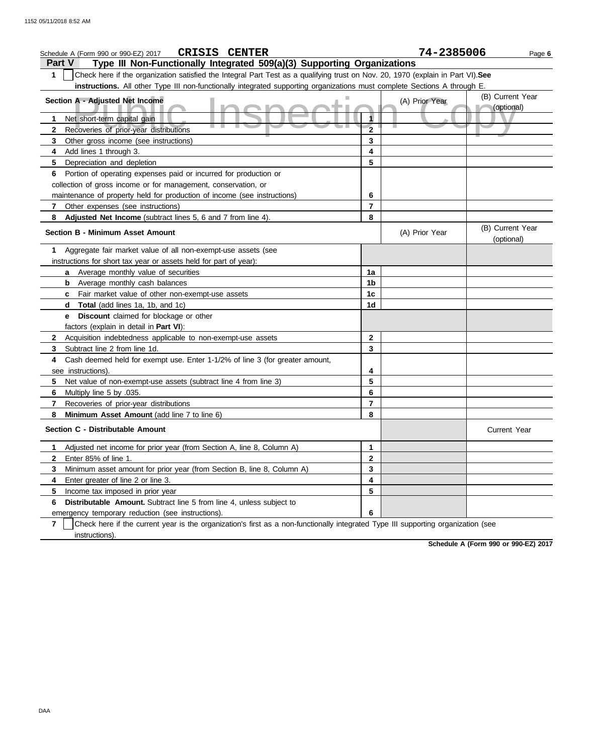| <b>CRISIS CENTER</b><br>Schedule A (Form 990 or 990-EZ) 2017                                                                           |                         | 74-2385006     | Page 6                         |
|----------------------------------------------------------------------------------------------------------------------------------------|-------------------------|----------------|--------------------------------|
| Type III Non-Functionally Integrated 509(a)(3) Supporting Organizations<br>Part V                                                      |                         |                |                                |
| Check here if the organization satisfied the Integral Part Test as a qualifying trust on Nov. 20, 1970 (explain in Part VI). See<br>1  |                         |                |                                |
| instructions. All other Type III non-functionally integrated supporting organizations must complete Sections A through E.              |                         |                |                                |
| Section A - Adjusted Net Income                                                                                                        |                         | (A) Prior Year | (B) Current Year<br>(optional) |
| Net short-term capital gain<br>1                                                                                                       |                         |                |                                |
| Recoveries of prior-year distributions<br>2                                                                                            | $\overline{\mathbf{2}}$ |                |                                |
| 3<br>Other gross income (see instructions)                                                                                             | 3                       |                |                                |
| Add lines 1 through 3.<br>4                                                                                                            | 4                       |                |                                |
| 5<br>Depreciation and depletion                                                                                                        | 5                       |                |                                |
| Portion of operating expenses paid or incurred for production or<br>6                                                                  |                         |                |                                |
| collection of gross income or for management, conservation, or                                                                         |                         |                |                                |
| maintenance of property held for production of income (see instructions)                                                               | 6                       |                |                                |
| Other expenses (see instructions)<br>7                                                                                                 | 7                       |                |                                |
| Adjusted Net Income (subtract lines 5, 6 and 7 from line 4).<br>8                                                                      | 8                       |                |                                |
| <b>Section B - Minimum Asset Amount</b>                                                                                                |                         | (A) Prior Year | (B) Current Year<br>(optional) |
| Aggregate fair market value of all non-exempt-use assets (see<br>1.                                                                    |                         |                |                                |
| instructions for short tax year or assets held for part of year):                                                                      |                         |                |                                |
| Average monthly value of securities<br>a                                                                                               | 1a                      |                |                                |
| Average monthly cash balances<br>b                                                                                                     | 1b                      |                |                                |
| Fair market value of other non-exempt-use assets<br>C                                                                                  | 1c                      |                |                                |
| <b>Total</b> (add lines 1a, 1b, and 1c)<br>d                                                                                           | 1d                      |                |                                |
| Discount claimed for blockage or other<br>е                                                                                            |                         |                |                                |
| factors (explain in detail in Part VI):                                                                                                |                         |                |                                |
| Acquisition indebtedness applicable to non-exempt-use assets<br>2                                                                      | 2                       |                |                                |
| 3<br>Subtract line 2 from line 1d.                                                                                                     | 3                       |                |                                |
| Cash deemed held for exempt use. Enter 1-1/2% of line 3 (for greater amount,<br>4                                                      |                         |                |                                |
| see instructions).                                                                                                                     | 4                       |                |                                |
| 5<br>Net value of non-exempt-use assets (subtract line 4 from line 3)                                                                  | 5                       |                |                                |
| 6<br>.035. Multiply line 5 by                                                                                                          | 6                       |                |                                |
| 7<br>Recoveries of prior-year distributions                                                                                            | 7                       |                |                                |
| 8<br>Minimum Asset Amount (add line 7 to line 6)                                                                                       | 8                       |                |                                |
| Section C - Distributable Amount                                                                                                       |                         |                | <b>Current Year</b>            |
| Adjusted net income for prior year (from Section A, line 8, Column A)<br>1                                                             | 1                       |                |                                |
| Enter 85% of line 1.<br>2                                                                                                              | 2                       |                |                                |
| 3<br>Minimum asset amount for prior year (from Section B, line 8, Column A)                                                            | 3                       |                |                                |
| Enter greater of line 2 or line 3.<br>4                                                                                                | 4                       |                |                                |
| 5<br>Income tax imposed in prior year                                                                                                  | 5                       |                |                                |
| Distributable Amount. Subtract line 5 from line 4, unless subject to<br>6                                                              |                         |                |                                |
| emergency temporary reduction (see instructions).                                                                                      | 6                       |                |                                |
| Check here if the current year is the organization's first as a non-functionally integrated Type III supporting organization (see<br>7 |                         |                |                                |
| instructions).                                                                                                                         |                         |                |                                |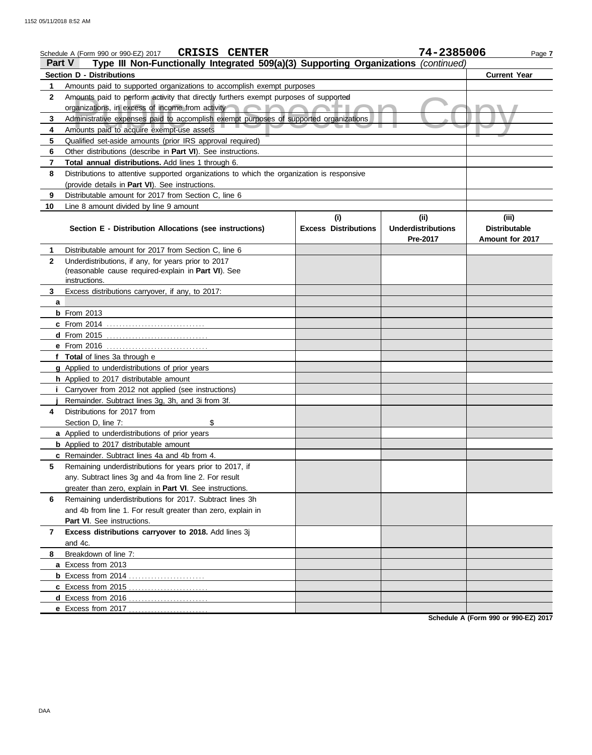|              | <b>CRISIS CENTER</b><br>Schedule A (Form 990 or 990-EZ) 2017                               |                             | 74-2385006                | Page 7               |
|--------------|--------------------------------------------------------------------------------------------|-----------------------------|---------------------------|----------------------|
| Part V       | Type III Non-Functionally Integrated 509(a)(3) Supporting Organizations (continued)        |                             |                           |                      |
|              | <b>Section D - Distributions</b>                                                           |                             |                           | <b>Current Year</b>  |
| 1            | Amounts paid to supported organizations to accomplish exempt purposes                      |                             |                           |                      |
| $\mathbf{2}$ | Amounts paid to perform activity that directly furthers exempt purposes of supported       |                             |                           |                      |
|              | organizations, in excess of income from activity                                           |                             |                           |                      |
| 3            | Administrative expenses paid to accomplish exempt purposes of supported organizations      |                             |                           |                      |
| 4            | Amounts paid to acquire exempt-use assets                                                  |                             |                           |                      |
| 5            | Qualified set-aside amounts (prior IRS approval required)                                  |                             |                           |                      |
| 6            | Other distributions (describe in Part VI). See instructions.                               |                             |                           |                      |
| 7            | Total annual distributions. Add lines 1 through 6.                                         |                             |                           |                      |
| 8            | Distributions to attentive supported organizations to which the organization is responsive |                             |                           |                      |
|              | (provide details in Part VI). See instructions.                                            |                             |                           |                      |
| 9            | Distributable amount for 2017 from Section C, line 6                                       |                             |                           |                      |
| 10           | Line 8 amount divided by line 9 amount                                                     | (i)                         | (ii)                      | (iii)                |
|              | Section E - Distribution Allocations (see instructions)                                    | <b>Excess Distributions</b> | <b>Underdistributions</b> | <b>Distributable</b> |
|              |                                                                                            |                             | Pre-2017                  | Amount for 2017      |
| 1.           | Distributable amount for 2017 from Section C, line 6                                       |                             |                           |                      |
| $\mathbf{2}$ | Underdistributions, if any, for years prior to 2017                                        |                             |                           |                      |
|              | (reasonable cause required-explain in Part VI). See                                        |                             |                           |                      |
|              | instructions.                                                                              |                             |                           |                      |
| 3            | Excess distributions carryover, if any, to 2017:                                           |                             |                           |                      |
| a            |                                                                                            |                             |                           |                      |
|              | <b>b</b> From 2013                                                                         |                             |                           |                      |
|              | <b>c</b> From 2014                                                                         |                             |                           |                      |
|              |                                                                                            |                             |                           |                      |
|              | e From 2016                                                                                |                             |                           |                      |
|              | f Total of lines 3a through e                                                              |                             |                           |                      |
|              | g Applied to underdistributions of prior years                                             |                             |                           |                      |
|              | h Applied to 2017 distributable amount                                                     |                             |                           |                      |
|              | <i>i</i> Carryover from 2012 not applied (see instructions)                                |                             |                           |                      |
| 4            | Remainder. Subtract lines 3g, 3h, and 3i from 3f.<br>Distributions for 2017 from           |                             |                           |                      |
|              | \$<br>Section D, line 7:                                                                   |                             |                           |                      |
|              | a Applied to underdistributions of prior years                                             |                             |                           |                      |
|              | <b>b</b> Applied to 2017 distributable amount                                              |                             |                           |                      |
|              | c Remainder. Subtract lines 4a and 4b from 4.                                              |                             |                           |                      |
| 5            | Remaining underdistributions for years prior to 2017, if                                   |                             |                           |                      |
|              | any. Subtract lines 3g and 4a from line 2. For result                                      |                             |                           |                      |
|              | greater than zero, explain in Part VI. See instructions.                                   |                             |                           |                      |
| 6            | Remaining underdistributions for 2017. Subtract lines 3h                                   |                             |                           |                      |
|              | and 4b from line 1. For result greater than zero, explain in                               |                             |                           |                      |
|              | Part VI. See instructions.                                                                 |                             |                           |                      |
| 7            | Excess distributions carryover to 2018. Add lines 3j                                       |                             |                           |                      |
|              | and 4c.                                                                                    |                             |                           |                      |
| 8            | Breakdown of line 7:                                                                       |                             |                           |                      |
|              | a Excess from 2013                                                                         |                             |                           |                      |
|              |                                                                                            |                             |                           |                      |
|              |                                                                                            |                             |                           |                      |
|              | d Excess from 2016                                                                         |                             |                           |                      |
|              |                                                                                            |                             |                           |                      |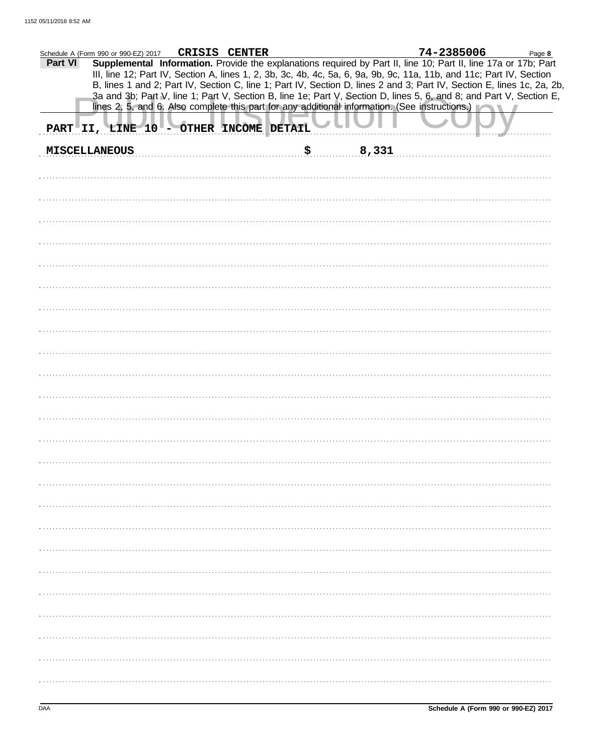| CRISIS CENTER<br>Schedule A (Form 990 or 990-EZ) 2017                                                                                                                                                                                              | 74-2385006<br>Page 8 |
|----------------------------------------------------------------------------------------------------------------------------------------------------------------------------------------------------------------------------------------------------|----------------------|
| Supplemental Information. Provide the explanations required by Part II, line 10; Part II, line 17a or 17b; Part<br>Part VI<br>III, line 12; Part IV, Section A, lines 1, 2, 3b, 3c, 4b, 4c, 5a, 6, 9a, 9b, 9c, 11a, 11b, and 11c; Part IV, Section |                      |
| B, lines 1 and 2; Part IV, Section C, line 1; Part IV, Section D, lines 2 and 3; Part IV, Section E, lines 1c, 2a, 2b,                                                                                                                             |                      |
| 3a and 3b; Part V, line 1; Part V, Section B, line 1e; Part V, Section D, lines 5, 6, and 8; and Part V, Section E,<br>lines 2, 5, and 6. Also complete this part for any additional information. (See instructions.)                              |                      |
|                                                                                                                                                                                                                                                    |                      |
| PART II, LINE 10 - OTHER INCOME DETAIL                                                                                                                                                                                                             |                      |
| 8,331<br>\$<br><b>MISCELLANEOUS</b>                                                                                                                                                                                                                |                      |
|                                                                                                                                                                                                                                                    |                      |
|                                                                                                                                                                                                                                                    |                      |
|                                                                                                                                                                                                                                                    |                      |
|                                                                                                                                                                                                                                                    |                      |
|                                                                                                                                                                                                                                                    |                      |
|                                                                                                                                                                                                                                                    |                      |
|                                                                                                                                                                                                                                                    |                      |
|                                                                                                                                                                                                                                                    |                      |
|                                                                                                                                                                                                                                                    |                      |
|                                                                                                                                                                                                                                                    |                      |
|                                                                                                                                                                                                                                                    |                      |
|                                                                                                                                                                                                                                                    |                      |
|                                                                                                                                                                                                                                                    |                      |
|                                                                                                                                                                                                                                                    |                      |
|                                                                                                                                                                                                                                                    |                      |
|                                                                                                                                                                                                                                                    |                      |
|                                                                                                                                                                                                                                                    |                      |
|                                                                                                                                                                                                                                                    |                      |
|                                                                                                                                                                                                                                                    |                      |
|                                                                                                                                                                                                                                                    |                      |
|                                                                                                                                                                                                                                                    |                      |
|                                                                                                                                                                                                                                                    |                      |
|                                                                                                                                                                                                                                                    |                      |
|                                                                                                                                                                                                                                                    |                      |
|                                                                                                                                                                                                                                                    |                      |
|                                                                                                                                                                                                                                                    |                      |
|                                                                                                                                                                                                                                                    |                      |
|                                                                                                                                                                                                                                                    |                      |
|                                                                                                                                                                                                                                                    |                      |
|                                                                                                                                                                                                                                                    |                      |
|                                                                                                                                                                                                                                                    |                      |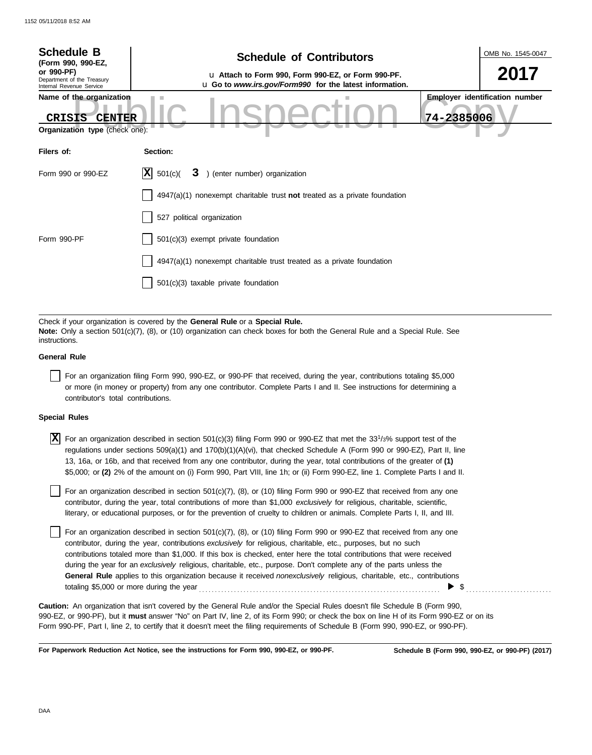| <b>Schedule B</b><br>(Form 990, 990-EZ,                                                                                                                                                                                      | <b>Schedule of Contributors</b>                                                                               | OMB No. 1545-0047                     |  |  |  |
|------------------------------------------------------------------------------------------------------------------------------------------------------------------------------------------------------------------------------|---------------------------------------------------------------------------------------------------------------|---------------------------------------|--|--|--|
| or 990-PF)<br>Department of the Treasury<br>Internal Revenue Service                                                                                                                                                         | u Attach to Form 990, Form 990-EZ, or Form 990-PF.<br>u Go to www.irs.gov/Form990 for the latest information. | 2017                                  |  |  |  |
| Name of the organization<br><b>CENTER</b><br>CRISIS<br>Organization type (check one):                                                                                                                                        | 74-2385006                                                                                                    | <b>Employer identification number</b> |  |  |  |
| Filers of:                                                                                                                                                                                                                   | Section:                                                                                                      |                                       |  |  |  |
| Form 990 or 990-EZ                                                                                                                                                                                                           | $ \mathbf{X} $ 501(c)(<br>3 ) (enter number) organization                                                     |                                       |  |  |  |
|                                                                                                                                                                                                                              | $4947(a)(1)$ nonexempt charitable trust <b>not</b> treated as a private foundation                            |                                       |  |  |  |
|                                                                                                                                                                                                                              | 527 political organization                                                                                    |                                       |  |  |  |
| Form 990-PF                                                                                                                                                                                                                  | 501(c)(3) exempt private foundation                                                                           |                                       |  |  |  |
|                                                                                                                                                                                                                              | 4947(a)(1) nonexempt charitable trust treated as a private foundation                                         |                                       |  |  |  |
|                                                                                                                                                                                                                              | 501(c)(3) taxable private foundation                                                                          |                                       |  |  |  |
|                                                                                                                                                                                                                              |                                                                                                               |                                       |  |  |  |
| Check if your organization is covered by the General Rule or a Special Rule.<br>Note: Only a section 501(c)(7), (8), or (10) organization can check boxes for both the General Rule and a Special Rule. See<br>instructions. |                                                                                                               |                                       |  |  |  |

### **General Rule**

For an organization filing Form 990, 990-EZ, or 990-PF that received, during the year, contributions totaling \$5,000 or more (in money or property) from any one contributor. Complete Parts I and II. See instructions for determining a contributor's total contributions.

## **Special Rules**

 $\overline{X}$  For an organization described in section 501(c)(3) filing Form 990 or 990-EZ that met the 33<sup>1</sup>/3% support test of the regulations under sections 509(a)(1) and 170(b)(1)(A)(vi), that checked Schedule A (Form 990 or 990-EZ), Part II, line 13, 16a, or 16b, and that received from any one contributor, during the year, total contributions of the greater of **(1)** \$5,000; or **(2)** 2% of the amount on (i) Form 990, Part VIII, line 1h; or (ii) Form 990-EZ, line 1. Complete Parts I and II.

literary, or educational purposes, or for the prevention of cruelty to children or animals. Complete Parts I, II, and III. For an organization described in section 501(c)(7), (8), or (10) filing Form 990 or 990-EZ that received from any one contributor, during the year, total contributions of more than \$1,000 *exclusively* for religious, charitable, scientific,

For an organization described in section  $501(c)(7)$ ,  $(8)$ , or  $(10)$  filing Form 990 or 990-EZ that received from any one contributor, during the year, contributions *exclusively* for religious, charitable, etc., purposes, but no such contributions totaled more than \$1,000. If this box is checked, enter here the total contributions that were received during the year for an *exclusively* religious, charitable, etc., purpose. Don't complete any of the parts unless the **General Rule** applies to this organization because it received *nonexclusively* religious, charitable, etc., contributions totaling \$5,000 or more during the year . . . . . . . . . . . . . . . . . . . . . . . . . . . . . . . . . . . . . . . . . . . . . . . . . . . . . . . . . . . . . . . . . . . . . . . . . . . .  $\triangleright$  \$

990-EZ, or 990-PF), but it **must** answer "No" on Part IV, line 2, of its Form 990; or check the box on line H of its Form 990-EZ or on its Form 990-PF, Part I, line 2, to certify that it doesn't meet the filing requirements of Schedule B (Form 990, 990-EZ, or 990-PF). **Caution:** An organization that isn't covered by the General Rule and/or the Special Rules doesn't file Schedule B (Form 990,

**For Paperwork Reduction Act Notice, see the instructions for Form 990, 990-EZ, or 990-PF.**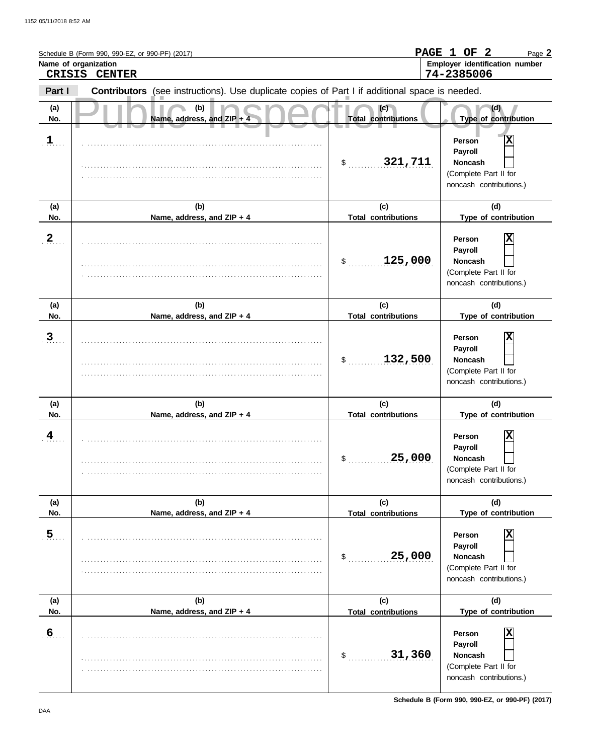|                       | Schedule B (Form 990, 990-EZ, or 990-PF) (2017)<br>Name of organization<br>CRISIS CENTER       |                                             | PAGE 1 OF 2<br>Page 2<br>Employer identification number<br>74-2385006                                                |
|-----------------------|------------------------------------------------------------------------------------------------|---------------------------------------------|----------------------------------------------------------------------------------------------------------------------|
| Part I                | Contributors (see instructions). Use duplicate copies of Part I if additional space is needed. |                                             |                                                                                                                      |
| (a)<br>No.            | (b)<br>Name, address, and ZIP + 4                                                              | (c)<br><b>Total contributions</b>           | (d)<br>Type of contribution                                                                                          |
| $\mathbf{1}$          |                                                                                                | 321,711<br>$\sim$                           | Χ<br>Person<br>Payroll<br><b>Noncash</b><br>(Complete Part II for<br>noncash contributions.)                         |
| (a)<br>No.            | (b)<br>Name, address, and ZIP + 4                                                              | (c)<br><b>Total contributions</b>           | (d)<br>Type of contribution                                                                                          |
| $\mathbf{2}$          |                                                                                                | 125,000<br>\$                               | X<br>Person<br>Payroll<br><b>Noncash</b><br>(Complete Part II for<br>noncash contributions.)                         |
| (a)                   | (b)                                                                                            | (c)                                         | (d)                                                                                                                  |
| No.<br>$\overline{3}$ | Name, address, and ZIP + 4                                                                     | <b>Total contributions</b><br>132,500<br>\$ | Type of contribution<br>Χ<br>Person<br>Payroll<br><b>Noncash</b><br>(Complete Part II for<br>noncash contributions.) |
| (a)<br>No.            | (b)<br>Name, address, and ZIP + 4                                                              | (c)<br><b>Total contributions</b>           | (d)<br>Type of contribution                                                                                          |
| 4                     |                                                                                                | 25,000<br>\$                                | Χ<br>Person<br>Payroll<br><b>Noncash</b><br>(Complete Part II for<br>noncash contributions.)                         |
| (a)<br>No.            | (b)<br>Name, address, and ZIP + 4                                                              | (c)<br><b>Total contributions</b>           | (d)<br>Type of contribution                                                                                          |
| 5 <sub>1</sub>        |                                                                                                | 25,000<br>$$^{\circ}$                       | Person<br>Payroll<br><b>Noncash</b><br>(Complete Part II for<br>noncash contributions.)                              |
| (a)<br>No.            | (b)<br>Name, address, and ZIP + 4                                                              | (c)<br><b>Total contributions</b>           | (d)<br>Type of contribution                                                                                          |
| $6 \overline{6}$      |                                                                                                | 31,360<br>\$                                | X<br>Person<br>Payroll<br><b>Noncash</b><br>(Complete Part II for<br>noncash contributions.)                         |

**Schedule B (Form 990, 990-EZ, or 990-PF) (2017)**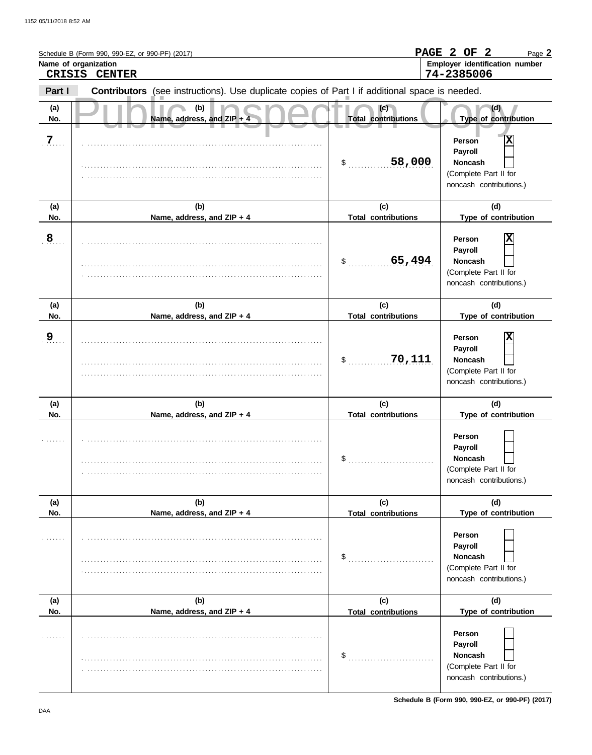|                | Schedule B (Form 990, 990-EZ, or 990-PF) (2017)<br>Name of organization<br>CRISIS CENTER       |                                   | PAGE 2 OF 2<br>Page 2<br>Employer identification number<br>74-2385006                        |
|----------------|------------------------------------------------------------------------------------------------|-----------------------------------|----------------------------------------------------------------------------------------------|
| Part I         | Contributors (see instructions). Use duplicate copies of Part I if additional space is needed. |                                   |                                                                                              |
| (a)<br>No.     | (b)<br>Name, address, and ZIP + 4                                                              | (c)<br><b>Total contributions</b> | (d)<br>Type of contribution                                                                  |
| $\overline{Z}$ |                                                                                                | 58,000<br>\$                      | Χ<br>Person<br>Payroll<br><b>Noncash</b><br>(Complete Part II for<br>noncash contributions.) |
| (a)<br>No.     | (b)<br>Name, address, and ZIP + 4                                                              | (c)<br><b>Total contributions</b> | (d)<br>Type of contribution                                                                  |
| $\overline{8}$ |                                                                                                | 65,494<br>\$                      | X<br>Person<br>Payroll<br><b>Noncash</b><br>(Complete Part II for<br>noncash contributions.) |
| (a)<br>No.     | (b)<br>Name, address, and ZIP + 4                                                              | (c)<br><b>Total contributions</b> | (d)<br>Type of contribution                                                                  |
| <u>9</u>       |                                                                                                | 70,111<br>\$                      | Χ<br>Person<br>Payroll<br><b>Noncash</b><br>(Complete Part II for<br>noncash contributions.) |
| (a)<br>No.     | (b)<br>Name, address, and ZIP + 4                                                              | (c)<br><b>Total contributions</b> | (d)<br>Type of contribution                                                                  |
|                |                                                                                                | \$                                | Person<br>Payroll<br>Noncash<br>(Complete Part II for<br>noncash contributions.)             |
| (a)<br>No.     | (b)<br>Name, address, and ZIP + 4                                                              | (c)<br><b>Total contributions</b> | (d)<br>Type of contribution                                                                  |
|                |                                                                                                | \$                                | Person<br>Payroll<br>Noncash<br>(Complete Part II for<br>noncash contributions.)             |
| (a)<br>No.     | (b)<br>Name, address, and ZIP + 4                                                              | (c)<br><b>Total contributions</b> | (d)<br>Type of contribution                                                                  |
|                |                                                                                                | \$                                | Person<br>Payroll<br>Noncash<br>(Complete Part II for<br>noncash contributions.)             |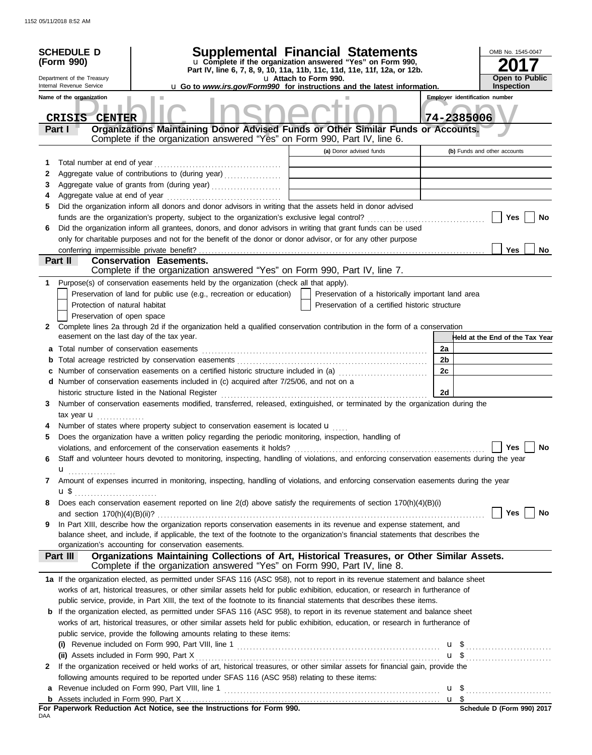| <b>SCHEDULE D</b><br>(Form 990)<br>Department of the Treasury<br>Internal Revenue Service<br>Name of the organization |                                          |                                                                                                                                                                                                                  | <b>Supplemental Financial Statements</b><br>u Complete if the organization answered "Yes" on Form 990,<br>Part IV, line 6, 7, 8, 9, 10, 11a, 11b, 11c, 11d, 11e, 11f, 12a, or 12b.<br>u Attach to Form 990.<br>u Go to www.irs.gov/Form990 for instructions and the latest information.<br><b>Employer identification number</b> |                                                    |            |                                 |  |
|-----------------------------------------------------------------------------------------------------------------------|------------------------------------------|------------------------------------------------------------------------------------------------------------------------------------------------------------------------------------------------------------------|----------------------------------------------------------------------------------------------------------------------------------------------------------------------------------------------------------------------------------------------------------------------------------------------------------------------------------|----------------------------------------------------|------------|---------------------------------|--|
|                                                                                                                       | <b>CRISIS</b><br><b>CENTER</b><br>Part I | Organizations Maintaining Donor Advised Funds or Other Similar Funds or Accounts.<br>Complete if the organization answered "Yes" on Form 990, Part IV, line 6.                                                   |                                                                                                                                                                                                                                                                                                                                  |                                                    | 74-2385006 |                                 |  |
|                                                                                                                       |                                          |                                                                                                                                                                                                                  |                                                                                                                                                                                                                                                                                                                                  | (a) Donor advised funds                            |            | (b) Funds and other accounts    |  |
| 1                                                                                                                     | Total number at end of year              |                                                                                                                                                                                                                  |                                                                                                                                                                                                                                                                                                                                  |                                                    |            |                                 |  |
| 2                                                                                                                     |                                          | Aggregate value of contributions to (during year)                                                                                                                                                                |                                                                                                                                                                                                                                                                                                                                  |                                                    |            |                                 |  |
| 3                                                                                                                     |                                          |                                                                                                                                                                                                                  |                                                                                                                                                                                                                                                                                                                                  |                                                    |            |                                 |  |
| 4                                                                                                                     |                                          |                                                                                                                                                                                                                  |                                                                                                                                                                                                                                                                                                                                  |                                                    |            |                                 |  |
| 5                                                                                                                     |                                          | Did the organization inform all donors and donor advisors in writing that the assets held in donor advised                                                                                                       |                                                                                                                                                                                                                                                                                                                                  |                                                    |            |                                 |  |
|                                                                                                                       |                                          |                                                                                                                                                                                                                  |                                                                                                                                                                                                                                                                                                                                  |                                                    |            | Yes<br>No                       |  |
| 6                                                                                                                     |                                          | Did the organization inform all grantees, donors, and donor advisors in writing that grant funds can be used                                                                                                     |                                                                                                                                                                                                                                                                                                                                  |                                                    |            |                                 |  |
|                                                                                                                       |                                          | only for charitable purposes and not for the benefit of the donor or donor advisor, or for any other purpose                                                                                                     |                                                                                                                                                                                                                                                                                                                                  |                                                    |            |                                 |  |
|                                                                                                                       |                                          |                                                                                                                                                                                                                  |                                                                                                                                                                                                                                                                                                                                  |                                                    |            | Yes<br>No                       |  |
|                                                                                                                       | Part II                                  | <b>Conservation Easements.</b><br>Complete if the organization answered "Yes" on Form 990, Part IV, line 7.                                                                                                      |                                                                                                                                                                                                                                                                                                                                  |                                                    |            |                                 |  |
| 1                                                                                                                     |                                          | Purpose(s) of conservation easements held by the organization (check all that apply).                                                                                                                            |                                                                                                                                                                                                                                                                                                                                  |                                                    |            |                                 |  |
|                                                                                                                       |                                          | Preservation of land for public use (e.g., recreation or education)                                                                                                                                              |                                                                                                                                                                                                                                                                                                                                  | Preservation of a historically important land area |            |                                 |  |
|                                                                                                                       | Protection of natural habitat            |                                                                                                                                                                                                                  |                                                                                                                                                                                                                                                                                                                                  | Preservation of a certified historic structure     |            |                                 |  |
|                                                                                                                       | Preservation of open space               |                                                                                                                                                                                                                  |                                                                                                                                                                                                                                                                                                                                  |                                                    |            |                                 |  |
| $\mathbf{2}$                                                                                                          |                                          | Complete lines 2a through 2d if the organization held a qualified conservation contribution in the form of a conservation<br>easement on the last day of the tax year.                                           |                                                                                                                                                                                                                                                                                                                                  |                                                    |            | Held at the End of the Tax Year |  |
| а                                                                                                                     |                                          |                                                                                                                                                                                                                  |                                                                                                                                                                                                                                                                                                                                  |                                                    | 2a         |                                 |  |
|                                                                                                                       |                                          |                                                                                                                                                                                                                  |                                                                                                                                                                                                                                                                                                                                  |                                                    | 2b         |                                 |  |
|                                                                                                                       |                                          | Number of conservation easements on a certified historic structure included in (a)                                                                                                                               |                                                                                                                                                                                                                                                                                                                                  |                                                    | 2c         |                                 |  |
|                                                                                                                       |                                          | d Number of conservation easements included in (c) acquired after 7/25/06, and not on a                                                                                                                          |                                                                                                                                                                                                                                                                                                                                  |                                                    |            |                                 |  |
|                                                                                                                       |                                          | historic structure listed in the National Register                                                                                                                                                               |                                                                                                                                                                                                                                                                                                                                  |                                                    | 2d         |                                 |  |
| 3                                                                                                                     |                                          | Number of conservation easements modified, transferred, released, extinguished, or terminated by the organization during the                                                                                     |                                                                                                                                                                                                                                                                                                                                  |                                                    |            |                                 |  |
|                                                                                                                       | tax year $\mathbf{u}$ ,                  |                                                                                                                                                                                                                  |                                                                                                                                                                                                                                                                                                                                  |                                                    |            |                                 |  |
|                                                                                                                       |                                          | Number of states where property subject to conservation easement is located u                                                                                                                                    |                                                                                                                                                                                                                                                                                                                                  |                                                    |            |                                 |  |
| 5                                                                                                                     |                                          | Does the organization have a written policy regarding the periodic monitoring, inspection, handling of                                                                                                           |                                                                                                                                                                                                                                                                                                                                  |                                                    |            | Yes<br>No                       |  |
| 6                                                                                                                     |                                          | violations, and enforcement of the conservation easements it holds?<br>Staff and volunteer hours devoted to monitoring, inspecting, handling of violations, and enforcing conservation easements during the year |                                                                                                                                                                                                                                                                                                                                  |                                                    |            |                                 |  |
|                                                                                                                       | u<br>.                                   |                                                                                                                                                                                                                  |                                                                                                                                                                                                                                                                                                                                  |                                                    |            |                                 |  |
| 7                                                                                                                     | u \$                                     | Amount of expenses incurred in monitoring, inspecting, handling of violations, and enforcing conservation easements during the year                                                                              |                                                                                                                                                                                                                                                                                                                                  |                                                    |            |                                 |  |
| 8                                                                                                                     |                                          | Does each conservation easement reported on line 2(d) above satisfy the requirements of section 170(h)(4)(B)(i)                                                                                                  |                                                                                                                                                                                                                                                                                                                                  |                                                    |            |                                 |  |
|                                                                                                                       |                                          |                                                                                                                                                                                                                  |                                                                                                                                                                                                                                                                                                                                  |                                                    |            | Yes<br>No                       |  |
| 9                                                                                                                     |                                          | In Part XIII, describe how the organization reports conservation easements in its revenue and expense statement, and                                                                                             |                                                                                                                                                                                                                                                                                                                                  |                                                    |            |                                 |  |
|                                                                                                                       |                                          | balance sheet, and include, if applicable, the text of the footnote to the organization's financial statements that describes the                                                                                |                                                                                                                                                                                                                                                                                                                                  |                                                    |            |                                 |  |
|                                                                                                                       |                                          | organization's accounting for conservation easements.                                                                                                                                                            |                                                                                                                                                                                                                                                                                                                                  |                                                    |            |                                 |  |
|                                                                                                                       | Part III                                 | Organizations Maintaining Collections of Art, Historical Treasures, or Other Similar Assets.<br>Complete if the organization answered "Yes" on Form 990, Part IV, line 8.                                        |                                                                                                                                                                                                                                                                                                                                  |                                                    |            |                                 |  |
|                                                                                                                       |                                          | 1a If the organization elected, as permitted under SFAS 116 (ASC 958), not to report in its revenue statement and balance sheet                                                                                  |                                                                                                                                                                                                                                                                                                                                  |                                                    |            |                                 |  |
|                                                                                                                       |                                          | works of art, historical treasures, or other similar assets held for public exhibition, education, or research in furtherance of                                                                                 |                                                                                                                                                                                                                                                                                                                                  |                                                    |            |                                 |  |
|                                                                                                                       |                                          | public service, provide, in Part XIII, the text of the footnote to its financial statements that describes these items.                                                                                          |                                                                                                                                                                                                                                                                                                                                  |                                                    |            |                                 |  |
| b                                                                                                                     |                                          | If the organization elected, as permitted under SFAS 116 (ASC 958), to report in its revenue statement and balance sheet                                                                                         |                                                                                                                                                                                                                                                                                                                                  |                                                    |            |                                 |  |
|                                                                                                                       |                                          | works of art, historical treasures, or other similar assets held for public exhibition, education, or research in furtherance of                                                                                 |                                                                                                                                                                                                                                                                                                                                  |                                                    |            |                                 |  |
|                                                                                                                       |                                          | public service, provide the following amounts relating to these items:                                                                                                                                           |                                                                                                                                                                                                                                                                                                                                  |                                                    |            |                                 |  |
|                                                                                                                       |                                          |                                                                                                                                                                                                                  |                                                                                                                                                                                                                                                                                                                                  |                                                    |            |                                 |  |
| 2                                                                                                                     |                                          | If the organization received or held works of art, historical treasures, or other similar assets for financial gain, provide the                                                                                 |                                                                                                                                                                                                                                                                                                                                  |                                                    |            |                                 |  |
|                                                                                                                       |                                          | following amounts required to be reported under SFAS 116 (ASC 958) relating to these items:                                                                                                                      |                                                                                                                                                                                                                                                                                                                                  |                                                    |            |                                 |  |
| a                                                                                                                     |                                          |                                                                                                                                                                                                                  |                                                                                                                                                                                                                                                                                                                                  |                                                    |            |                                 |  |
| b                                                                                                                     |                                          |                                                                                                                                                                                                                  |                                                                                                                                                                                                                                                                                                                                  |                                                    |            |                                 |  |
| nΔΔ                                                                                                                   |                                          | For Paperwork Reduction Act Notice, see the Instructions for Form 990.                                                                                                                                           |                                                                                                                                                                                                                                                                                                                                  |                                                    |            | Schedule D (Form 990) 2017      |  |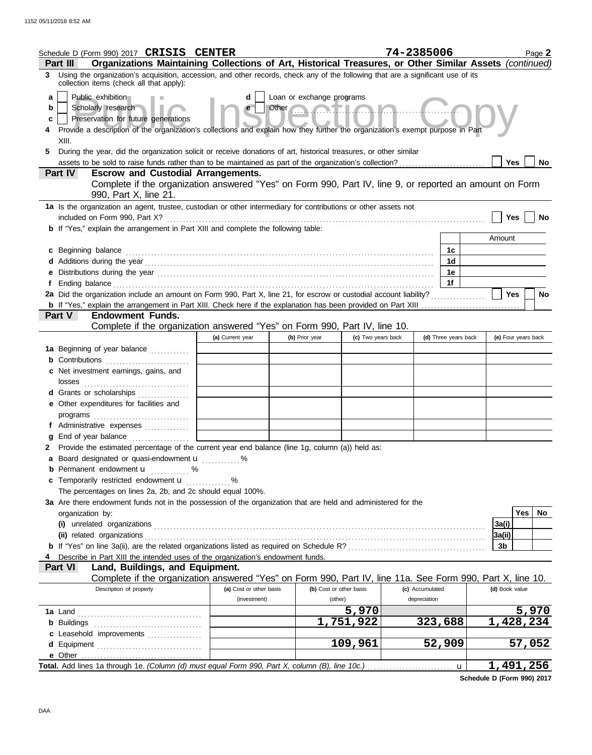|    | Schedule D (Form 990) 2017 CRISIS CENTER                                                                                                                                       |                             |                |                         | 74-2385006      |                      | Page 2              |
|----|--------------------------------------------------------------------------------------------------------------------------------------------------------------------------------|-----------------------------|----------------|-------------------------|-----------------|----------------------|---------------------|
|    | Organizations Maintaining Collections of Art, Historical Treasures, or Other Similar Assets (continued)<br>Part III                                                            |                             |                |                         |                 |                      |                     |
|    | 3 Using the organization's acquisition, accession, and other records, check any of the following that are a significant use of its<br>collection items (check all that apply): |                             |                |                         |                 |                      |                     |
| a  | Loan or exchange programs<br>Public exhibition<br>d                                                                                                                            |                             |                |                         |                 |                      |                     |
| b  | Scholarly research                                                                                                                                                             | e                           | Other          |                         |                 |                      |                     |
| c  | Preservation for future generations                                                                                                                                            |                             |                |                         |                 |                      |                     |
|    | Provide a description of the organization's collections and explain how they further the organization's exempt purpose in Part                                                 |                             |                |                         |                 |                      |                     |
|    | XIII.                                                                                                                                                                          |                             |                |                         |                 |                      |                     |
| 5. | During the year, did the organization solicit or receive donations of art, historical treasures, or other similar                                                              |                             |                |                         |                 |                      |                     |
|    | assets to be sold to raise funds rather than to be maintained as part of the organization's collection?<br>Part IV<br><b>Escrow and Custodial Arrangements.</b>                |                             |                |                         |                 |                      | Yes<br>No.          |
|    | Complete if the organization answered "Yes" on Form 990, Part IV, line 9, or reported an amount on Form                                                                        |                             |                |                         |                 |                      |                     |
|    | 990, Part X, line 21.                                                                                                                                                          |                             |                |                         |                 |                      |                     |
|    | 1a Is the organization an agent, trustee, custodian or other intermediary for contributions or other assets not<br>included on Form 990, Part X?                               |                             |                |                         |                 |                      | Yes<br><b>No</b>    |
|    | <b>b</b> If "Yes," explain the arrangement in Part XIII and complete the following table:                                                                                      |                             |                |                         |                 |                      |                     |
|    |                                                                                                                                                                                |                             |                |                         |                 |                      | Amount              |
|    | c Beginning balance                                                                                                                                                            |                             |                |                         |                 | 1c                   |                     |
|    |                                                                                                                                                                                |                             |                |                         |                 | 1d                   |                     |
|    | e Distributions during the year manufactured contains and the year manufactured with the set of the set of the                                                                 |                             |                |                         |                 | 1е                   |                     |
|    |                                                                                                                                                                                |                             |                |                         |                 | 1f                   |                     |
|    | 2a Did the organization include an amount on Form 990, Part X, line 21, for escrow or custodial account liability?                                                             |                             |                |                         |                 |                      | Yes<br>No           |
|    |                                                                                                                                                                                |                             |                |                         |                 |                      |                     |
|    | <b>Endowment Funds.</b><br><b>Part V</b>                                                                                                                                       |                             |                |                         |                 |                      |                     |
|    | Complete if the organization answered "Yes" on Form 990, Part IV, line 10.                                                                                                     |                             |                |                         |                 |                      |                     |
|    |                                                                                                                                                                                | (a) Current year            | (b) Prior year | (c) Two years back      |                 | (d) Three years back | (e) Four years back |
|    | 1a Beginning of year balance                                                                                                                                                   |                             |                |                         |                 |                      |                     |
|    | <b>b</b> Contributions <b>contributions</b>                                                                                                                                    |                             |                |                         |                 |                      |                     |
|    | c Net investment earnings, gains, and<br>losses                                                                                                                                |                             |                |                         |                 |                      |                     |
|    | <b>d</b> Grants or scholarships<br>.                                                                                                                                           |                             |                |                         |                 |                      |                     |
|    | e Other expenditures for facilities and                                                                                                                                        |                             |                |                         |                 |                      |                     |
|    |                                                                                                                                                                                |                             |                |                         |                 |                      |                     |
|    | f Administrative expenses                                                                                                                                                      |                             |                |                         |                 |                      |                     |
|    |                                                                                                                                                                                |                             |                |                         |                 |                      |                     |
|    | 2 Provide the estimated percentage of the current year end balance (line 1g, column (a)) held as:                                                                              |                             |                |                         |                 |                      |                     |
|    | a Board designated or quasi-endowment u                                                                                                                                        |                             |                |                         |                 |                      |                     |
|    | <b>b</b> Permanent endowment <b>u</b> %                                                                                                                                        |                             |                |                         |                 |                      |                     |
|    | c Temporarily restricted endowment u                                                                                                                                           | $\sim$ $\sim$ $\sim$ $\sim$ |                |                         |                 |                      |                     |
|    | The percentages on lines 2a, 2b, and 2c should equal 100%.                                                                                                                     |                             |                |                         |                 |                      |                     |
|    | 3a Are there endowment funds not in the possession of the organization that are held and administered for the                                                                  |                             |                |                         |                 |                      |                     |
|    | organization by:                                                                                                                                                               |                             |                |                         |                 |                      | <b>Yes</b><br>No    |
|    |                                                                                                                                                                                |                             |                |                         |                 |                      | 3a(i)               |
|    | (ii) related organizations                                                                                                                                                     |                             |                |                         |                 |                      | 3a(ii)              |
|    |                                                                                                                                                                                |                             |                |                         |                 |                      | 3b                  |
|    | Describe in Part XIII the intended uses of the organization's endowment funds.<br><b>Part VI</b><br>Land, Buildings, and Equipment.                                            |                             |                |                         |                 |                      |                     |
|    | Complete if the organization answered "Yes" on Form 990, Part IV, line 11a. See Form 990, Part X, line 10.                                                                     |                             |                |                         |                 |                      |                     |
|    | Description of property                                                                                                                                                        | (a) Cost or other basis     |                | (b) Cost or other basis | (c) Accumulated |                      | (d) Book value      |
|    |                                                                                                                                                                                | (investment)                | (other)        |                         | depreciation    |                      |                     |
|    |                                                                                                                                                                                |                             |                | 5,970                   |                 |                      | 5,970               |
|    |                                                                                                                                                                                |                             |                | 1,751,922               | 323,688         |                      | 1,428,234           |
|    | c Leasehold improvements                                                                                                                                                       |                             |                |                         |                 |                      |                     |
|    |                                                                                                                                                                                |                             |                | 109,961                 | 52,909          |                      | 57,052              |
|    |                                                                                                                                                                                |                             |                |                         |                 |                      |                     |
|    | Total. Add lines 1a through 1e. (Column (d) must equal Form 990, Part X, column (B), line 10c.)                                                                                |                             |                |                         |                 | $\mathbf u$          | 1,491,256           |

**Schedule D (Form 990) 2017**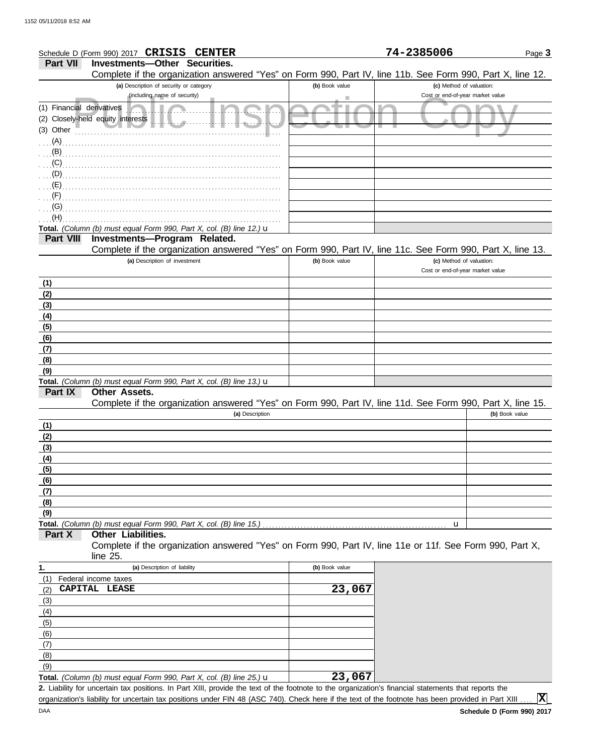|                           | Schedule D (Form 990) 2017 CRISIS CENTER                                                                                                          |                | 74-2385006                                                   | Page 3         |
|---------------------------|---------------------------------------------------------------------------------------------------------------------------------------------------|----------------|--------------------------------------------------------------|----------------|
| <b>Part VII</b>           | <b>Investments-Other Securities.</b>                                                                                                              |                |                                                              |                |
|                           | Complete if the organization answered "Yes" on Form 990, Part IV, line 11b. See Form 990, Part X, line 12.                                        |                |                                                              |                |
|                           | (a) Description of security or category                                                                                                           | (b) Book value | (c) Method of valuation:                                     |                |
|                           | (including name of security)                                                                                                                      |                | Cost or end-of-year market value                             |                |
| (1) Financial derivatives |                                                                                                                                                   |                |                                                              |                |
|                           | (2) Closely-held equity interests                                                                                                                 |                |                                                              |                |
| (3) Other                 | $\mathbb{R}$ .                                                                                                                                    |                |                                                              |                |
| $(A)$                     |                                                                                                                                                   |                |                                                              |                |
|                           |                                                                                                                                                   |                |                                                              |                |
|                           |                                                                                                                                                   |                |                                                              |                |
|                           |                                                                                                                                                   |                |                                                              |                |
| $\ldots$ (D)              |                                                                                                                                                   |                |                                                              |                |
| (E)                       |                                                                                                                                                   |                |                                                              |                |
|                           |                                                                                                                                                   |                |                                                              |                |
| (G)                       |                                                                                                                                                   |                |                                                              |                |
| (H)                       |                                                                                                                                                   |                |                                                              |                |
| <b>Part VIII</b>          | Total. (Column (b) must equal Form 990, Part X, col. (B) line 12.) $\mathbf u$<br>Investments-Program Related.                                    |                |                                                              |                |
|                           |                                                                                                                                                   |                |                                                              |                |
|                           | Complete if the organization answered "Yes" on Form 990, Part IV, line 11c. See Form 990, Part X, line 13.                                        | (b) Book value |                                                              |                |
|                           | (a) Description of investment                                                                                                                     |                | (c) Method of valuation:<br>Cost or end-of-year market value |                |
|                           |                                                                                                                                                   |                |                                                              |                |
| (1)                       |                                                                                                                                                   |                |                                                              |                |
| (2)                       |                                                                                                                                                   |                |                                                              |                |
| (3)                       |                                                                                                                                                   |                |                                                              |                |
| (4)                       |                                                                                                                                                   |                |                                                              |                |
| (5)                       |                                                                                                                                                   |                |                                                              |                |
| (6)                       |                                                                                                                                                   |                |                                                              |                |
| (7)                       |                                                                                                                                                   |                |                                                              |                |
| (8)                       |                                                                                                                                                   |                |                                                              |                |
| (9)                       |                                                                                                                                                   |                |                                                              |                |
| Part IX                   | Total. (Column (b) must equal Form 990, Part X, col. (B) line 13.) $\mathbf u$<br>Other Assets.                                                   |                |                                                              |                |
|                           | Complete if the organization answered "Yes" on Form 990, Part IV, line 11d. See Form 990, Part X, line 15.                                        |                |                                                              |                |
|                           | (a) Description                                                                                                                                   |                |                                                              | (b) Book value |
|                           |                                                                                                                                                   |                |                                                              |                |
| (1)                       |                                                                                                                                                   |                |                                                              |                |
| (2)                       |                                                                                                                                                   |                |                                                              |                |
| (3)                       |                                                                                                                                                   |                |                                                              |                |
| (4)                       |                                                                                                                                                   |                |                                                              |                |
| (5)                       |                                                                                                                                                   |                |                                                              |                |
| (6)                       |                                                                                                                                                   |                |                                                              |                |
| (7)                       |                                                                                                                                                   |                |                                                              |                |
| (8)<br>(9)                |                                                                                                                                                   |                |                                                              |                |
|                           | Total. (Column (b) must equal Form 990, Part X, col. (B) line 15.)                                                                                |                |                                                              |                |
| Part X                    | Other Liabilities.                                                                                                                                |                | u                                                            |                |
|                           | Complete if the organization answered "Yes" on Form 990, Part IV, line 11e or 11f. See Form 990, Part X,                                          |                |                                                              |                |
|                           | line 25.                                                                                                                                          |                |                                                              |                |
| 1.                        | (a) Description of liability                                                                                                                      | (b) Book value |                                                              |                |
| (1)                       | Federal income taxes                                                                                                                              |                |                                                              |                |
| (2)                       | CAPITAL LEASE                                                                                                                                     | 23,067         |                                                              |                |
| (3)                       |                                                                                                                                                   |                |                                                              |                |
| (4)                       |                                                                                                                                                   |                |                                                              |                |
| (5)                       |                                                                                                                                                   |                |                                                              |                |
| (6)                       |                                                                                                                                                   |                |                                                              |                |
| (7)                       |                                                                                                                                                   |                |                                                              |                |
| (8)                       |                                                                                                                                                   |                |                                                              |                |
| (9)                       |                                                                                                                                                   |                |                                                              |                |
|                           | <b>Total.</b> (Column (b) must equal Form 990, Part X, col. (B) line 25.) $\mathbf{u}$                                                            | 23,067         |                                                              |                |
|                           | 2 Lightlity for uncertain tay positions In Part XIII provide the text of the footpote to the organization's financial statements that reports the |                |                                                              |                |

Liability for uncertain tax positions. In Part XIII, provide the text of the footnote to the organization's financial statements that reports the **2.** organization's liability for uncertain tax positions under FIN 48 (ASC 740). Check here if the text of the footnote has been provided in Part XIII.

**X**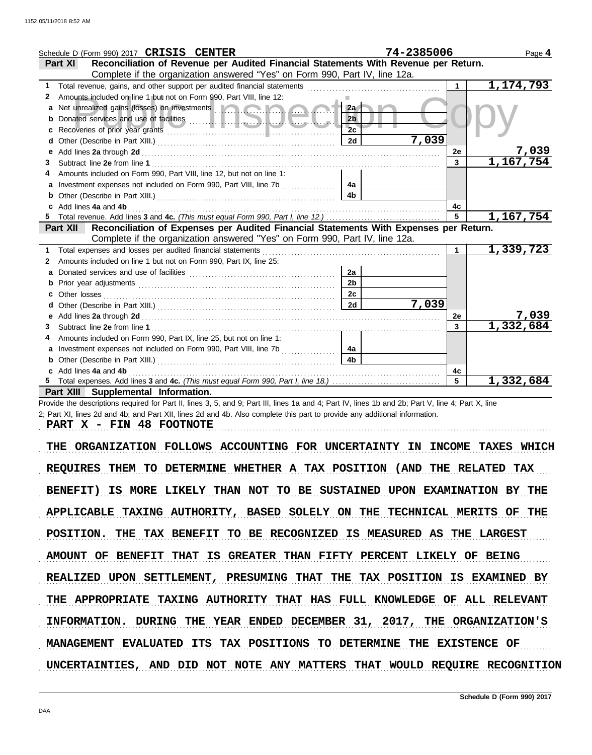|    | Schedule D (Form 990) 2017 CRISIS CENTER                                                                                                                                                                                             |                | 74-2385006 |              | Page 4       |
|----|--------------------------------------------------------------------------------------------------------------------------------------------------------------------------------------------------------------------------------------|----------------|------------|--------------|--------------|
|    | Reconciliation of Revenue per Audited Financial Statements With Revenue per Return.<br><b>Part XI</b>                                                                                                                                |                |            |              |              |
|    | Complete if the organization answered "Yes" on Form 990, Part IV, line 12a.                                                                                                                                                          |                |            |              |              |
| 1. |                                                                                                                                                                                                                                      |                |            | 1            | 1,174,793    |
| 2  | Amounts included on line 1 but not on Form 990, Part VIII, line 12:                                                                                                                                                                  |                |            |              |              |
| а  | Net unrealized gains (losses) on investments <b>the contract of the contract of the contract of the contract of the contract of the contract of the contract of the contract of the contract of the contract of the contract of </b> | 2a             |            |              |              |
| b  |                                                                                                                                                                                                                                      | 2 <sub>b</sub> |            |              |              |
| с  |                                                                                                                                                                                                                                      | 2c             |            |              |              |
| d  |                                                                                                                                                                                                                                      | 2d             | 7,039      |              |              |
| e  |                                                                                                                                                                                                                                      |                |            | <b>2e</b>    | <u>7,039</u> |
| 3. |                                                                                                                                                                                                                                      |                |            | $\mathbf{3}$ | 1,167,754    |
|    | Amounts included on Form 990, Part VIII, line 12, but not on line 1:                                                                                                                                                                 |                |            |              |              |
| a  | Investment expenses not included on Form 990, Part VIII, line 7b                                                                                                                                                                     | 4a             |            |              |              |
| b  |                                                                                                                                                                                                                                      | 4 <sub>b</sub> |            |              |              |
|    | Add lines 4a and 4b                                                                                                                                                                                                                  |                |            | 4c           |              |
|    |                                                                                                                                                                                                                                      |                |            | 5            | 1,167,754    |
|    | Reconciliation of Expenses per Audited Financial Statements With Expenses per Return.<br><b>Part XII</b>                                                                                                                             |                |            |              |              |
|    | Complete if the organization answered "Yes" on Form 990, Part IV, line 12a.                                                                                                                                                          |                |            |              |              |
| 1. | Total expenses and losses per audited financial statements                                                                                                                                                                           |                |            |              | 1,339,723    |
| 2  | Amounts included on line 1 but not on Form 990, Part IX, line 25:                                                                                                                                                                    |                |            |              |              |
| a  |                                                                                                                                                                                                                                      | 2a             |            |              |              |
| b  |                                                                                                                                                                                                                                      | 2 <sub>b</sub> |            |              |              |
| c  | Other losses                                                                                                                                                                                                                         | 2c             |            |              |              |
|    |                                                                                                                                                                                                                                      | 2d             | 7,039      |              |              |
| e  |                                                                                                                                                                                                                                      |                |            | <b>2e</b>    | <u>7,039</u> |
| З  |                                                                                                                                                                                                                                      |                |            | $\mathbf{3}$ | 1,332,684    |
|    | Amounts included on Form 990, Part IX, line 25, but not on line 1:                                                                                                                                                                   |                |            |              |              |
| a  | Investment expenses not included on Form 990, Part VIII, line 7b                                                                                                                                                                     | 4a             |            |              |              |
|    |                                                                                                                                                                                                                                      | 4b             |            |              |              |
|    | Add lines 4a and 4b                                                                                                                                                                                                                  |                |            | 4c           |              |
|    |                                                                                                                                                                                                                                      |                |            | 5            | 1,332,684    |
|    | Part XIII Supplemental Information.                                                                                                                                                                                                  |                |            |              |              |

Provide the descriptions required for Part II, lines 3, 5, and 9; Part III, lines 1a and 4; Part IV, lines 1b and 2b; Part V, line 4; Part X, line 2; Part XI, lines 2d and 4b; and Part XII, lines 2d and 4b. Also complete this part to provide any additional information.

**PART X - FIN 48 FOOTNOTE**

THE ORGANIZATION FOLLOWS ACCOUNTING FOR UNCERTAINTY IN INCOME TAXES WHICH REQUIRES THEM TO DETERMINE WHETHER A TAX POSITION (AND THE RELATED TAX BENEFIT) IS MORE LIKELY THAN NOT TO BE SUSTAINED UPON EXAMINATION BY THE APPLICABLE TAXING AUTHORITY, BASED SOLELY ON THE TECHNICAL MERITS OF THE POSITION. THE TAX BENEFIT TO BE RECOGNIZED IS MEASURED AS THE LARGEST AMOUNT OF BENEFIT THAT IS GREATER THAN FIFTY PERCENT LIKELY OF BEING INFORMATION. DURING THE YEAR ENDED DECEMBER 31, 2017, THE ORGANIZATION'S REALIZED UPON SETTLEMENT, PRESUMING THAT THE TAX POSITION IS EXAMINED BY THE APPROPRIATE TAXING AUTHORITY THAT HAS FULL KNOWLEDGE OF ALL RELEVANT MANAGEMENT EVALUATED ITS TAX POSITIONS TO DETERMINE THE EXISTENCE OF UNCERTAINTIES, AND DID NOT NOTE ANY MATTERS THAT WOULD REQUIRE RECOGNITION

. . . . . . . . . . . . . . . . . . . . . . . . . . . . . . . . . . . . . . . . . . . . . . . . . . . . . . . . . . . . . . . . . . . . . . . . . . . . . . . . . . . . . . . . . . . . . . . . . . . . . . . . . . . . . . . . . . . . . . . . . . . . . . . . . . . . . . . . . . . . . . . . . . . . . . . . . . . . . . . . .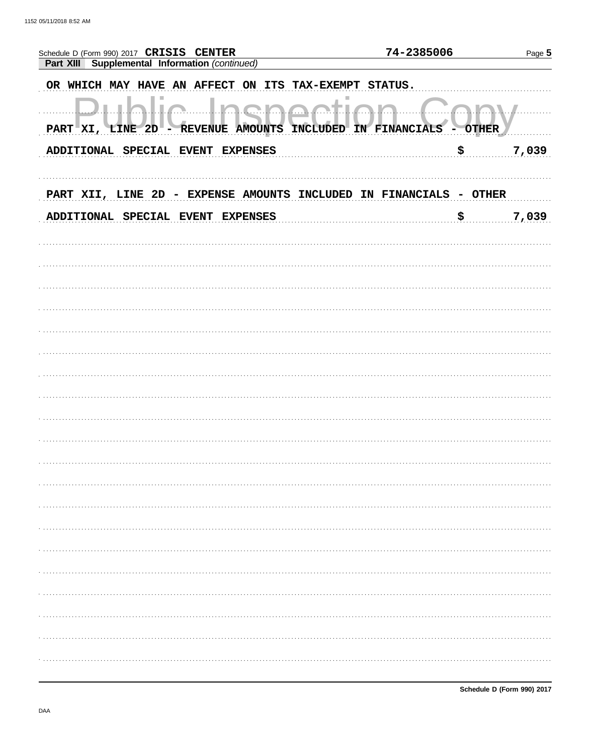| Schedule D (Form 990) 2017 CRISIS CENTER                                   | 74-2385006                             |       |
|----------------------------------------------------------------------------|----------------------------------------|-------|
| Part XIII Supplemental Information (continued)                             |                                        |       |
| OR WHICH MAY HAVE AN AFFECT ON ITS TAX-EXEMPT                              | <b>STATUS.</b>                         |       |
| $\pi_{\cdot\cdot\cdot}$<br><b>REVENUE AMOUNTS</b><br>PART XI, LINE 2D<br>− | INCLUDED IN FINANCIALS<br><b>OTHER</b> |       |
|                                                                            |                                        |       |
| ADDITIONAL SPECIAL EVENT EXPENSES                                          | \$                                     | 7,039 |
|                                                                            |                                        |       |
| PART XII, LINE 2D - EXPENSE AMOUNTS INCLUDED                               | IN FINANCIALS<br><b>OTHER</b>          |       |
| ADDITIONAL SPECIAL EVENT<br><b>EXPENSES</b>                                | \$                                     | 7,039 |
|                                                                            |                                        |       |
|                                                                            |                                        |       |
|                                                                            |                                        |       |
|                                                                            |                                        |       |
|                                                                            |                                        |       |
|                                                                            |                                        |       |
|                                                                            |                                        |       |
|                                                                            |                                        |       |
|                                                                            |                                        |       |
|                                                                            |                                        |       |
|                                                                            |                                        |       |
|                                                                            |                                        |       |
|                                                                            |                                        |       |
|                                                                            |                                        |       |
|                                                                            |                                        |       |
|                                                                            |                                        |       |
|                                                                            |                                        |       |
|                                                                            |                                        |       |
|                                                                            |                                        |       |
|                                                                            |                                        | .     |
|                                                                            |                                        |       |
|                                                                            |                                        |       |
|                                                                            |                                        |       |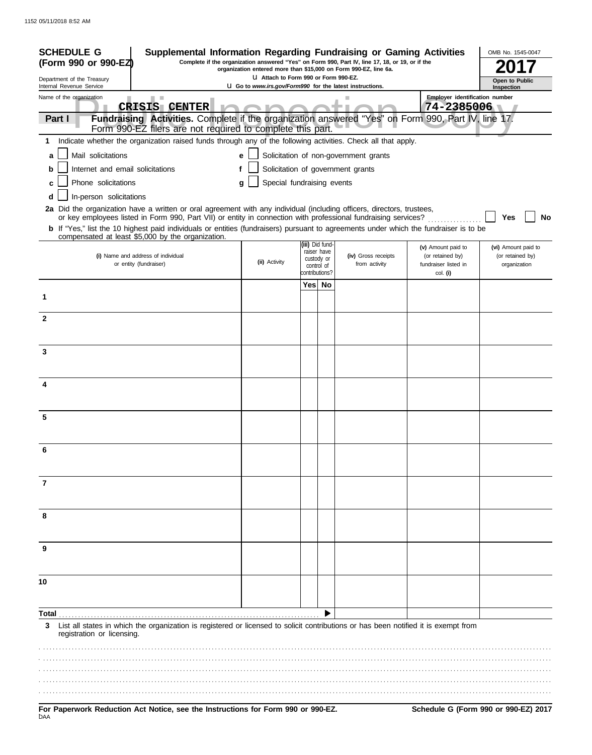| <b>SCHEDULE G</b><br>Supplemental Information Regarding Fundraising or Gaming Activities<br>Complete if the organization answered "Yes" on Form 990, Part IV, line 17, 18, or 19, or if the<br>(Form 990 or 990-EZ)<br>organization entered more than \$15,000 on Form 990-EZ, line 6a.                             |  |                                                                                                         |                |                                |                                       | OMB No. 1545-0047                        |                                      |
|---------------------------------------------------------------------------------------------------------------------------------------------------------------------------------------------------------------------------------------------------------------------------------------------------------------------|--|---------------------------------------------------------------------------------------------------------|----------------|--------------------------------|---------------------------------------|------------------------------------------|--------------------------------------|
| Department of the Treasury<br>Internal Revenue Service                                                                                                                                                                                                                                                              |  | U Attach to Form 990 or Form 990-EZ.<br><b>U</b> Go to www.irs.gov/Form990 for the latest instructions. |                |                                |                                       | Open to Public<br>Inspection             |                                      |
| Name of the organization                                                                                                                                                                                                                                                                                            |  |                                                                                                         |                |                                |                                       | Employer identification number           |                                      |
| <b>CRISIS CENTER</b>                                                                                                                                                                                                                                                                                                |  |                                                                                                         |                |                                |                                       | 74-2385006                               |                                      |
| Fundraising Activities. Complete if the organization answered "Yes" on Form 990, Part IV, line 17.<br>Part I<br>Form 990-EZ filers are not required to complete this part.                                                                                                                                          |  |                                                                                                         |                |                                |                                       |                                          |                                      |
| Indicate whether the organization raised funds through any of the following activities. Check all that apply.<br>1                                                                                                                                                                                                  |  |                                                                                                         |                |                                |                                       |                                          |                                      |
| Mail solicitations<br>a                                                                                                                                                                                                                                                                                             |  | e                                                                                                       |                |                                | Solicitation of non-government grants |                                          |                                      |
| Internet and email solicitations<br>b                                                                                                                                                                                                                                                                               |  |                                                                                                         |                |                                | Solicitation of government grants     |                                          |                                      |
| Phone solicitations                                                                                                                                                                                                                                                                                                 |  | Special fundraising events<br>g                                                                         |                |                                |                                       |                                          |                                      |
| In-person solicitations<br>d                                                                                                                                                                                                                                                                                        |  |                                                                                                         |                |                                |                                       |                                          |                                      |
| 2a Did the organization have a written or oral agreement with any individual (including officers, directors, trustees,                                                                                                                                                                                              |  |                                                                                                         |                |                                |                                       |                                          |                                      |
| or key employees listed in Form 990, Part VII) or entity in connection with professional fundraising services?<br><b>b</b> If "Yes," list the 10 highest paid individuals or entities (fundraisers) pursuant to agreements under which the fundraiser is to be<br>compensated at least \$5,000 by the organization. |  |                                                                                                         |                |                                |                                       |                                          | Yes<br>No                            |
|                                                                                                                                                                                                                                                                                                                     |  |                                                                                                         |                | (iii) Did fund-<br>raiser have |                                       | (v) Amount paid to                       | (vi) Amount paid to                  |
| (i) Name and address of individual<br>or entity (fundraiser)                                                                                                                                                                                                                                                        |  | (ii) Activity                                                                                           |                | custody or<br>control of       | (iv) Gross receipts<br>from activity  | (or retained by)<br>fundraiser listed in | (or retained by)<br>organization     |
|                                                                                                                                                                                                                                                                                                                     |  |                                                                                                         | contributions? |                                |                                       | col. (i)                                 |                                      |
| 1                                                                                                                                                                                                                                                                                                                   |  |                                                                                                         |                | Yes No                         |                                       |                                          |                                      |
| $\mathbf{2}$                                                                                                                                                                                                                                                                                                        |  |                                                                                                         |                |                                |                                       |                                          |                                      |
|                                                                                                                                                                                                                                                                                                                     |  |                                                                                                         |                |                                |                                       |                                          |                                      |
| 3                                                                                                                                                                                                                                                                                                                   |  |                                                                                                         |                |                                |                                       |                                          |                                      |
|                                                                                                                                                                                                                                                                                                                     |  |                                                                                                         |                |                                |                                       |                                          |                                      |
| 4                                                                                                                                                                                                                                                                                                                   |  |                                                                                                         |                |                                |                                       |                                          |                                      |
|                                                                                                                                                                                                                                                                                                                     |  |                                                                                                         |                |                                |                                       |                                          |                                      |
| 5                                                                                                                                                                                                                                                                                                                   |  |                                                                                                         |                |                                |                                       |                                          |                                      |
|                                                                                                                                                                                                                                                                                                                     |  |                                                                                                         |                |                                |                                       |                                          |                                      |
| 6                                                                                                                                                                                                                                                                                                                   |  |                                                                                                         |                |                                |                                       |                                          |                                      |
|                                                                                                                                                                                                                                                                                                                     |  |                                                                                                         |                |                                |                                       |                                          |                                      |
| 7                                                                                                                                                                                                                                                                                                                   |  |                                                                                                         |                |                                |                                       |                                          |                                      |
|                                                                                                                                                                                                                                                                                                                     |  |                                                                                                         |                |                                |                                       |                                          |                                      |
| 8                                                                                                                                                                                                                                                                                                                   |  |                                                                                                         |                |                                |                                       |                                          |                                      |
|                                                                                                                                                                                                                                                                                                                     |  |                                                                                                         |                |                                |                                       |                                          |                                      |
|                                                                                                                                                                                                                                                                                                                     |  |                                                                                                         |                |                                |                                       |                                          |                                      |
| 9                                                                                                                                                                                                                                                                                                                   |  |                                                                                                         |                |                                |                                       |                                          |                                      |
|                                                                                                                                                                                                                                                                                                                     |  |                                                                                                         |                |                                |                                       |                                          |                                      |
| 10                                                                                                                                                                                                                                                                                                                  |  |                                                                                                         |                |                                |                                       |                                          |                                      |
|                                                                                                                                                                                                                                                                                                                     |  |                                                                                                         |                |                                |                                       |                                          |                                      |
| Total                                                                                                                                                                                                                                                                                                               |  |                                                                                                         |                |                                |                                       |                                          |                                      |
| List all states in which the organization is registered or licensed to solicit contributions or has been notified it is exempt from<br>3<br>registration or licensing.                                                                                                                                              |  |                                                                                                         |                |                                |                                       |                                          |                                      |
|                                                                                                                                                                                                                                                                                                                     |  |                                                                                                         |                |                                |                                       |                                          |                                      |
|                                                                                                                                                                                                                                                                                                                     |  |                                                                                                         |                |                                |                                       |                                          |                                      |
|                                                                                                                                                                                                                                                                                                                     |  |                                                                                                         |                |                                |                                       |                                          |                                      |
|                                                                                                                                                                                                                                                                                                                     |  |                                                                                                         |                |                                |                                       |                                          |                                      |
| For Paperwork Reduction Act Notice, see the Instructions for Form 990 or 990-EZ.<br>DAA                                                                                                                                                                                                                             |  |                                                                                                         |                |                                |                                       |                                          | Schedule G (Form 990 or 990-EZ) 2017 |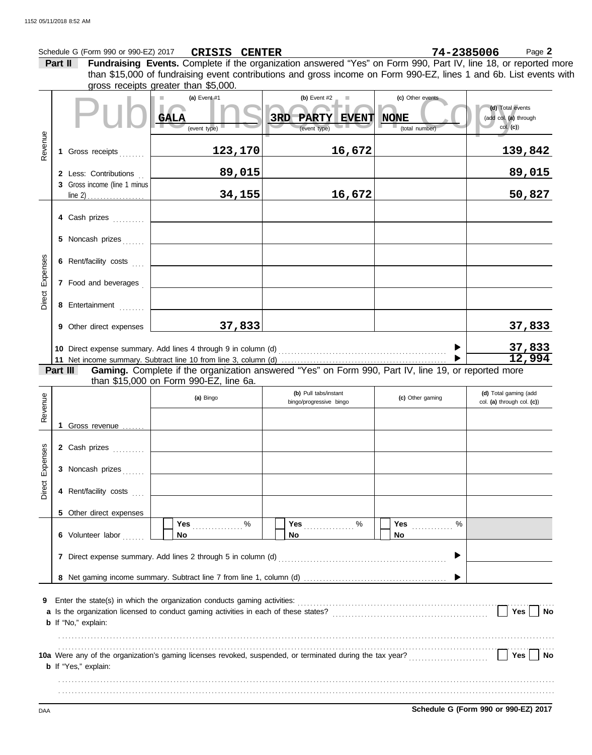#### Schedule G (Form 990 or 990-EZ) 2017 **CRISIS CENTER** 74-2385006 Page 2 **CRISIS CENTER 74-2385006**

**Part II Fundraising Events.** Complete if the organization answered "Yes" on Form 990, Part IV, line 18, or reported more gross receipts greater than \$5,000. than \$15,000 of fundraising event contributions and gross income on Form 990-EZ, lines 1 and 6b. List events with

|                        |                                    |                              | arooo roccipio groator triam volooo.          |                                                                                                               |                                                   |                                                       |  |  |
|------------------------|------------------------------------|------------------------------|-----------------------------------------------|---------------------------------------------------------------------------------------------------------------|---------------------------------------------------|-------------------------------------------------------|--|--|
|                        |                                    |                              | (a) Event $#1$<br><b>GALA</b><br>(event type) | (b) Event $#2$<br>ш<br>3RD<br>PARTY EVENT<br>(event type)                                                     | (c) Other events<br><b>NONE</b><br>(total number) | (d) Total events<br>(add col. (a) through<br>col. (c) |  |  |
| Revenue                |                                    | 1 Gross receipts             | 123,170                                       | 16,672                                                                                                        |                                                   | 139,842                                               |  |  |
|                        |                                    | 2 Less: Contributions        | 89,015                                        |                                                                                                               |                                                   | 89,015                                                |  |  |
|                        |                                    | 3 Gross income (line 1 minus | 34,155                                        | 16,672                                                                                                        |                                                   | 50,827                                                |  |  |
|                        |                                    | 4 Cash prizes                |                                               |                                                                                                               |                                                   |                                                       |  |  |
|                        |                                    | 5 Noncash prizes             |                                               |                                                                                                               |                                                   |                                                       |  |  |
|                        |                                    | 6 Rent/facility costs        |                                               |                                                                                                               |                                                   |                                                       |  |  |
| Direct Expenses        |                                    | 7 Food and beverages         |                                               |                                                                                                               |                                                   |                                                       |  |  |
|                        |                                    | 8 Entertainment              |                                               |                                                                                                               |                                                   |                                                       |  |  |
|                        |                                    | 9 Other direct expenses      | 37,833                                        |                                                                                                               |                                                   | 37,833                                                |  |  |
|                        |                                    |                              |                                               |                                                                                                               |                                                   | 37,833<br>12,994                                      |  |  |
|                        |                                    |                              |                                               |                                                                                                               |                                                   |                                                       |  |  |
|                        |                                    | Part III                     | than \$15,000 on Form 990-EZ, line 6a.        | Gaming. Complete if the organization answered "Yes" on Form 990, Part IV, line 19, or reported more           |                                                   |                                                       |  |  |
|                        |                                    |                              | (a) Bingo                                     | (b) Pull tabs/instant<br>bingo/progressive bingo                                                              | (c) Other gaming                                  | (d) Total gaming (add<br>col. (a) through col. (c))   |  |  |
| Revenue                |                                    |                              |                                               |                                                                                                               |                                                   |                                                       |  |  |
|                        |                                    | 1 Gross revenue              |                                               |                                                                                                               |                                                   |                                                       |  |  |
|                        |                                    | 2 Cash prizes                |                                               |                                                                                                               |                                                   |                                                       |  |  |
| <b>Direct Expenses</b> |                                    | 3 Noncash prizes             |                                               |                                                                                                               |                                                   |                                                       |  |  |
|                        |                                    | 4 Rent/facility costs        |                                               |                                                                                                               |                                                   |                                                       |  |  |
|                        |                                    | 5 Other direct expenses      |                                               |                                                                                                               |                                                   |                                                       |  |  |
|                        |                                    | 6 Volunteer labor            | %<br>Yes<br>No                                | $\%$<br>Yes<br>No                                                                                             | %<br>Yes<br>No                                    |                                                       |  |  |
|                        |                                    |                              |                                               | 7 Direct expense summary. Add lines 2 through 5 in column (d) [11] content content content content content of | ▶                                                 |                                                       |  |  |
|                        |                                    |                              |                                               |                                                                                                               |                                                   |                                                       |  |  |
| 9                      | Yes<br>No<br>b If "No," explain:   |                              |                                               |                                                                                                               |                                                   |                                                       |  |  |
|                        | Yes<br><b>b</b> If "Yes," explain: |                              |                                               |                                                                                                               |                                                   |                                                       |  |  |
|                        |                                    |                              |                                               |                                                                                                               |                                                   |                                                       |  |  |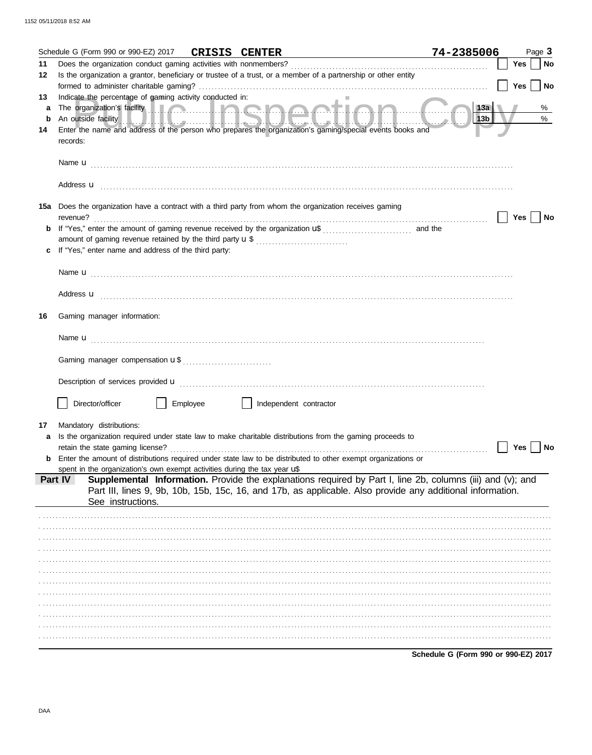|         | Schedule G (Form 990 or 990-EZ) 2017 CRISIS CENTER                                  |          |                                                                                                                                                                                                                                      | 74-2385006                           | Page 3           |
|---------|-------------------------------------------------------------------------------------|----------|--------------------------------------------------------------------------------------------------------------------------------------------------------------------------------------------------------------------------------------|--------------------------------------|------------------|
| 11      |                                                                                     |          |                                                                                                                                                                                                                                      |                                      | <b>No</b><br>Yes |
| 12      |                                                                                     |          | Is the organization a grantor, beneficiary or trustee of a trust, or a member of a partnership or other entity                                                                                                                       |                                      |                  |
|         |                                                                                     |          |                                                                                                                                                                                                                                      |                                      | Yes<br>No        |
| 13      | Indicate the percentage of gaming activity conducted in:                            |          |                                                                                                                                                                                                                                      |                                      |                  |
| a       |                                                                                     |          | The organization's facility <b>the contract of the contract of the contract of the contract of the contract of the contract of the contract of the contract of the contract of the contract of the contract of the contract of t</b> | 13a                                  | %                |
| b<br>14 |                                                                                     |          | An outside facility <b>And the Contract of Law 2018</b> and 2019 <b>Contract of Law 2019</b> and 2019 <b>And 2019</b><br>Enter the name and address of the person who prepares the organization's gaming/special events books and    | $\parallel$ 13b $\parallel$          | $\%$             |
|         | records:                                                                            |          |                                                                                                                                                                                                                                      |                                      |                  |
|         |                                                                                     |          |                                                                                                                                                                                                                                      |                                      |                  |
|         |                                                                                     |          |                                                                                                                                                                                                                                      |                                      |                  |
|         |                                                                                     |          |                                                                                                                                                                                                                                      |                                      |                  |
|         |                                                                                     |          |                                                                                                                                                                                                                                      |                                      |                  |
|         |                                                                                     |          |                                                                                                                                                                                                                                      |                                      |                  |
| 15а     |                                                                                     |          | Does the organization have a contract with a third party from whom the organization receives gaming                                                                                                                                  |                                      | Yes<br>No        |
|         | revenue?                                                                            |          |                                                                                                                                                                                                                                      | and the                              |                  |
|         |                                                                                     |          | amount of gaming revenue retained by the third party <b>u</b> \$                                                                                                                                                                     |                                      |                  |
|         | If "Yes," enter name and address of the third party:                                |          |                                                                                                                                                                                                                                      |                                      |                  |
|         |                                                                                     |          |                                                                                                                                                                                                                                      |                                      |                  |
|         |                                                                                     |          |                                                                                                                                                                                                                                      |                                      |                  |
|         |                                                                                     |          |                                                                                                                                                                                                                                      |                                      |                  |
|         | Address <b>u</b>                                                                    |          |                                                                                                                                                                                                                                      |                                      |                  |
| 16      | Gaming manager information:                                                         |          |                                                                                                                                                                                                                                      |                                      |                  |
|         |                                                                                     |          |                                                                                                                                                                                                                                      |                                      |                  |
|         |                                                                                     |          |                                                                                                                                                                                                                                      |                                      |                  |
|         |                                                                                     |          |                                                                                                                                                                                                                                      |                                      |                  |
|         |                                                                                     |          |                                                                                                                                                                                                                                      |                                      |                  |
|         |                                                                                     |          |                                                                                                                                                                                                                                      |                                      |                  |
|         |                                                                                     |          |                                                                                                                                                                                                                                      |                                      |                  |
|         | Director/officer                                                                    | Employee | Independent contractor                                                                                                                                                                                                               |                                      |                  |
|         |                                                                                     |          |                                                                                                                                                                                                                                      |                                      |                  |
| 17      | Mandatory distributions:                                                            |          |                                                                                                                                                                                                                                      |                                      |                  |
| a       |                                                                                     |          | Is the organization required under state law to make charitable distributions from the gaming proceeds to                                                                                                                            |                                      |                  |
|         | retain the state gaming license?                                                    |          |                                                                                                                                                                                                                                      |                                      | Yes  <br>No      |
|         |                                                                                     |          | <b>b</b> Enter the amount of distributions required under state law to be distributed to other exempt organizations or                                                                                                               |                                      |                  |
|         | spent in the organization's own exempt activities during the tax year uß<br>Part IV |          | Supplemental Information. Provide the explanations required by Part I, line 2b, columns (iii) and (v); and                                                                                                                           |                                      |                  |
|         |                                                                                     |          | Part III, lines 9, 9b, 10b, 15b, 15c, 16, and 17b, as applicable. Also provide any additional information.                                                                                                                           |                                      |                  |
|         | See instructions.                                                                   |          |                                                                                                                                                                                                                                      |                                      |                  |
|         |                                                                                     |          |                                                                                                                                                                                                                                      |                                      |                  |
|         |                                                                                     |          |                                                                                                                                                                                                                                      |                                      |                  |
|         |                                                                                     |          |                                                                                                                                                                                                                                      |                                      |                  |
|         |                                                                                     |          |                                                                                                                                                                                                                                      |                                      |                  |
|         |                                                                                     |          |                                                                                                                                                                                                                                      |                                      |                  |
|         |                                                                                     |          |                                                                                                                                                                                                                                      |                                      |                  |
|         |                                                                                     |          |                                                                                                                                                                                                                                      |                                      |                  |
|         |                                                                                     |          |                                                                                                                                                                                                                                      |                                      |                  |
|         |                                                                                     |          |                                                                                                                                                                                                                                      |                                      |                  |
|         |                                                                                     |          |                                                                                                                                                                                                                                      |                                      |                  |
|         |                                                                                     |          |                                                                                                                                                                                                                                      |                                      |                  |
|         |                                                                                     |          |                                                                                                                                                                                                                                      | Schedule G (Form 990 or 990-EZ) 2017 |                  |
|         |                                                                                     |          |                                                                                                                                                                                                                                      |                                      |                  |